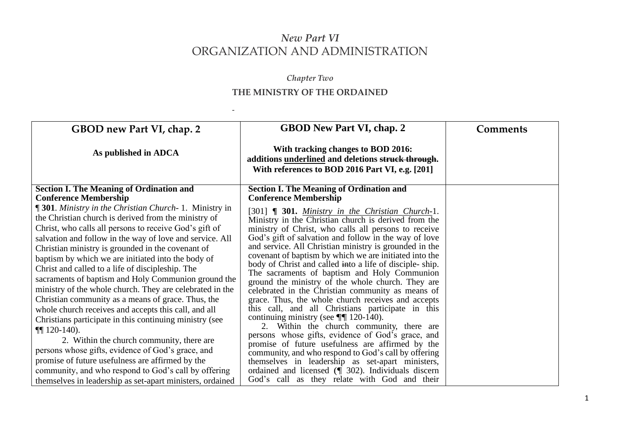# *New Part VI* ORGANIZATION AND ADMINISTRATION

## *Chapter Two*

### **THE MINISTRY OF THE ORDAINED**

-

| GBOD new Part VI, chap. 2                                                                                                                                                                                                                                                                                                                                                                                                                         | <b>GBOD New Part VI, chap. 2</b>                                                                                                                                                                                                                                                                                                                                                                                                                                                                                | <b>Comments</b> |
|---------------------------------------------------------------------------------------------------------------------------------------------------------------------------------------------------------------------------------------------------------------------------------------------------------------------------------------------------------------------------------------------------------------------------------------------------|-----------------------------------------------------------------------------------------------------------------------------------------------------------------------------------------------------------------------------------------------------------------------------------------------------------------------------------------------------------------------------------------------------------------------------------------------------------------------------------------------------------------|-----------------|
| As published in ADCA                                                                                                                                                                                                                                                                                                                                                                                                                              | With tracking changes to BOD 2016:<br>additions underlined and deletions struck through.<br>With references to BOD 2016 Part VI, e.g. [201]                                                                                                                                                                                                                                                                                                                                                                     |                 |
| <b>Section I. The Meaning of Ordination and</b><br><b>Conference Membership</b><br><b>J</b> 301. <i>Ministry in the Christian Church</i> -1. Ministry in<br>the Christian church is derived from the ministry of<br>Christ, who calls all persons to receive God's gift of<br>salvation and follow in the way of love and service. All<br>Christian ministry is grounded in the covenant of<br>baptism by which we are initiated into the body of | <b>Section I. The Meaning of Ordination and</b><br><b>Conference Membership</b><br>[301] $\blacksquare$ <b>301.</b> Ministry in the Christian Church-1.<br>Ministry in the Christian church is derived from the<br>ministry of Christ, who calls all persons to receive<br>God's gift of salvation and follow in the way of love<br>and service. All Christian ministry is grounded in the<br>covenant of baptism by which we are initiated into the<br>body of Christ and called into a life of disciple-ship. |                 |
| Christ and called to a life of discipleship. The<br>sacraments of baptism and Holy Communion ground the<br>ministry of the whole church. They are celebrated in the<br>Christian community as a means of grace. Thus, the<br>whole church receives and accepts this call, and all<br>Christians participate in this continuing ministry (see<br>$\P\P$ 120-140).                                                                                  | The sacraments of baptism and Holy Communion<br>ground the ministry of the whole church. They are<br>celebrated in the Christian community as means of<br>grace. Thus, the whole church receives and accepts<br>this call, and all Christians participate in this<br>continuing ministry (see $\P\P$ 120-140).<br>2. Within the church community, there are<br>persons whose gifts, evidence of God's grace, and                                                                                                |                 |
| 2. Within the church community, there are<br>persons whose gifts, evidence of God's grace, and<br>promise of future usefulness are affirmed by the<br>community, and who respond to God's call by offering<br>themselves in leadership as set-apart ministers, ordained                                                                                                                                                                           | promise of future usefulness are affirmed by the<br>community, and who respond to God's call by offering<br>themselves in leadership as set-apart ministers,<br>ordained and licensed $(\P 302)$ . Individuals discern<br>God's call as they relate with God and their                                                                                                                                                                                                                                          |                 |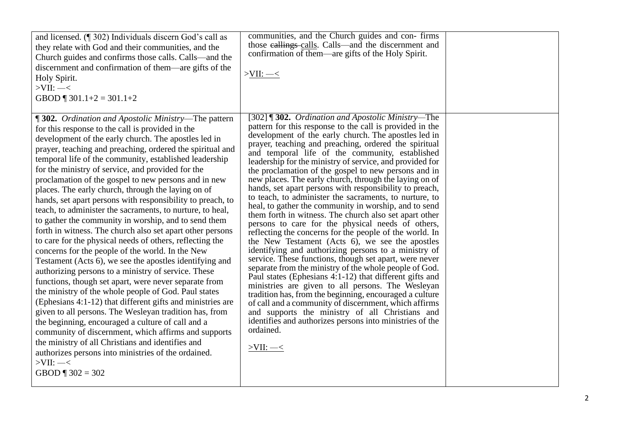| and licensed. (1 302) Individuals discern God's call as<br>they relate with God and their communities, and the<br>Church guides and confirms those calls. Calls—and the<br>discernment and confirmation of them—are gifts of the<br>Holy Spirit.<br>$>$ VII: $-$ <<br>GBOD $\sqrt{301.1+2} = 301.1+2$                                                                                                                                                                                                                                                                                                                                                                                                                                                                                                                                                                                                                                                                                                                                                                                                                                                                                                                                                                                                                                                                                                                                                         | communities, and the Church guides and con-firms<br>those eallings-calls. Calls—and the discernment and<br>confirmation of them—are gifts of the Holy Spirit.<br>$>\underline{\text{VII}}$ : — $\leq$                                                                                                                                                                                                                                                                                                                                                                                                                                                                                                                                                                                                                                                                                                                                                                                                                                                                                                                                                                                                                                                                                                                                                                                                                                            |  |
|---------------------------------------------------------------------------------------------------------------------------------------------------------------------------------------------------------------------------------------------------------------------------------------------------------------------------------------------------------------------------------------------------------------------------------------------------------------------------------------------------------------------------------------------------------------------------------------------------------------------------------------------------------------------------------------------------------------------------------------------------------------------------------------------------------------------------------------------------------------------------------------------------------------------------------------------------------------------------------------------------------------------------------------------------------------------------------------------------------------------------------------------------------------------------------------------------------------------------------------------------------------------------------------------------------------------------------------------------------------------------------------------------------------------------------------------------------------|--------------------------------------------------------------------------------------------------------------------------------------------------------------------------------------------------------------------------------------------------------------------------------------------------------------------------------------------------------------------------------------------------------------------------------------------------------------------------------------------------------------------------------------------------------------------------------------------------------------------------------------------------------------------------------------------------------------------------------------------------------------------------------------------------------------------------------------------------------------------------------------------------------------------------------------------------------------------------------------------------------------------------------------------------------------------------------------------------------------------------------------------------------------------------------------------------------------------------------------------------------------------------------------------------------------------------------------------------------------------------------------------------------------------------------------------------|--|
| <b>[302.</b> Ordination and Apostolic Ministry—The pattern<br>for this response to the call is provided in the<br>development of the early church. The apostles led in<br>prayer, teaching and preaching, ordered the spiritual and<br>temporal life of the community, established leadership<br>for the ministry of service, and provided for the<br>proclamation of the gospel to new persons and in new<br>places. The early church, through the laying on of<br>hands, set apart persons with responsibility to preach, to<br>teach, to administer the sacraments, to nurture, to heal,<br>to gather the community in worship, and to send them<br>forth in witness. The church also set apart other persons<br>to care for the physical needs of others, reflecting the<br>concerns for the people of the world. In the New<br>Testament (Acts 6), we see the apostles identifying and<br>authorizing persons to a ministry of service. These<br>functions, though set apart, were never separate from<br>the ministry of the whole people of God. Paul states<br>(Ephesians 4:1-12) that different gifts and ministries are<br>given to all persons. The Wesleyan tradition has, from<br>the beginning, encouraged a culture of call and a<br>community of discernment, which affirms and supports<br>the ministry of all Christians and identifies and<br>authorizes persons into ministries of the ordained.<br>$>$ VII: $-$ <<br>GBOD $\P$ 302 = 302 | [302] ¶ 302. Ordination and Apostolic Ministry—The<br>pattern for this response to the call is provided in the<br>development of the early church. The apostles led in<br>prayer, teaching and preaching, ordered the spiritual<br>and temporal life of the community, established<br>leadership for the ministry of service, and provided for<br>the proclamation of the gospel to new persons and in<br>new places. The early church, through the laying on of<br>hands, set apart persons with responsibility to preach,<br>to teach, to administer the sacraments, to nurture, to<br>heal, to gather the community in worship, and to send<br>them forth in witness. The church also set apart other<br>persons to care for the physical needs of others,<br>reflecting the concerns for the people of the world. In<br>the New Testament (Acts 6), we see the apostles<br>identifying and authorizing persons to a ministry of<br>service. These functions, though set apart, were never<br>separate from the ministry of the whole people of God.<br>Paul states (Ephesians 4:1-12) that different gifts and<br>ministries are given to all persons. The Wesleyan<br>tradition has, from the beginning, encouraged a culture<br>of call and a community of discernment, which affirms<br>and supports the ministry of all Christians and<br>identifies and authorizes persons into ministries of the<br>ordained.<br><u>&gt;VII: —&lt;</u> |  |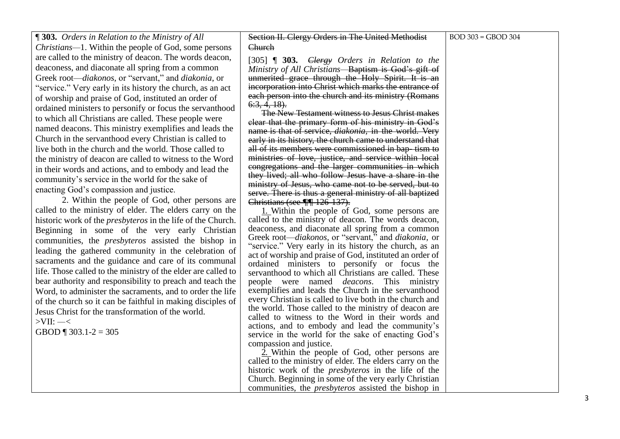¶ **303.** *Orders in Relation to the Ministry of All Christians—*1. Within the people of God, some persons are called to the ministry of deacon. The words deacon, deaconess, and diaconate all spring from a common Greek root—*diakonos*, or "servant," and *diakonia*, or "service." Very early in its history the church, as an act of worship and praise of God, instituted an order of ordained ministers to personify or focus the servanthood to which all Christians are called. These people were named deacons. This ministry exemplifies and leads the Church in the servanthood every Christian is called to live both in the church and the world. Those called to the ministry of deacon are called to witness to the Word in their words and actions, and to embody and lead the community's service in the world for the sake of enacting God's compassion and justice.

2. Within the people of God, other persons are called to the ministry of elder. The elders carry on the historic work of the *presbyteros* in the life of the Church. Beginning in some of the very early Christian communities, the *presbyteros* assisted the bishop in leading the gathered community in the celebration of sacraments and the guidance and care of its communal life. Those called to the ministry of the elder are called to bear authority and responsibility to preach and teach the Word, to administer the sacraments, and to order the life of the church so it can be faithful in making disciples of Jesus Christ for the transformation of the world. >VII: *—<*

GBOD  $\P$  303.1-2 = 305

### Section II. Clergy Orders in The United Methodist Church

[305] ¶ **303.** *Clergy Orders in Relation to the Ministry of All Christians—*Baptism is God's gift of unmerited grace through the Holy Spirit. It is an incorporation into Christ which marks the entrance of each person into the church and its ministry (Romans  $6:3, 4, 18$ .

The New Testament witness to Jesus Christ makes clear that the primary form of his ministry in God's name is that of service, *diakonia,* in the world. Very early in its history, the church came to understand that all of its members were commissioned in bap- tism to ministries of love, justice, and service within local congregations and the larger communities in which they lived; all who follow Jesus have a share in the ministry of Jesus, who came not to be served, but to serve. There is thus a general ministry of all baptized Christians (see ¶¶ 126-137).

1. Within the people of God, some persons are called to the ministry of deacon. The words deacon, deaconess, and diaconate all spring from a common Greek root—*diakonos,* or "servant," and *diakonia,* or "service." Very early in its history the church, as an act of worship and praise of God, instituted an order of ordained ministers to personify or focus the servanthood to which all Christians are called. These people were named *deacons*. This ministry exemplifies and leads the Church in the servanthood every Christian is called to live both in the church and the world. Those called to the ministry of deacon are called to witness to the Word in their words and actions, and to embody and lead the community's service in the world for the sake of enacting God's compassion and justice.

2. Within the people of God, other persons are called to the ministry of elder. The elders carry on the historic work of the *presbyteros* in the life of the Church. Beginning in some of the very early Christian communities, the *presbyteros* assisted the bishop in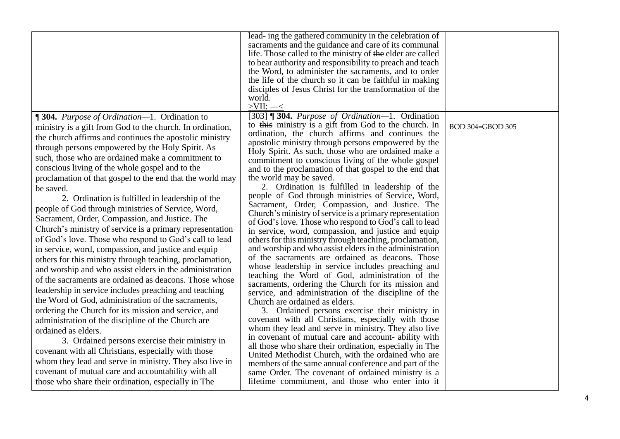|                                                                                                                                                                                                                                                                                                                                                                                                                                                                                                                                                                                                                                                                                                                                                                                                                                                                                                                                                                                                                                                                                                                                                                                                                                                                                                                                                                                                                                                                            | lead- ing the gathered community in the celebration of<br>sacraments and the guidance and care of its communal<br>life. Those called to the ministry of the elder are called<br>to bear authority and responsibility to preach and teach<br>the Word, to administer the sacraments, and to order<br>the life of the church so it can be faithful in making<br>disciples of Jesus Christ for the transformation of the<br>world.<br>$>$ VII: $-$ <                                                                                                                                                                                                                                                                                                                                                                                                                                                                                                                                                                                                                                                                                                                                                                                                                                                                                                                                                                                                                                                                                                                                                                                                                                                                             |                  |
|----------------------------------------------------------------------------------------------------------------------------------------------------------------------------------------------------------------------------------------------------------------------------------------------------------------------------------------------------------------------------------------------------------------------------------------------------------------------------------------------------------------------------------------------------------------------------------------------------------------------------------------------------------------------------------------------------------------------------------------------------------------------------------------------------------------------------------------------------------------------------------------------------------------------------------------------------------------------------------------------------------------------------------------------------------------------------------------------------------------------------------------------------------------------------------------------------------------------------------------------------------------------------------------------------------------------------------------------------------------------------------------------------------------------------------------------------------------------------|-------------------------------------------------------------------------------------------------------------------------------------------------------------------------------------------------------------------------------------------------------------------------------------------------------------------------------------------------------------------------------------------------------------------------------------------------------------------------------------------------------------------------------------------------------------------------------------------------------------------------------------------------------------------------------------------------------------------------------------------------------------------------------------------------------------------------------------------------------------------------------------------------------------------------------------------------------------------------------------------------------------------------------------------------------------------------------------------------------------------------------------------------------------------------------------------------------------------------------------------------------------------------------------------------------------------------------------------------------------------------------------------------------------------------------------------------------------------------------------------------------------------------------------------------------------------------------------------------------------------------------------------------------------------------------------------------------------------------------|------------------|
| ¶ 304. Purpose of Ordination-1. Ordination to<br>ministry is a gift from God to the church. In ordination,<br>the church affirms and continues the apostolic ministry<br>through persons empowered by the Holy Spirit. As<br>such, those who are ordained make a commitment to<br>conscious living of the whole gospel and to the<br>proclamation of that gospel to the end that the world may<br>be saved.<br>2. Ordination is fulfilled in leadership of the<br>people of God through ministries of Service, Word,<br>Sacrament, Order, Compassion, and Justice. The<br>Church's ministry of service is a primary representation<br>of God's love. Those who respond to God's call to lead<br>in service, word, compassion, and justice and equip<br>others for this ministry through teaching, proclamation,<br>and worship and who assist elders in the administration<br>of the sacraments are ordained as deacons. Those whose<br>leadership in service includes preaching and teaching<br>the Word of God, administration of the sacraments,<br>ordering the Church for its mission and service, and<br>administration of the discipline of the Church are<br>ordained as elders.<br>3. Ordained persons exercise their ministry in<br>covenant with all Christians, especially with those<br>whom they lead and serve in ministry. They also live in<br>covenant of mutual care and accountability with all<br>those who share their ordination, especially in The | [303] <b>[304.</b> <i>Purpose of Ordination</i> —1. Ordination<br>to this ministry is a gift from God to the church. In<br>ordination, the church affirms and continues the<br>apostolic ministry through persons empowered by the<br>Holy Spirit. As such, those who are ordained make a<br>commitment to conscious living of the whole gospel<br>and to the proclamation of that gospel to the end that<br>the world may be saved.<br>2. Ordination is fulfilled in leadership of the<br>people of God through ministries of Service, Word,<br>Sacrament, Order, Compassion, and Justice. The<br>Church's ministry of service is a primary representation<br>of God's love. Those who respond to God's call to lead<br>in service, word, compassion, and justice and equip<br>others for this ministry through teaching, proclamation,<br>and worship and who assist elders in the administration<br>of the sacraments are ordained as deacons. Those<br>whose leadership in service includes preaching and<br>teaching the Word of God, administration of the<br>sacraments, ordering the Church for its mission and<br>service, and administration of the discipline of the<br>Church are ordained as elders.<br>3. Ordained persons exercise their ministry in<br>covenant with all Christians, especially with those<br>whom they lead and serve in ministry. They also live<br>in covenant of mutual care and account-ability with<br>all those who share their ordination, especially in The<br>United Methodist Church, with the ordained who are<br>members of the same annual conference and part of the<br>same Order. The covenant of ordained ministry is a<br>lifetime commitment, and those who enter into it | BOD 304=GBOD 305 |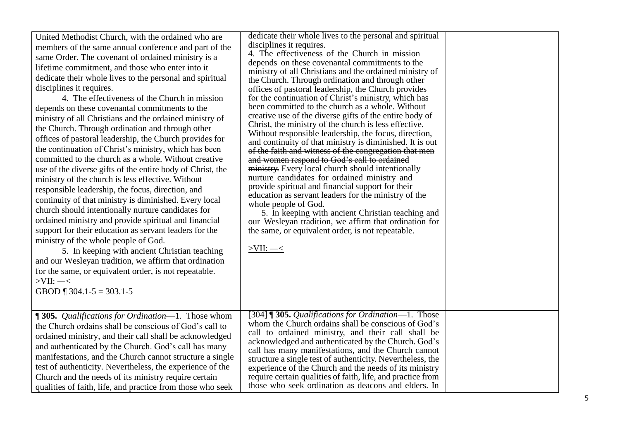| United Methodist Church, with the ordained who are       |
|----------------------------------------------------------|
| members of the same annual conference and part of the    |
| same Order. The covenant of ordained ministry is a       |
| lifetime commitment, and those who enter into it         |
| dedicate their whole lives to the personal and spiritual |
| disciplines it requires.                                 |

4. The effectiveness of the Church in mission depends on these covenantal commitments to the ministry of all Christians and the ordained ministry of the Church. Through ordination and through other offices of pastoral leadership, the Church provides for the continuation of Christ's ministry, which has been committed to the church as a whole. Without creative use of the diverse gifts of the entire body of Christ, the ministry of the church is less effective. Without responsible leadership, the focus, direction, and continuity of that ministry is diminished. Every local church should intentionally nurture candidates for ordained ministry and provide spiritual and financial support for their education as servant leaders for the ministry of the whole people of God .

5. In keeping with ancient Christian teaching and our Wesleyan tradition, we affirm that ordination for the same, or equivalent order, is not repeatable. >VII: *— <* GBOD  $\P$  304.1-5 = 303.1-5

¶ **305.** *Qualifications for Ordination* —1. Those whom the Church ordains shall be conscious of God's call to ordained ministry, and their call shall be acknowledged and authenticated by the Church. God's call has many manifestations, and the Church cannot structure a single test of authenticity. Nevertheless, the experience of the Church and the needs of its ministry require certain qualities of faith, life, and practice from those who seek

dedicate their whole lives to the personal and spiritual disciplines it requires.

4. The effectiveness of the Church in mission depends on these covenantal commitments to the ministry of all Christians and the ordained ministry of the Church. Through ordination and through other offices of pastoral leadership, the Church provides for the continuation of Christ's ministr y, which has been committed to the church as a whole. Without creative use of the diverse gifts of the entire body of Christ, the ministry of the church is less effective. Without responsible leadership, the focus, direction, and continuity of that ministry is diminished. It is out of the faith and witness of the congregation that men and women respond to God's call to o rdained ministry. Every local church should intentionally nurture candidates for ordained ministry and provide spiritual and financial support for their education as servant leaders for the ministry of the whole people of God.

5. In keeping with ancient Christian teaching and our Wesleyan tradition, we affirm that ordination for the same, or equivalent order, is not repeatable.

[304] ¶ **305.** *Qualifications for Ordination* —1. Those whom the Church ordains shall be conscious of God's call to o rdained ministr y, and their call shall be acknowledged and authenticated by the Church. God's call has many manifestations, and the Church cannot structure a single test of authenticity. Nevertheless, the experience of the Church and the needs of its ministry require certain qualities of faith, life, and practice from those who seek o rdination as deacons and elders. In

>VII: *— <*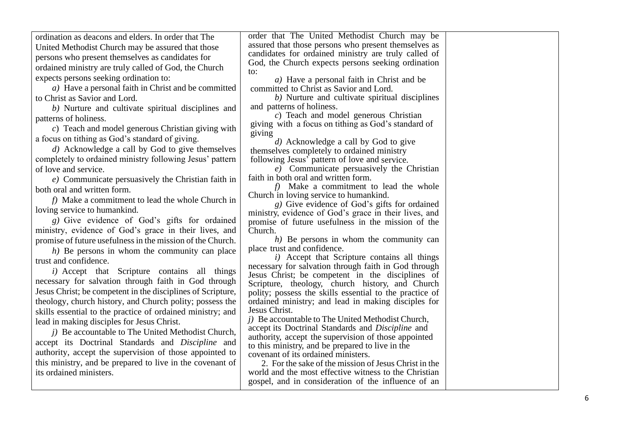ordination as deacons and elders. In order that The United Methodist Church may be assured that those persons who present themselves as candidates for ordained ministry are truly called of God, the Church expects persons seeking ordination to:

*a)* Have a personal faith in Christ and be committed to Christ as Savior and Lord.

*b)* Nurture and cultivate spiritual disciplines and patterns of holiness.

*c*) Teach and model generous Christian giving with a focus on tithing as God's standard of giving.

*d)* Acknowledge a call by God to give themselves completely to ordained ministry following Jesus' pattern of love and service.

*e)* Communicate persuasively the Christian faith in both oral and written form.

*f)* Make a commitment to lead the whole Church in loving service to humankind.

*g)* Give evidence of God's gifts for ordained ministry, evidence of God's grace in their lives, and promise of future usefulness in the mission of the Church.

*h)* Be persons in whom the community can place trust and confidence.

*i)* Accept that Scripture contains all things necessary for salvation through faith in God through Jesus Christ; be competent in the disciplines of Scripture, theology, church history, and Church polity; possess the skills essential to the practice of ordained ministry; and lead in making disciples for Jesus Christ.

*j)* Be accountable to The United Methodist Church, accept its Doctrinal Standards and *Discipline* and authority, accept the supervision of those appointed to this ministry, and be prepared to live in the covenant of its ordained ministers.

o rder that The United Methodist Chu rch may be assu red that those persons who p resent themselves as candidates for ordained ministry are truly called of God, the Church expects persons seeking ordination to:

*a)* Have a personal faith in Christ and be committed to Christ as Savior and Lo rd.

b) Nurture and cultivate spiritual disciplines and patterns of holiness. *<sup>c</sup>*) Teach and model gene rous Christian

giving with a focus on tithing as God's standa rd of giving

*d)* Acknowledge a call by God to give themselves completely to o rdained ministry following Jesus' pattern of love and service.

*e)* Communicate persuasively the Christian faith in both oral and written form.

*f)* Make a commitment to lead the whole Chu rch in loving service to humankind.

*g)* Give evidence of God's gifts for o rdained ministr y, evidence of God's grace in their lives, and p romise of futu re usefulness in the mission of the Church.

*h*) Be persons in whom the community can place t rust and confidence.

*i*) Accept that Scripture contains all things necessary for salvation th rough faith in God th rough Jesus Christ; be competent in the disciplines of Scripture, theology, church history, and Church polity; possess the skills essential to the practice of ordained ministry; and lead in making disciples for Jesus Christ.

j) Be accountable to The United Methodist Church, accept its Doctrinal Standa rds and *Discipline* and authorit y, accept the supervision of those appointed to this ministr y, and be p repa red to live in the covenant of its o rdained ministers.

2. For the sake of the mission of Jesus Christ in the world and the most e ffective witness to the Christian gospel, and in consideration of the influence of an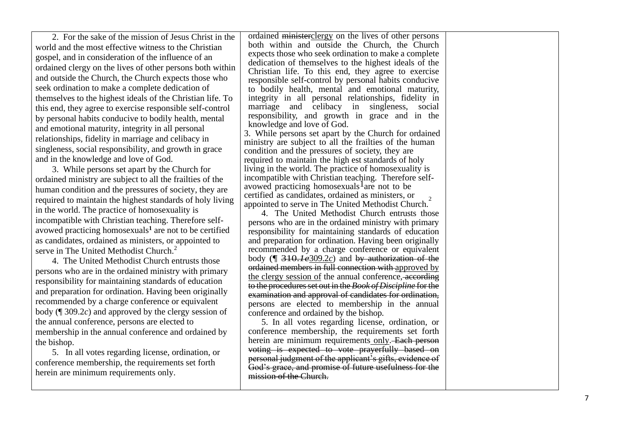2. For the sake of the mission of Jesus Christ in the world and the most effective witness to the Christian gospel, and in consideration of the influence of an ordained clergy on the lives of other persons both within and outside the Church, the Church expects those who seek ordination to make a complete dedication of themselves to the highest ideals of the Christian life. To this end, they agree to exercise responsible self-control by personal habits conducive to bodily health, mental and emotional maturity, integrity in all personal relationships, fidelity in marriage and celibacy in singleness, social responsibility, and growth in grace and in the knowledge and love of God.

3. While persons set apart by the Church for ordained ministry are subject to all the frailties of the human condition and the pressures of society, they are required to maintain the highest standards of holy living in the world. The practice of homosexuality is incompatible with Christian teaching. Therefore selfavowed practicing homosexuals**<sup>1</sup>** are not to be certified as candidates, ordained as ministers, or appointed to serve in The United Methodist Church.<sup>2</sup>

4. The United Methodist Church entrusts those persons who are in the ordained ministry with primary responsibility for maintaining standards of education and preparation for ordination. Having been originally recommended by a charge conference or equivalent body (¶ 309.2 *c* ) and approved by the clergy session of the annual conference, persons are elected to membership in the annual conference and ordained by the bishop.

5. In all votes regarding license, ordination, or conference membership, the requirements set forth herein are minimum requirements only.

ordained *ministerclergy* on the lives of other persons both within and outside the Church, the Church expects those who seek o rdination to make a complete dedication of themselves to the highest ideals of the Christian life. To this end, they agree to exercise responsible self-control by personal habits conducive to bodily health, mental and emotional maturit y, integrity in all personal relationships, fidelity in marriage and celibacy in singleness, social responsibility, and growth in grace and in the knowledge and love of God.

3. While persons set apart by the Church for ordained ministry a r e subject to all the frailties of the human condition and the pressures of society, they are requi red to maintain the high est standa rds of holy living in the world. The practice of homosexuality is incompatible with Christian teaching. Therefore selfavowed practicing homosexuals  $a^2$  are not to be certified as candidates, o rdained as ministers, or appointed to serve in The United Methodist Church.<sup>2</sup>

4. The United Methodist Church entrusts those person s who are in the o rdained ministry with primary responsibility for maintaining standa rds of education and preparation for ordination. Having been originally recommended by a charge conference or equivalent body  $(\sqrt{\frac{310.1e309.2c}{}})$  and by authorization of the o rdained members in full connection wit h approved by the clergy session of the annual conference, according to the procedures set out in the *Book of Discipline* for the examination and approval of candidates for ordination, persons are elected to membership in the annual conference and ordained by the bishop.

5. In all votes rega rding license, o rdination, or conference membership, the requirements set forth herein are minimum requirements only. Each person voting is expected to vote prayerfully based on personal judgment of the applicant's gifts, evidence of God's grace, and promise of future usefulness for the mission of the Church.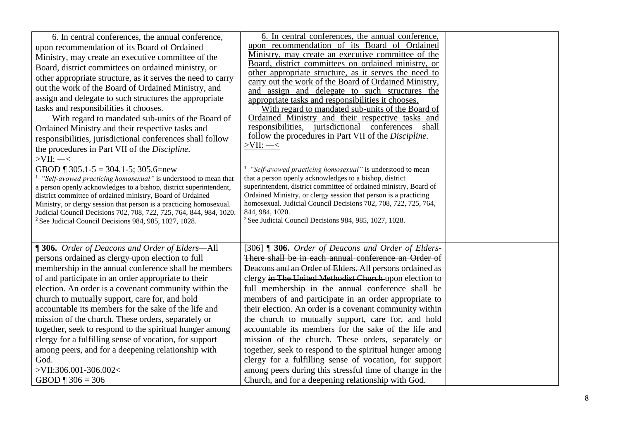| 6. In central conferences, the annual conference,<br>upon recommendation of its Board of Ordained<br>Ministry, may create an executive committee of the<br>Board, district committees on ordained ministry, or<br>other appropriate structure, as it serves the need to carry<br>out the work of the Board of Ordained Ministry, and<br>assign and delegate to such structures the appropriate<br>tasks and responsibilities it chooses.<br>With regard to mandated sub-units of the Board of<br>Ordained Ministry and their respective tasks and<br>responsibilities, jurisdictional conferences shall follow<br>the procedures in Part VII of the Discipline.<br>$>$ VII: $-$ <<br>GBOD $\text{\textsterling} 305.1 - 5 = 304.1 - 5$ ; 305.6=new<br><sup>1.</sup> "Self-avowed practicing homosexual" is understood to mean that<br>a person openly acknowledges to a bishop, district superintendent,<br>district committee of ordained ministry, Board of Ordained<br>Ministry, or clergy session that person is a practicing homosexual.<br>Judicial Council Decisions 702, 708, 722, 725, 764, 844, 984, 1020.<br><sup>2</sup> See Judicial Council Decisions 984, 985, 1027, 1028. | 6. In central conferences, the annual conference,<br>upon recommendation of its Board of Ordained<br>Ministry, may create an executive committee of the<br>Board, district committees on ordained ministry, or<br>other appropriate structure, as it serves the need to<br>carry out the work of the Board of Ordained Ministry,<br>and assign and delegate to such structures the<br>appropriate tasks and responsibilities it chooses.<br>With regard to mandated sub-units of the Board of<br>Ordained Ministry and their respective tasks and<br>responsibilities.<br>jurisdictional<br>conferences<br>shall<br>follow the procedures in Part VII of the Discipline.<br>$>$ VII: $-$ <<br>"Self-avowed practicing homosexual" is understood to mean<br>that a person openly acknowledges to a bishop, district<br>superintendent, district committee of ordained ministry, Board of<br>Ordained Ministry, or clergy session that person is a practicing<br>homosexual. Judicial Council Decisions 702, 708, 722, 725, 764,<br>844, 984, 1020.<br><sup>2</sup> See Judicial Council Decisions 984, 985, 1027, 1028. |  |
|-------------------------------------------------------------------------------------------------------------------------------------------------------------------------------------------------------------------------------------------------------------------------------------------------------------------------------------------------------------------------------------------------------------------------------------------------------------------------------------------------------------------------------------------------------------------------------------------------------------------------------------------------------------------------------------------------------------------------------------------------------------------------------------------------------------------------------------------------------------------------------------------------------------------------------------------------------------------------------------------------------------------------------------------------------------------------------------------------------------------------------------------------------------------------------------------|------------------------------------------------------------------------------------------------------------------------------------------------------------------------------------------------------------------------------------------------------------------------------------------------------------------------------------------------------------------------------------------------------------------------------------------------------------------------------------------------------------------------------------------------------------------------------------------------------------------------------------------------------------------------------------------------------------------------------------------------------------------------------------------------------------------------------------------------------------------------------------------------------------------------------------------------------------------------------------------------------------------------------------------------------------------------------------------------------------------------|--|
| ¶306. Order of Deacons and Order of Elders-All<br>persons ordained as clergy-upon election to full<br>membership in the annual conference shall be members<br>of and participate in an order appropriate to their<br>election. An order is a covenant community within the<br>church to mutually support, care for, and hold<br>accountable its members for the sake of the life and<br>mission of the church. These orders, separately or<br>together, seek to respond to the spiritual hunger among<br>clergy for a fulfilling sense of vocation, for support<br>among peers, and for a deepening relationship with<br>God.<br>>VII:306.001-306.002<<br>GBOD $\P$ 306 = 306                                                                                                                                                                                                                                                                                                                                                                                                                                                                                                             | [306] ¶ 306. Order of Deacons and Order of Elders-<br>There shall be in each annual conference an Order of<br>Deacons and an Order of Elders. All persons ordained as<br>clergy in The United Methodist Church upon election to<br>full membership in the annual conference shall be<br>members of and participate in an order appropriate to<br>their election. An order is a covenant community within<br>the church to mutually support, care for, and hold<br>accountable its members for the sake of the life and<br>mission of the church. These orders, separately or<br>together, seek to respond to the spiritual hunger among<br>clergy for a fulfilling sense of vocation, for support<br>among peers during this stressful time of change in the<br>Church, and for a deepening relationship with God.                                                                                                                                                                                                                                                                                                     |  |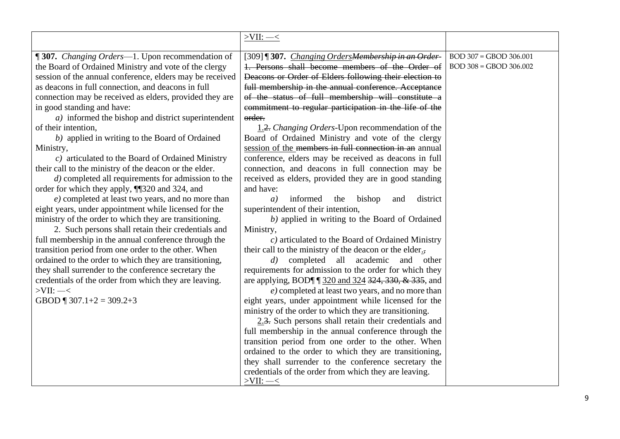|                                                          | $>$ VII: $-\leq$                                       |                        |
|----------------------------------------------------------|--------------------------------------------------------|------------------------|
| ¶ 307. Changing Orders-1. Upon recommendation of         | [309] [307. Changing Orders Membership in an Order-    | BOD 307 = GBOD 306.001 |
| the Board of Ordained Ministry and vote of the clergy    | 1. Persons shall become members of the Order of        | BOD 308 = GBOD 306.002 |
| session of the annual conference, elders may be received | Deacons or Order of Elders following their election to |                        |
| as deacons in full connection, and deacons in full       | full membership in the annual conference. Acceptance   |                        |
| connection may be received as elders, provided they are  | of the status of full membership will constitute a     |                        |
| in good standing and have:                               | commitment to regular participation in the life of the |                        |
| $a)$ informed the bishop and district superintendent     | order.                                                 |                        |
| of their intention.                                      | 1.2. Changing Orders-Upon recommendation of the        |                        |
| b) applied in writing to the Board of Ordained           | Board of Ordained Ministry and vote of the clergy      |                        |
| Ministry,                                                | session of the members in full connection in an annual |                        |
| $c)$ articulated to the Board of Ordained Ministry       | conference, elders may be received as deacons in full  |                        |
| their call to the ministry of the deacon or the elder.   | connection, and deacons in full connection may be      |                        |
| d) completed all requirements for admission to the       | received as elders, provided they are in good standing |                        |
| order for which they apply, ¶[320 and 324, and           | and have:                                              |                        |
| $e$ ) completed at least two years, and no more than     | informed<br>the<br>bishop<br>district<br>a)<br>and     |                        |
| eight years, under appointment while licensed for the    | superintendent of their intention,                     |                        |
| ministry of the order to which they are transitioning.   | b) applied in writing to the Board of Ordained         |                        |
| 2. Such persons shall retain their credentials and       | Ministry,                                              |                        |
| full membership in the annual conference through the     | $c)$ articulated to the Board of Ordained Ministry     |                        |
| transition period from one order to the other. When      | their call to the ministry of the deacon or the elder. |                        |
| ordained to the order to which they are transitioning,   | completed all academic and other<br>d)                 |                        |
| they shall surrender to the conference secretary the     | requirements for admission to the order for which they |                        |
| credentials of the order from which they are leaving.    | are applying, BOD¶ ¶ 320 and 324 324, 330, & 335, and  |                        |
| $>$ VII: $-$ <                                           | $e$ ) completed at least two years, and no more than   |                        |
| GBOD $\sqrt{ }$ 307.1+2 = 309.2+3                        | eight years, under appointment while licensed for the  |                        |
|                                                          | ministry of the order to which they are transitioning. |                        |
|                                                          | 2.3. Such persons shall retain their credentials and   |                        |
|                                                          | full membership in the annual conference through the   |                        |
|                                                          | transition period from one order to the other. When    |                        |
|                                                          | ordained to the order to which they are transitioning, |                        |
|                                                          | they shall surrender to the conference secretary the   |                        |
|                                                          | credentials of the order from which they are leaving.  |                        |
|                                                          | $>\underbar{VII:}-<$                                   |                        |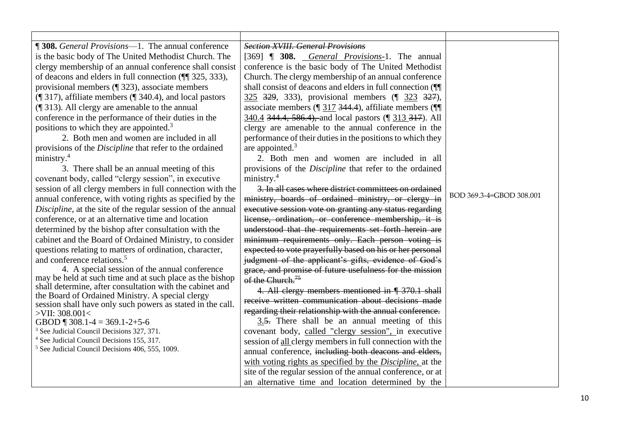| <b>[308.</b> General Provisions—1. The annual conference                                                     | <b>Section XVIII. General Provisions</b>                                                        |                          |
|--------------------------------------------------------------------------------------------------------------|-------------------------------------------------------------------------------------------------|--------------------------|
| is the basic body of The United Methodist Church. The                                                        | [369] <b>[308.</b> <i>General Provisions-1</i> . The annual                                     |                          |
| clergy membership of an annual conference shall consist                                                      | conference is the basic body of The United Methodist                                            |                          |
| of deacons and elders in full connection (¶ 325, 333),                                                       | Church. The clergy membership of an annual conference                                           |                          |
| provisional members $(\sqrt{\phantom{a}}\,323)$ , associate members                                          | shall consist of deacons and elders in full connection (                                        |                          |
| (1317), affiliate members (1340.4), and local pastors                                                        | 325 329, 333), provisional members (¶ 323 327),                                                 |                          |
| (1313). All clergy are amenable to the annual                                                                | associate members $(\sqrt{\frac{317}{344.4}})$ , affiliate members $(\sqrt{\sqrt{\frac{1}{1}}}$ |                          |
| conference in the performance of their duties in the                                                         | 340.4 344.4, 586.4), and local pastors (1 313 317). All                                         |                          |
| positions to which they are appointed. <sup>3</sup>                                                          | clergy are amenable to the annual conference in the                                             |                          |
| 2. Both men and women are included in all                                                                    | performance of their duties in the positions to which they                                      |                          |
| provisions of the <i>Discipline</i> that refer to the ordained                                               | are appointed. $3$                                                                              |                          |
| ministry. <sup>4</sup>                                                                                       | 2. Both men and women are included in all                                                       |                          |
| 3. There shall be an annual meeting of this                                                                  | provisions of the Discipline that refer to the ordained                                         |                          |
| covenant body, called "clergy session", in executive                                                         | ministry. <sup>4</sup>                                                                          |                          |
| session of all clergy members in full connection with the                                                    | 3. In all cases where district committees on ordained                                           |                          |
| annual conference, with voting rights as specified by the                                                    | ministry, boards of ordained ministry, or clergy in                                             | BOD 369.3-4=GBOD 308.001 |
| Discipline, at the site of the regular session of the annual                                                 | executive session vote on granting any status regarding                                         |                          |
| conference, or at an alternative time and location                                                           | license, ordination, or conference membership, it is                                            |                          |
| determined by the bishop after consultation with the                                                         | understood that the requirements set forth herein are                                           |                          |
| cabinet and the Board of Ordained Ministry, to consider                                                      | minimum requirements only. Each person voting is                                                |                          |
| questions relating to matters of ordination, character,                                                      | expected to vote prayerfully based on his or her personal                                       |                          |
| and conference relations. <sup>5</sup>                                                                       | judgment of the applicant's gifts, evidence of God's                                            |                          |
| 4. A special session of the annual conference                                                                | grace, and promise of future usefulness for the mission                                         |                          |
| may be held at such time and at such place as the bishop                                                     | of the Church. <sup>75</sup>                                                                    |                          |
| shall determine, after consultation with the cabinet and<br>the Board of Ordained Ministry. A special clergy | 4. All clergy members mentioned in ¶ 370.1 shall                                                |                          |
| session shall have only such powers as stated in the call.                                                   | receive written communication about decisions made                                              |                          |
| $>$ VII: 308.001<                                                                                            | regarding their relationship with the annual conference.                                        |                          |
| GBOD $\textcolor{red}{\P}$ 308.1-4 = 369.1-2+5-6                                                             | $3.5$ . There shall be an annual meeting of this                                                |                          |
| <sup>3</sup> See Judicial Council Decisions 327, 371.                                                        | covenant body, called "clergy session", in executive                                            |                          |
| <sup>4</sup> See Judicial Council Decisions 155, 317.                                                        | session of all clergy members in full connection with the                                       |                          |
| <sup>5</sup> See Judicial Council Decisions 406, 555, 1009.                                                  | annual conference, including both deacons and elders,                                           |                          |
|                                                                                                              | with voting rights as specified by the <i>Discipline</i> , at the                               |                          |
|                                                                                                              | site of the regular session of the annual conference, or at                                     |                          |
|                                                                                                              | an alternative time and location determined by the                                              |                          |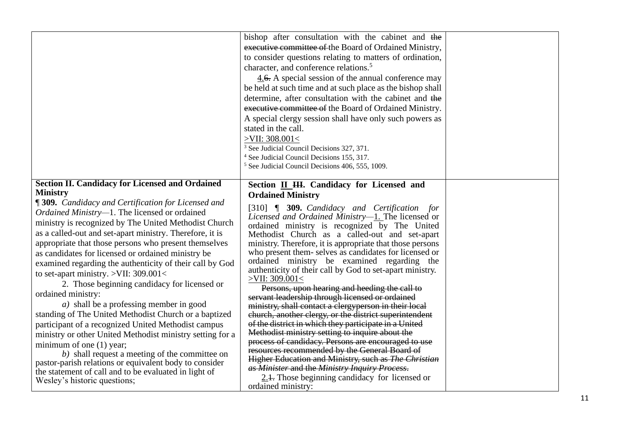|                                                                                                                                                                                                                                                                                                                                                                                                                                                                                                                                                                                                                                                                                                                                                                                                                                                                                                                                                                                                                                                                   | bishop after consultation with the cabinet and the<br>executive committee of the Board of Ordained Ministry,<br>to consider questions relating to matters of ordination,<br>character, and conference relations. <sup>5</sup><br>4.6. A special session of the annual conference may<br>be held at such time and at such place as the bishop shall<br>determine, after consultation with the cabinet and the<br>executive committee of the Board of Ordained Ministry.<br>A special clergy session shall have only such powers as<br>stated in the call.<br>$>$ VII: 308.001<<br><sup>3</sup> See Judicial Council Decisions 327, 371.<br><sup>4</sup> See Judicial Council Decisions 155, 317.<br><sup>5</sup> See Judicial Council Decisions 406, 555, 1009.                                                                                                                                                                                                                                                                                                                                                                                                                |  |
|-------------------------------------------------------------------------------------------------------------------------------------------------------------------------------------------------------------------------------------------------------------------------------------------------------------------------------------------------------------------------------------------------------------------------------------------------------------------------------------------------------------------------------------------------------------------------------------------------------------------------------------------------------------------------------------------------------------------------------------------------------------------------------------------------------------------------------------------------------------------------------------------------------------------------------------------------------------------------------------------------------------------------------------------------------------------|-------------------------------------------------------------------------------------------------------------------------------------------------------------------------------------------------------------------------------------------------------------------------------------------------------------------------------------------------------------------------------------------------------------------------------------------------------------------------------------------------------------------------------------------------------------------------------------------------------------------------------------------------------------------------------------------------------------------------------------------------------------------------------------------------------------------------------------------------------------------------------------------------------------------------------------------------------------------------------------------------------------------------------------------------------------------------------------------------------------------------------------------------------------------------------|--|
| <b>Section II. Candidacy for Licensed and Ordained</b><br><b>Ministry</b><br>¶ 309. Candidacy and Certification for Licensed and<br>Ordained Ministry-1. The licensed or ordained<br>ministry is recognized by The United Methodist Church<br>as a called-out and set-apart ministry. Therefore, it is<br>appropriate that those persons who present themselves<br>as candidates for licensed or ordained ministry be<br>examined regarding the authenticity of their call by God<br>to set-apart ministry. >VII: $309.001<$<br>2. Those beginning candidacy for licensed or<br>ordained ministry:<br>$a)$ shall be a professing member in good<br>standing of The United Methodist Church or a baptized<br>participant of a recognized United Methodist campus<br>ministry or other United Methodist ministry setting for a<br>minimum of one $(1)$ year;<br>$b)$ shall request a meeting of the committee on<br>pastor-parish relations or equivalent body to consider<br>the statement of call and to be evaluated in light of<br>Wesley's historic questions; | Section II_IH. Candidacy for Licensed and<br><b>Ordained Ministry</b><br>[310] <b>[309.</b> Candidacy and Certification for<br>Licensed and Ordained Ministry-1. The licensed or<br>ordained ministry is recognized by The United<br>Methodist Church as a called-out and set-apart<br>ministry. Therefore, it is appropriate that those persons<br>who present them- selves as candidates for licensed or<br>ordained ministry be examined regarding the<br>authenticity of their call by God to set-apart ministry.<br>$>$ VII: 309.001<<br>Persons, upon hearing and heeding the call to<br>servant leadership through licensed or ordained<br>ministry, shall contact a clergyperson in their local<br>church, another clergy, or the district superintendent<br>of the district in which they participate in a United<br>Methodist ministry setting to inquire about the<br>process of candidacy. Persons are encouraged to use<br>resources recommended by the General Board of<br>Higher Education and Ministry, such as <i>The Christian</i><br>as Minister and the Ministry Inquiry Process.<br>2.4. Those beginning candidacy for licensed or<br>ordained ministry: |  |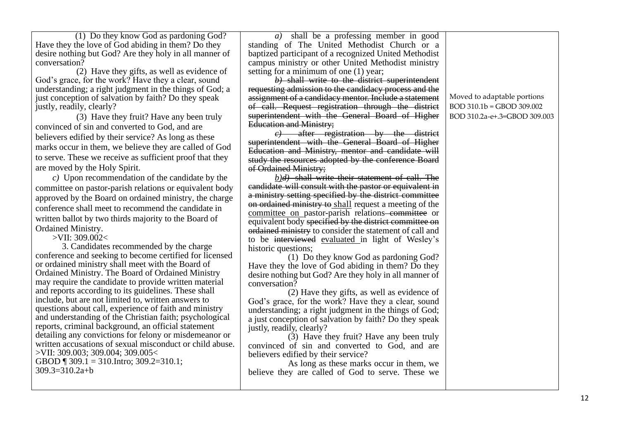(1) Do they know God as pardoning God? Have they the love of God abiding in them? Do they desire nothing but God? Are they holy in all manner of conversation?

(2) Have they gifts, as well as evidence of God's grace, for the work? Have they a clear, sound understanding; a right judgment in the things of God; a just conception of salvation by faith? Do they speak justly, readily, clearly?

(3) Have they fruit? Have any been truly convinced of sin and converted to God, and are believers edified by their service? As long as these marks occur in them, we believe they are called of God to serve. These we receive as sufficient proof that they are moved by the Holy Spirit.

*c)* Upon recommendation of the candidate by the committee on pastor-parish relations or equivalent body approved by the Board on ordained ministry, the charge conference shall meet to recommend the candidate in written ballot by two thirds majority to the Board of Ordained Ministry.

>VII: 309.002<

3. Candidates recommended by the charge conference and seeking to become certified for licensed or ordained ministry shall meet with the Board of Ordained Ministry. The Board of Ordained Ministry may require the candidate to provide written material and reports according to its guidelines. These shall include, but are not limited to, written answers to questions about call, experience of faith and ministry and understanding of the Christian faith; psychological reports, criminal background, an official statement detailing any convictions for felony or misdemeanor or written accusations of sexual misconduct or child abuse. >VII: 309.003; 309.004; 309.005< GBOD  $\P$  309.1 = 310. Intro; 309.2=310.1; 309.3=310.2a+b

*a)* shall be a professing member in good standing of The United Methodist Church or a baptized participant of a recognized United Methodist campus ministry or other United Methodist ministry setting for a minimum of one (1) year;

*b*) shall write to the district superintendent requesting admission to the candidacy process and the assignment of a candidacy mentor. Include a statement of call. Request registration through the district superintendent with the General Board of Higher **Education and Ministry:** 

*c)* after registration by the district superintendent with the General Board of Higher Education and Ministry, mentor and candidate will study the resources adopted by the conference Board of Ordained Ministry;

*b)d)* shall write their statement of call. The candidate will consult with the pastor or equivalent in a ministry setting specified by the district committee on ordained ministry to shall request a meeting of the committee on pastor-parish relations<del> committee</del> or equivalent body specified by the district committee on ordained ministry to consider the statement of call and to be interviewed evaluated in light of Wesley's historic questions;

(1) Do they know God as pardoning God? Have they the love of God abiding in them? Do they desire nothing but God? Are they holy in all manner of conversation?

(2) Have they gifts, as well as evidence of God's grace, for the work? Have they a clear, sound understanding; a right judgment in the things of God; a just conception of salvation by faith? Do they speak justly, readily, clearly?

(3) Have they fruit? Have any been truly convinced of sin and converted to God, and are believers edified by their service?

As long as these marks occur in them, we believe they are called of God to serve. These we Moved to adaptable portions BOD 310.1b = GBOD 309.002 BOD 310.2a-e+.3=GBOD 309.003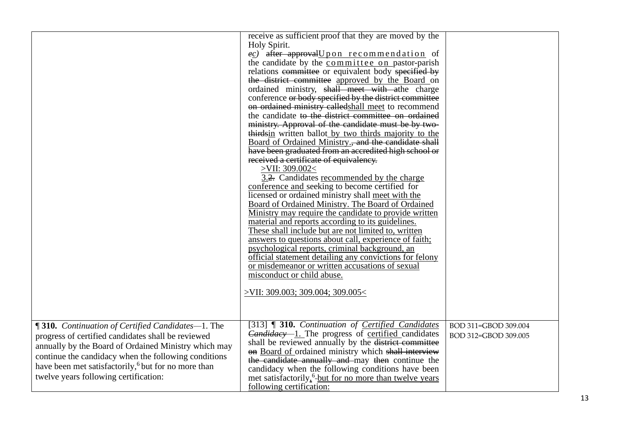|                                                                                                                                                                                                                                                                                                                                      | receive as sufficient proof that they are moved by the<br>Holy Spirit.<br>$ec$ ) after approval Upon recommendation of<br>the candidate by the committee on pastor-parish<br>relations committee or equivalent body specified by<br>the district committee approved by the Board on<br>ordained ministry, shall meet with a the charge<br>conference or body specified by the district committee<br>on ordained ministry called shall meet to recommend<br>the candidate to the district committee on ordained<br>ministry. Approval of the candidate must be by two-<br>thirdsin written ballot by two thirds majority to the<br>Board of Ordained Ministry., and the candidate shall<br>have been graduated from an accredited high school or<br>received a certificate of equivalency.<br>>VII: 309.002<<br>3.2. Candidates recommended by the charge<br>conference and seeking to become certified for<br>licensed or ordained ministry shall meet with the<br>Board of Ordained Ministry. The Board of Ordained<br>Ministry may require the candidate to provide written<br>material and reports according to its guidelines.<br>These shall include but are not limited to, written<br>answers to questions about call, experience of faith;<br>psychological reports, criminal background, an<br>official statement detailing any convictions for felony<br>or misdemeanor or written accusations of sexual<br>misconduct or child abuse.<br>$>$ VII: 309.003; 309.004; 309.005 $<$ |                                              |
|--------------------------------------------------------------------------------------------------------------------------------------------------------------------------------------------------------------------------------------------------------------------------------------------------------------------------------------|--------------------------------------------------------------------------------------------------------------------------------------------------------------------------------------------------------------------------------------------------------------------------------------------------------------------------------------------------------------------------------------------------------------------------------------------------------------------------------------------------------------------------------------------------------------------------------------------------------------------------------------------------------------------------------------------------------------------------------------------------------------------------------------------------------------------------------------------------------------------------------------------------------------------------------------------------------------------------------------------------------------------------------------------------------------------------------------------------------------------------------------------------------------------------------------------------------------------------------------------------------------------------------------------------------------------------------------------------------------------------------------------------------------------------------------------------------------------------------------------|----------------------------------------------|
| ¶ 310. Continuation of Certified Candidates-1. The<br>progress of certified candidates shall be reviewed<br>annually by the Board of Ordained Ministry which may<br>continue the candidacy when the following conditions<br>have been met satisfactorily, <sup>6</sup> but for no more than<br>twelve years following certification: | [313] ¶ 310. Continuation of Certified Candidates<br>$\epsilon$ <i>Candidacy</i> -1. The progress of certified candidates<br>shall be reviewed annually by the district committee<br>on Board of ordained ministry which shall interview<br>the candidate annually and may then continue the<br>candidacy when the following conditions have been<br>met satisfactorily, <sup>6</sup> -but for no more than twelve years<br>following certification:                                                                                                                                                                                                                                                                                                                                                                                                                                                                                                                                                                                                                                                                                                                                                                                                                                                                                                                                                                                                                                       | BOD 311=GBOD 309.004<br>BOD 312=GBOD 309.005 |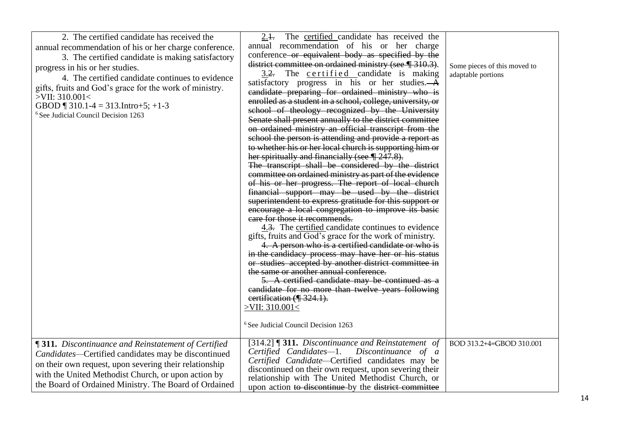| 2. The certified candidate has received the<br>annual recommendation of his or her charge conference.<br>3. The certified candidate is making satisfactory<br>progress in his or her studies.<br>4. The certified candidate continues to evidence<br>gifts, fruits and God's grace for the work of ministry.<br>$>$ VII: 310.001<<br>GBOD $\sqrt{310.1-4} = 313$ . Intro+5; +1-3<br><sup>6</sup> See Judicial Council Decision 1263 | 2. <del>1.</del> The certified candidate has received the<br>annual recommendation of his or her charge<br>conference or equivalent body as specified by the<br>district committee on ordained ministry (see ¶ 310.3).<br>3.2. The certified candidate is making<br>satisfactory progress in his or her studies. A<br>candidate preparing for ordained ministry who is<br>enrolled as a student in a school, college, university, or<br>school of theology recognized by the University<br>Senate shall present annually to the district committee<br>on ordained ministry an official transcript from the<br>school the person is attending and provide a report as<br>to whether his or her local church is supporting him or<br>her spiritually and financially (see ¶ 247.8).<br>The transcript shall be considered by the district<br>committee on ordained ministry as part of the evidence<br>of his or her progress. The report of local church<br>financial support may be used by the district<br>superintendent to express gratitude for this support or<br>encourage a local congregation to improve its basic<br>care for those it recommends.<br>4.3. The certified candidate continues to evidence<br>gifts, fruits and God's grace for the work of ministry.<br>4. A person who is a certified candidate or who is<br>in the candidacy process may have her or his status<br>or studies accepted by another district committee in<br>the same or another annual conference.<br>5. A certified candidate may be continued as a<br>candidate for no more than twelve years following<br>certification (¶ 324.1).<br>>VII: 310.001<<br><sup>6</sup> See Judicial Council Decision 1263 | Some pieces of this moved to<br>adaptable portions |
|-------------------------------------------------------------------------------------------------------------------------------------------------------------------------------------------------------------------------------------------------------------------------------------------------------------------------------------------------------------------------------------------------------------------------------------|-----------------------------------------------------------------------------------------------------------------------------------------------------------------------------------------------------------------------------------------------------------------------------------------------------------------------------------------------------------------------------------------------------------------------------------------------------------------------------------------------------------------------------------------------------------------------------------------------------------------------------------------------------------------------------------------------------------------------------------------------------------------------------------------------------------------------------------------------------------------------------------------------------------------------------------------------------------------------------------------------------------------------------------------------------------------------------------------------------------------------------------------------------------------------------------------------------------------------------------------------------------------------------------------------------------------------------------------------------------------------------------------------------------------------------------------------------------------------------------------------------------------------------------------------------------------------------------------------------------------------------------------------------------------------------------------------------|----------------------------------------------------|
| <b>[311.</b> Discontinuance and Reinstatement of Certified<br>Candidates—Certified candidates may be discontinued<br>on their own request, upon severing their relationship<br>with the United Methodist Church, or upon action by<br>the Board of Ordained Ministry. The Board of Ordained                                                                                                                                         | [314.2] <b>[311.</b> Discontinuance and Reinstatement of<br>Certified Candidates-1.<br>Discontinuance of a<br>Certified Candidate-Certified candidates may be<br>discontinued on their own request, upon severing their<br>relationship with The United Methodist Church, or<br>upon action to discontinue by the district committee                                                                                                                                                                                                                                                                                                                                                                                                                                                                                                                                                                                                                                                                                                                                                                                                                                                                                                                                                                                                                                                                                                                                                                                                                                                                                                                                                                | BOD 313.2+4=GBOD 310.001                           |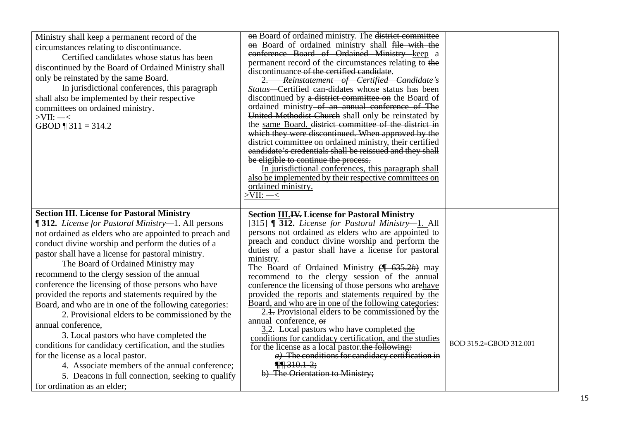| Ministry shall keep a permanent record of the<br>circumstances relating to discontinuance.<br>Certified candidates whose status has been<br>discontinued by the Board of Ordained Ministry shall<br>only be reinstated by the same Board.<br>In jurisdictional conferences, this paragraph<br>shall also be implemented by their respective<br>committees on ordained ministry.<br>$>$ VII: $-$ <<br>GBOD $\P$ 311 = 314.2                                                                                                                                                                                                                                                                                                                                                                                                                                                                                    | on Board of ordained ministry. The district committee<br>on Board of ordained ministry shall file with the<br>conference Board of Ordained Ministry keep a<br>permanent record of the circumstances relating to the<br>discontinuance of the certified candidate.<br>Reinstatement of Certified Candidate's<br><b>Status</b> - Certified can-didates whose status has been<br>discontinued by a district committee on the Board of<br>ordained ministry-of an annual conference of The<br>United Methodist Church shall only be reinstated by<br>the same Board. district committee of the district in<br>which they were discontinued. When approved by the<br>district committee on ordained ministry, their certified<br>eandidate's credentials shall be reissued and they shall<br>be eligible to continue the process.<br>In jurisdictional conferences, this paragraph shall<br>also be implemented by their respective committees on<br>ordained ministry.<br>$>$ VII: $-$ < |                        |
|---------------------------------------------------------------------------------------------------------------------------------------------------------------------------------------------------------------------------------------------------------------------------------------------------------------------------------------------------------------------------------------------------------------------------------------------------------------------------------------------------------------------------------------------------------------------------------------------------------------------------------------------------------------------------------------------------------------------------------------------------------------------------------------------------------------------------------------------------------------------------------------------------------------|--------------------------------------------------------------------------------------------------------------------------------------------------------------------------------------------------------------------------------------------------------------------------------------------------------------------------------------------------------------------------------------------------------------------------------------------------------------------------------------------------------------------------------------------------------------------------------------------------------------------------------------------------------------------------------------------------------------------------------------------------------------------------------------------------------------------------------------------------------------------------------------------------------------------------------------------------------------------------------------|------------------------|
| <b>Section III. License for Pastoral Ministry</b><br><b>1312.</b> License for Pastoral Ministry-1. All persons<br>not ordained as elders who are appointed to preach and<br>conduct divine worship and perform the duties of a<br>pastor shall have a license for pastoral ministry.<br>The Board of Ordained Ministry may<br>recommend to the clergy session of the annual<br>conference the licensing of those persons who have<br>provided the reports and statements required by the<br>Board, and who are in one of the following categories:<br>2. Provisional elders to be commissioned by the<br>annual conference,<br>3. Local pastors who have completed the<br>conditions for candidacy certification, and the studies<br>for the license as a local pastor.<br>4. Associate members of the annual conference;<br>5. Deacons in full connection, seeking to qualify<br>for ordination as an elder; | <b>Section III.IV. License for Pastoral Ministry</b><br>[315] $\blacksquare$ <b>312.</b> License for Pastoral Ministry-1. All<br>persons not ordained as elders who are appointed to<br>preach and conduct divine worship and perform the<br>duties of a pastor shall have a license for pastoral<br>ministry.<br>The Board of Ordained Ministry $(\sqrt{\phantom{a}+635.2h})$ may<br>recommend to the clergy session of the annual<br>conference the licensing of those persons who arehave<br>provided the reports and statements required by the<br>Board, and who are in one of the following categories:<br>2.4. Provisional elders to be commissioned by the<br>annual conference, or<br>3.2. Local pastors who have completed the<br>conditions for candidacy certification, and the studies<br>for the license as a local pastor the following:<br>$a)$ The conditions for candidacy certification in<br>$\P\P$ 310.1-2;<br>b) The Orientation to Ministry;                  | BOD 315.2=GBOD 312.001 |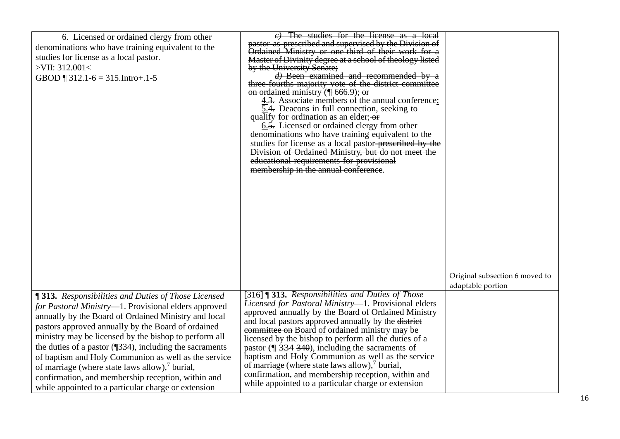| 6. Licensed or ordained clergy from other<br>denominations who have training equivalent to the<br>studies for license as a local pastor.<br>$>$ VII: 312.001<<br>GBOD $\textcolor{red}{\P}$ 312.1-6 = 315.Intro+.1-5                                                                                                                                                                                                                                                                                                                                                                      | $\epsilon$ ) The studies for the license as a local<br>pastor as prescribed and supervised by the Division of<br>Ordained Ministry or one third of their work for a<br>Master of Divinity degree at a school of theology listed<br>by the University Senate;<br>$d$ ) Been examined and recommended by a<br>three fourths majority vote of the district committee<br>on ordained ministry $(\sqrt{\frac{666.9}{100}})$ ; or<br>4.3. Associate members of the annual conference;<br>5.4. Deacons in full connection, seeking to<br>qualify for ordination as an elder; or<br>6.5. Licensed or ordained clergy from other<br>denominations who have training equivalent to the<br>studies for license as a local pastor-prescribed by the<br>Division of Ordained Ministry, but do not meet the<br>educational requirements for provisional<br>membership in the annual conference. |                                                     |
|-------------------------------------------------------------------------------------------------------------------------------------------------------------------------------------------------------------------------------------------------------------------------------------------------------------------------------------------------------------------------------------------------------------------------------------------------------------------------------------------------------------------------------------------------------------------------------------------|-----------------------------------------------------------------------------------------------------------------------------------------------------------------------------------------------------------------------------------------------------------------------------------------------------------------------------------------------------------------------------------------------------------------------------------------------------------------------------------------------------------------------------------------------------------------------------------------------------------------------------------------------------------------------------------------------------------------------------------------------------------------------------------------------------------------------------------------------------------------------------------|-----------------------------------------------------|
| ¶313. Responsibilities and Duties of Those Licensed<br>for Pastoral Ministry-1. Provisional elders approved<br>annually by the Board of Ordained Ministry and local<br>pastors approved annually by the Board of ordained<br>ministry may be licensed by the bishop to perform all<br>the duties of a pastor $(\sqrt{334})$ , including the sacraments<br>of baptism and Holy Communion as well as the service<br>of marriage (where state laws allow), <sup>7</sup> burial,<br>confirmation, and membership reception, within and<br>while appointed to a particular charge or extension | [316] <b>[313.</b> Responsibilities and Duties of Those<br>Licensed for Pastoral Ministry-1. Provisional elders<br>approved annually by the Board of Ordained Ministry<br>and local pastors approved annually by the district<br>committee on Board of ordained ministry may be<br>licensed by the bishop to perform all the duties of a<br>pastor $(\frac{1334}340)$ , including the sacraments of<br>baptism and Holy Communion as well as the service<br>of marriage (where state laws allow), $\frac{7}{7}$ burial,<br>confirmation, and membership reception, within and<br>while appointed to a particular charge or extension                                                                                                                                                                                                                                              | Original subsection 6 moved to<br>adaptable portion |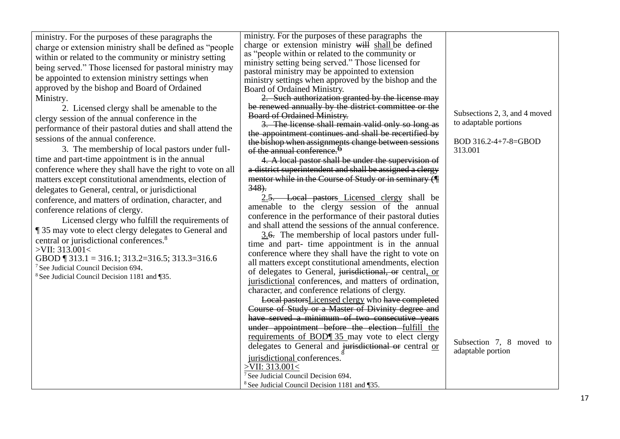| ministry. For the purposes of these paragraphs the<br>charge or extension ministry shall be defined as "people<br>within or related to the community or ministry setting<br>being served." Those licensed for pastoral ministry may<br>be appointed to extension ministry settings when<br>approved by the bishop and Board of Ordained<br>Ministry.<br>2. Licensed clergy shall be amenable to the<br>clergy session of the annual conference in the<br>performance of their pastoral duties and shall attend the<br>sessions of the annual conference.<br>3. The membership of local pastors under full-<br>time and part-time appointment is in the annual<br>conference where they shall have the right to vote on all<br>matters except constitutional amendments, election of<br>delegates to General, central, or jurisdictional<br>conference, and matters of ordination, character, and<br>conference relations of clergy.<br>Licensed clergy who fulfill the requirements of<br>135 may vote to elect clergy delegates to General and<br>central or jurisdictional conferences. <sup>8</sup><br>$>$ VII: 313.001<<br>GBOD $\text{\textsterling}313.1 = 316.1$ ; 313.2=316.5; 313.3=316.6<br>$7$ See Judicial Council Decision 694.<br><sup>8</sup> See Judicial Council Decision 1181 and ¶35. | ministry. For the purposes of these paragraphs the<br>charge or extension ministry will shall be defined<br>as "people within or related to the community or<br>ministry setting being served." Those licensed for<br>pastoral ministry may be appointed to extension<br>ministry settings when approved by the bishop and the<br>Board of Ordained Ministry.<br>2. Such authorization granted by the license may<br>be renewed annually by the district committee or the<br><b>Board of Ordained Ministry.</b><br>3. The license shall remain valid only so long as<br>the appointment continues and shall be recertified by<br>the bishop when assignments change between sessions<br>of the annual conference. <sup>6</sup><br>4. A local pastor shall be under the supervision of<br>a district superintendent and shall be assigned a clergy<br>mentor while in the Course of Study or in seminary (<br>348.<br>2.5. Local pastors Licensed clergy shall be<br>amenable to the clergy session of the annual<br>conference in the performance of their pastoral duties<br>and shall attend the sessions of the annual conference.<br>3.6. The membership of local pastors under full-<br>time and part- time appointment is in the annual<br>conference where they shall have the right to vote on<br>all matters except constitutional amendments, election<br>of delegates to General, jurisdictional, or central, or<br>jurisdictional conferences, and matters of ordination,<br>character, and conference relations of clergy.<br>Local pastors Licensed clergy who have completed<br>Course of Study or a Master of Divinity degree and<br>have served a minimum of two consecutive years<br>under appointment before the election fulfill the<br>requirements of BOD¶ 35 may vote to elect clergy<br>delegates to General and jurisdictional or central or<br>jurisdictional conferences.<br>$>$ VII: 313.001<<br><sup>7</sup> See Judicial Council Decision 694.<br><sup>8</sup> See Judicial Council Decision 1181 and [35.] | Subsections 2, 3, and 4 moved<br>to adaptable portions<br>BOD 316.2-4+7-8=GBOD<br>313.001<br>Subsection 7, 8 moved to<br>adaptable portion |
|----------------------------------------------------------------------------------------------------------------------------------------------------------------------------------------------------------------------------------------------------------------------------------------------------------------------------------------------------------------------------------------------------------------------------------------------------------------------------------------------------------------------------------------------------------------------------------------------------------------------------------------------------------------------------------------------------------------------------------------------------------------------------------------------------------------------------------------------------------------------------------------------------------------------------------------------------------------------------------------------------------------------------------------------------------------------------------------------------------------------------------------------------------------------------------------------------------------------------------------------------------------------------------------------------------|-------------------------------------------------------------------------------------------------------------------------------------------------------------------------------------------------------------------------------------------------------------------------------------------------------------------------------------------------------------------------------------------------------------------------------------------------------------------------------------------------------------------------------------------------------------------------------------------------------------------------------------------------------------------------------------------------------------------------------------------------------------------------------------------------------------------------------------------------------------------------------------------------------------------------------------------------------------------------------------------------------------------------------------------------------------------------------------------------------------------------------------------------------------------------------------------------------------------------------------------------------------------------------------------------------------------------------------------------------------------------------------------------------------------------------------------------------------------------------------------------------------------------------------------------------------------------------------------------------------------------------------------------------------------------------------------------------------------------------------------------------------------------------------------------------------------------------------------------------------------------------------------------------------------------------------------------------------------------------------------------------------------------------------------|--------------------------------------------------------------------------------------------------------------------------------------------|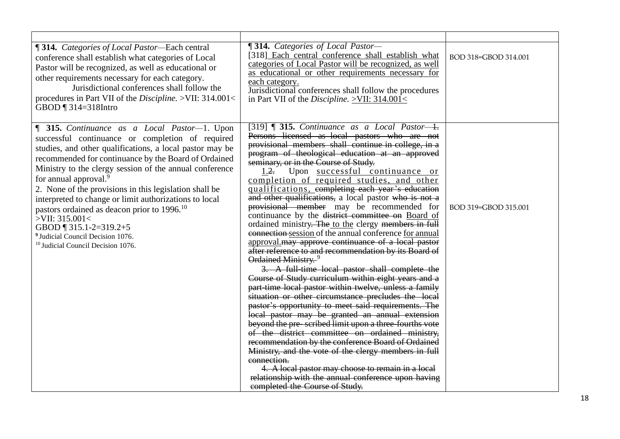| <b>1314.</b> Categories of Local Pastor—Each central<br>conference shall establish what categories of Local<br>Pastor will be recognized, as well as educational or<br>other requirements necessary for each category.<br>Jurisdictional conferences shall follow the<br>procedures in Part VII of the Discipline. >VII: 314.001<<br>GBOD $\P$ 314=318Intro                                                                                                                                                                                                                                                                                        | ¶314. Categories of Local Pastor-<br>[318] Each central conference shall establish what<br>categories of Local Pastor will be recognized, as well<br>as educational or other requirements necessary for<br>each category.<br>Jurisdictional conferences shall follow the procedures<br>in Part VII of the <i>Discipline</i> . $\geq$ VII: 314.001<                                                                                                                                                                                                                                                                                                                                                                                                                                                                                                                                                                                                                                                                                                                                                                                                                                                                                                                                                                                                                                                                                                                                                                                                                    | BOD 318=GBOD 314.001 |
|----------------------------------------------------------------------------------------------------------------------------------------------------------------------------------------------------------------------------------------------------------------------------------------------------------------------------------------------------------------------------------------------------------------------------------------------------------------------------------------------------------------------------------------------------------------------------------------------------------------------------------------------------|-----------------------------------------------------------------------------------------------------------------------------------------------------------------------------------------------------------------------------------------------------------------------------------------------------------------------------------------------------------------------------------------------------------------------------------------------------------------------------------------------------------------------------------------------------------------------------------------------------------------------------------------------------------------------------------------------------------------------------------------------------------------------------------------------------------------------------------------------------------------------------------------------------------------------------------------------------------------------------------------------------------------------------------------------------------------------------------------------------------------------------------------------------------------------------------------------------------------------------------------------------------------------------------------------------------------------------------------------------------------------------------------------------------------------------------------------------------------------------------------------------------------------------------------------------------------------|----------------------|
| 1 315. Continuance as a Local Pastor-1. Upon<br>successful continuance or completion of required<br>studies, and other qualifications, a local pastor may be<br>recommended for continuance by the Board of Ordained<br>Ministry to the clergy session of the annual conference<br>for annual approval. <sup>9</sup><br>2. None of the provisions in this legislation shall be<br>interpreted to change or limit authorizations to local<br>pastors ordained as deacon prior to 1996. <sup>10</sup><br>$>$ VII: 315.001<<br>GBOD 1315.1-2=319.2+5<br><sup>9</sup> Judicial Council Decision 1076.<br><sup>10</sup> Judicial Council Decision 1076. | [319] $\parallel$ 315. Continuance as a Local Pastor- $\pm$ .<br>Persons licensed as local pastors who are not<br>provisional members shall continue in college, in a<br>program of theological education at an approved<br>seminary, or in the Course of Study.<br>Upon successful continuance or<br>1.2.<br>completion of required studies, and other<br>qualifications, completing each year's education<br>and other qualifications, a local pastor who is not a<br>provisional member may be recommended for<br>continuance by the district committee on Board of<br>ordained ministry. The to the clergy members in full<br>connection session of the annual conference for annual<br>approval may approve continuance of a local pastor<br>after reference to and recommendation by its Board of<br>Ordained Ministry. <sup>9</sup><br>3. A full-time local pastor shall complete the<br>Course of Study curriculum within eight years and a<br>part time local pastor within twelve, unless a family<br>situation or other circumstance precludes the local<br>pastor's opportunity to meet said requirements. The<br>local pastor may be granted an annual extension<br>beyond the pre-scribed limit upon a three-fourths vote<br>of the district committee on ordained ministry,<br>recommendation by the conference Board of Ordained<br>Ministry, and the vote of the clergy members in full<br>connection.<br>4. A local pastor may choose to remain in a local<br>relationship with the annual conference upon having<br>completed the Course of Study. | BOD 319=GBOD 315.001 |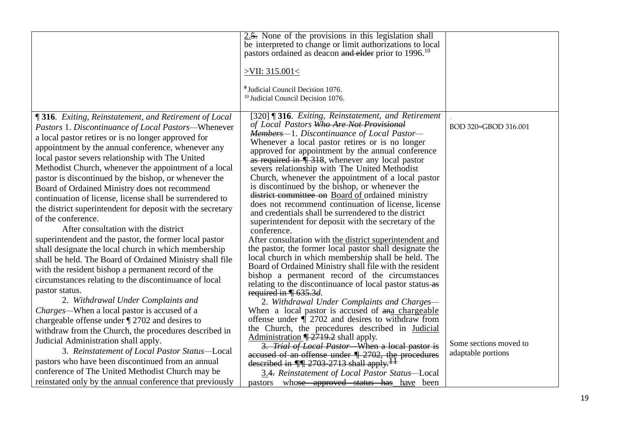|                                                                                                                                                                                                                                                                                                                                                                                                                                                                                                                                                                                                                                                                                                                                                                                                                                                                                                                                                                                                                                                                                                       | 2.5. None of the provisions in this legislation shall<br>be interpreted to change or limit authorizations to local<br>pastors ordained as deacon and elder prior to 1996. <sup>10</sup><br>$>$ VII: 315.001<<br><sup>9</sup> Judicial Council Decision 1076.<br><sup>10</sup> Judicial Council Decision 1076.                                                                                                                                                                                                                                                                                                                                                                                                                                                                                                                                                                                                                                                                                                                                                                                                                                                                                                                                                              |                                              |
|-------------------------------------------------------------------------------------------------------------------------------------------------------------------------------------------------------------------------------------------------------------------------------------------------------------------------------------------------------------------------------------------------------------------------------------------------------------------------------------------------------------------------------------------------------------------------------------------------------------------------------------------------------------------------------------------------------------------------------------------------------------------------------------------------------------------------------------------------------------------------------------------------------------------------------------------------------------------------------------------------------------------------------------------------------------------------------------------------------|----------------------------------------------------------------------------------------------------------------------------------------------------------------------------------------------------------------------------------------------------------------------------------------------------------------------------------------------------------------------------------------------------------------------------------------------------------------------------------------------------------------------------------------------------------------------------------------------------------------------------------------------------------------------------------------------------------------------------------------------------------------------------------------------------------------------------------------------------------------------------------------------------------------------------------------------------------------------------------------------------------------------------------------------------------------------------------------------------------------------------------------------------------------------------------------------------------------------------------------------------------------------------|----------------------------------------------|
|                                                                                                                                                                                                                                                                                                                                                                                                                                                                                                                                                                                                                                                                                                                                                                                                                                                                                                                                                                                                                                                                                                       |                                                                                                                                                                                                                                                                                                                                                                                                                                                                                                                                                                                                                                                                                                                                                                                                                                                                                                                                                                                                                                                                                                                                                                                                                                                                            |                                              |
| ¶316. Exiting, Reinstatement, and Retirement of Local<br>Pastors 1. Discontinuance of Local Pastors-Whenever<br>a local pastor retires or is no longer approved for<br>appointment by the annual conference, whenever any<br>local pastor severs relationship with The United<br>Methodist Church, whenever the appointment of a local<br>pastor is discontinued by the bishop, or whenever the<br>Board of Ordained Ministry does not recommend<br>continuation of license, license shall be surrendered to<br>the district superintendent for deposit with the secretary<br>of the conference.<br>After consultation with the district<br>superintendent and the pastor, the former local pastor<br>shall designate the local church in which membership<br>shall be held. The Board of Ordained Ministry shall file<br>with the resident bishop a permanent record of the<br>circumstances relating to the discontinuance of local<br>pastor status.<br>2. Withdrawal Under Complaints and<br>Charges—When a local pastor is accused of a<br>chargeable offense under $\sqrt{2702}$ and desires to | [320] <b>[316.</b> Exiting, Reinstatement, and Retirement<br>of Local Pastors Who Are Not Provisional<br>Members-1. Discontinuance of Local Pastor-<br>Whenever a local pastor retires or is no longer<br>approved for appointment by the annual conference<br>as required in $\P$ 318, whenever any local pastor<br>severs relationship with The United Methodist<br>Church, whenever the appointment of a local pastor<br>is discontinued by the bishop, or whenever the<br>district committee on Board of ordained ministry<br>does not recommend continuation of license, license<br>and credentials shall be surrendered to the district<br>superintendent for deposit with the secretary of the<br>conference.<br>After consultation with the district superintendent and<br>the pastor, the former local pastor shall designate the<br>local church in which membership shall be held. The<br>Board of Ordained Ministry shall file with the resident<br>bishop a permanent record of the circumstances<br>relating to the discontinuance of local pastor status as<br>required in $\P$ 635.3 <i>d</i> .<br>2. Withdrawal Under Complaints and Charges-<br>When a local pastor is accused of ana chargeable<br>offense under $\P$ 2702 and desires to withdraw from | BOD 320=GBOD 316.001                         |
| withdraw from the Church, the procedures described in<br>Judicial Administration shall apply.<br>3. Reinstatement of Local Pastor Status-Local<br>pastors who have been discontinued from an annual<br>conference of The United Methodist Church may be<br>reinstated only by the annual conference that previously                                                                                                                                                                                                                                                                                                                                                                                                                                                                                                                                                                                                                                                                                                                                                                                   | the Church, the procedures described in Judicial<br>Administration $\P$ 2719.2 shall apply.<br>3. Trial of Local Pastor When a local pastor is<br>accused of an offense under 1 2702, the procedures<br>described in $\P\P$ 2703-2713 shall apply. <sup>11</sup><br>3.4. Reinstatement of Local Pastor Status-Local<br>pastors whose approved status has have been                                                                                                                                                                                                                                                                                                                                                                                                                                                                                                                                                                                                                                                                                                                                                                                                                                                                                                         | Some sections moved to<br>adaptable portions |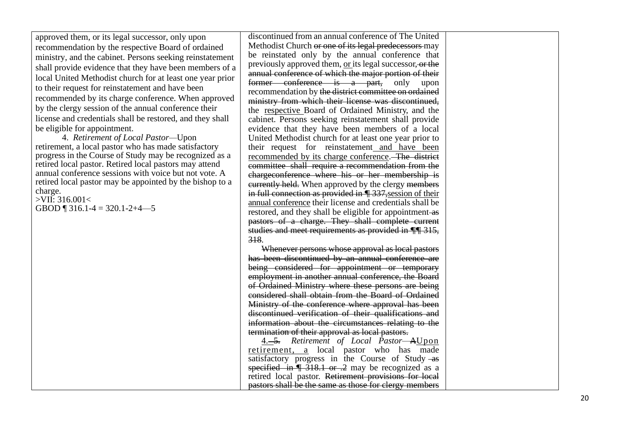approved them, or its legal successor, only upon recommendation by the respective Board of ordained ministry, and the cabinet. Persons seeking reinstatement shall provide evidence that they have been members of a local United Methodist church for at least one year prior to their request for reinstatement and have been recommended by its charge conference. When approved by the clergy session of the annual conference their license and credentials shall be restored, and they shall be eligible for appointment.

4. *Retirement of Local Pastor—*Upon retirement, a local pastor who has made satisfactory progress in the Course of Study may be recognized as a retired local pastor. Retired local pastors may attend annual conference sessions with voice but not vote. A retired local pastor may be appointed by the bishop to a charge.

 $>$ VII: 316.001< GBOD  $\sqrt{316.1} - 4 = 320.1 - 2 + 4 - 5$ 

discontinued from an annual confe rence of The United Methodist Church <del>or one of its legal predecessors </del>may be reinstated only by the annual confe rence that previously approved them, <u>or </u>its legal successor, <del>or the</del> annual conference of which the major portion of their former conference is a part, only upon recommendation by the district committee on ordained ministry from which their license was discontinued, the respective Board of Ordained Ministry, and the cabinet. Persons seeking reinstatement shall provide evidence that they have been members of a local United Methodist church for at least one year prior to their request for reinstatement and have been recommended by its charge conference . The district committee shall require a recommendation from the cha rgeconfe rence whe re his or her membership is eurrently held. When approved by the clergy <del>members</del> in full connection as provided in  $\P$  337, session of their annual conference their license and c redentials shall be restored, and they shall be eligible for appointment-as pastors of a charge. They shall complete current studies and meet requirements as provided in ¶¶ 315, 318 .

Whenever persons whose approval as local pastors has been discontinued by an annual conference are being considered for appointment or temporary employment in another annual conference, the Board of Ordained Ministry where these persons are being considered shall obtain from the Board of Ordained Ministry of the conference where approval has been discontinued verification of their qualifications and information about the circumstances relating to the termination of their approval as local pastors.

4. 5. *Reti rement of Local Pastor—* AUpon retirement, a local pastor who has made satisfactory progress in the Course of Study -as specified in  $\frac{1}{318.1}$  or .2 may be recognized as a retired local pastor. Retirement provisions for local pastors shall be the same as those for clergy members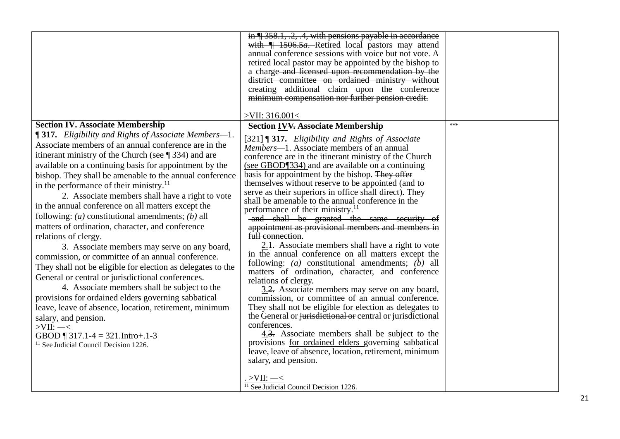|                                                                                                                                                                                                                                                                                                                                                                                                                                                                                                                                                                                                                                                                                                                                                                                                                                                                                                                                                                                                                                                                                                                                                                                           | in $\P$ 358.1, .2, .4, with pensions payable in accordance<br>with $\P$ 1506.5 <i>a</i> . Retired local pastors may attend<br>annual conference sessions with voice but not vote. A<br>retired local pastor may be appointed by the bishop to<br>a charge and licensed upon recommendation by the<br>district committee on ordained ministry without<br>ereating additional claim upon the conference<br>minimum compensation nor further pension credit.<br>$>$ VII: 316.001<                                                                                                                                                                                                                                                                                                                                                                                                                                                                                                                                                                                                                                                                                                                                                                                                                                                                                         |       |
|-------------------------------------------------------------------------------------------------------------------------------------------------------------------------------------------------------------------------------------------------------------------------------------------------------------------------------------------------------------------------------------------------------------------------------------------------------------------------------------------------------------------------------------------------------------------------------------------------------------------------------------------------------------------------------------------------------------------------------------------------------------------------------------------------------------------------------------------------------------------------------------------------------------------------------------------------------------------------------------------------------------------------------------------------------------------------------------------------------------------------------------------------------------------------------------------|------------------------------------------------------------------------------------------------------------------------------------------------------------------------------------------------------------------------------------------------------------------------------------------------------------------------------------------------------------------------------------------------------------------------------------------------------------------------------------------------------------------------------------------------------------------------------------------------------------------------------------------------------------------------------------------------------------------------------------------------------------------------------------------------------------------------------------------------------------------------------------------------------------------------------------------------------------------------------------------------------------------------------------------------------------------------------------------------------------------------------------------------------------------------------------------------------------------------------------------------------------------------------------------------------------------------------------------------------------------------|-------|
| <b>Section IV. Associate Membership</b><br><b>1317.</b> Eligibility and Rights of Associate Members-1.<br>Associate members of an annual conference are in the<br>itinerant ministry of the Church (see $\P$ 334) and are<br>available on a continuing basis for appointment by the<br>bishop. They shall be amenable to the annual conference<br>in the performance of their ministry. <sup>11</sup><br>2. Associate members shall have a right to vote<br>in the annual conference on all matters except the<br>following: $(a)$ constitutional amendments; $(b)$ all<br>matters of ordination, character, and conference<br>relations of clergy.<br>3. Associate members may serve on any board,<br>commission, or committee of an annual conference.<br>They shall not be eligible for election as delegates to the<br>General or central or jurisdictional conferences.<br>4. Associate members shall be subject to the<br>provisions for ordained elders governing sabbatical<br>leave, leave of absence, location, retirement, minimum<br>salary, and pension.<br>$>$ VII: $-\lt$<br>GBOD $\sqrt{317.1-4} = 321$ . Intro+.1-3<br><sup>11</sup> See Judicial Council Decision 1226. | <b>Section IVV. Associate Membership</b><br>[321] [317. Eligibility and Rights of Associate<br>Members-1. Associate members of an annual<br>conference are in the itinerant ministry of the Church<br>(see GBOD¶334) and are available on a continuing<br>basis for appointment by the bishop. They offer<br>themselves without reserve to be appointed (and to<br>serve as their superiors in office shall direct). They<br>shall be amenable to the annual conference in the<br>performance of their ministry. <sup>11</sup><br>and shall be granted the same security of<br>appointment as provisional members and members in<br>full connection.<br>$2.1$ . Associate members shall have a right to vote<br>in the annual conference on all matters except the<br>following: $(a)$ constitutional amendments; $(b)$ all<br>matters of ordination, character, and conference<br>relations of clergy.<br>3.2. Associate members may serve on any board,<br>commission, or committee of an annual conference.<br>They shall not be eligible for election as delegates to<br>the General or jurisdictional or central or jurisdictional<br>conferences.<br>4.3. Associate members shall be subject to the<br>provisions for ordained elders governing sabbatical<br>leave, leave of absence, location, retirement, minimum<br>salary, and pension.<br>$>$ VII: $-\leq$ | $***$ |
|                                                                                                                                                                                                                                                                                                                                                                                                                                                                                                                                                                                                                                                                                                                                                                                                                                                                                                                                                                                                                                                                                                                                                                                           | <sup>11</sup> See Judicial Council Decision 1226.                                                                                                                                                                                                                                                                                                                                                                                                                                                                                                                                                                                                                                                                                                                                                                                                                                                                                                                                                                                                                                                                                                                                                                                                                                                                                                                      |       |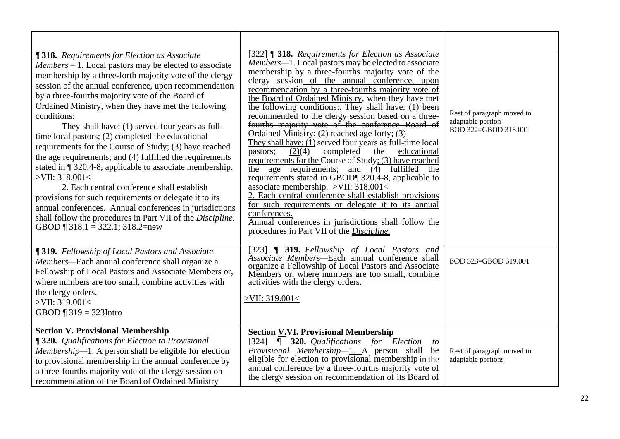| <b>1318.</b> Requirements for Election as Associate<br>$Members - 1$ . Local pastors may be elected to associate<br>membership by a three-forth majority vote of the clergy<br>session of the annual conference, upon recommendation<br>by a three-fourths majority vote of the Board of<br>Ordained Ministry, when they have met the following<br>conditions:<br>They shall have: (1) served four years as full-<br>time local pastors; (2) completed the educational<br>requirements for the Course of Study; (3) have reached<br>the age requirements; and (4) fulfilled the requirements<br>stated in ¶ 320.4-8, applicable to associate membership.<br>$>$ VII: 318.001<<br>2. Each central conference shall establish<br>provisions for such requirements or delegate it to its<br>annual conferences. Annual conferences in jurisdictions<br>shall follow the procedures in Part VII of the Discipline.<br>GBOD $\textcolor{red}{\P}$ 318.1 = 322.1; 318.2=new | [322] <b>[318.</b> Requirements for Election as Associate<br>Members-1. Local pastors may be elected to associate<br>membership by a three-fourths majority vote of the<br>clergy session of the annual conference, upon<br>recommendation by a three-fourths majority vote of<br>the Board of Ordained Ministry, when they have met<br>the following conditions: They shall have: (1) been<br>recommended to the clergy session based on a three-<br>fourths majority vote of the conference Board of<br>Ordained Ministry; (2) reached age forty; (3)<br>They shall have: $(1)$ served four years as full-time local<br>pastors;<br>(2)(4)<br>completed<br>the<br>educational<br>requirements for the Course of Study; (3) have reached<br>the age requirements; and (4) fulfilled the<br>requirements stated in GBOD¶ 320.4-8, applicable to<br>associate membership. >VII: 318.001<<br>2. Each central conference shall establish provisions<br>for such requirements or delegate it to its annual<br>conferences.<br>Annual conferences in jurisdictions shall follow the<br>procedures in Part VII of the <i>Discipline</i> . | Rest of paragraph moved to<br>adaptable portion<br>BOD 322=GBOD 318.001 |
|-----------------------------------------------------------------------------------------------------------------------------------------------------------------------------------------------------------------------------------------------------------------------------------------------------------------------------------------------------------------------------------------------------------------------------------------------------------------------------------------------------------------------------------------------------------------------------------------------------------------------------------------------------------------------------------------------------------------------------------------------------------------------------------------------------------------------------------------------------------------------------------------------------------------------------------------------------------------------|-------------------------------------------------------------------------------------------------------------------------------------------------------------------------------------------------------------------------------------------------------------------------------------------------------------------------------------------------------------------------------------------------------------------------------------------------------------------------------------------------------------------------------------------------------------------------------------------------------------------------------------------------------------------------------------------------------------------------------------------------------------------------------------------------------------------------------------------------------------------------------------------------------------------------------------------------------------------------------------------------------------------------------------------------------------------------------------------------------------------------------------|-------------------------------------------------------------------------|
| <b>1319.</b> Fellowship of Local Pastors and Associate<br>Members-Each annual conference shall organize a<br>Fellowship of Local Pastors and Associate Members or,<br>where numbers are too small, combine activities with<br>the clergy orders.<br>$>$ VII: 319.001<<br>GBOD $\P$ 319 = 323Intro                                                                                                                                                                                                                                                                                                                                                                                                                                                                                                                                                                                                                                                                     | [323] <b>[319.</b> Fellowship of Local Pastors and<br>Associate Members—Each annual conference shall<br>organize a Fellowship of Local Pastors and Associate<br>Members or, where numbers are too small, combine<br>activities with the clergy orders.<br>$>$ VII: 319.001 $<$                                                                                                                                                                                                                                                                                                                                                                                                                                                                                                                                                                                                                                                                                                                                                                                                                                                      | BOD 323=GBOD 319.001                                                    |
| <b>Section V. Provisional Membership</b><br><b>1320.</b> Qualifications for Election to Provisional<br>Membership-1. A person shall be eligible for election<br>to provisional membership in the annual conference by<br>a three-fourths majority vote of the clergy session on<br>recommendation of the Board of Ordained Ministry                                                                                                                                                                                                                                                                                                                                                                                                                                                                                                                                                                                                                                   | <b>Section V.VI. Provisional Membership</b><br>[324] <b>[320.</b> Qualifications for Election<br>to<br>Provisional Membership-1. A person shall<br>be<br>eligible for election to provisional membership in the<br>annual conference by a three-fourths majority vote of<br>the clergy session on recommendation of its Board of                                                                                                                                                                                                                                                                                                                                                                                                                                                                                                                                                                                                                                                                                                                                                                                                    | Rest of paragraph moved to<br>adaptable portions                        |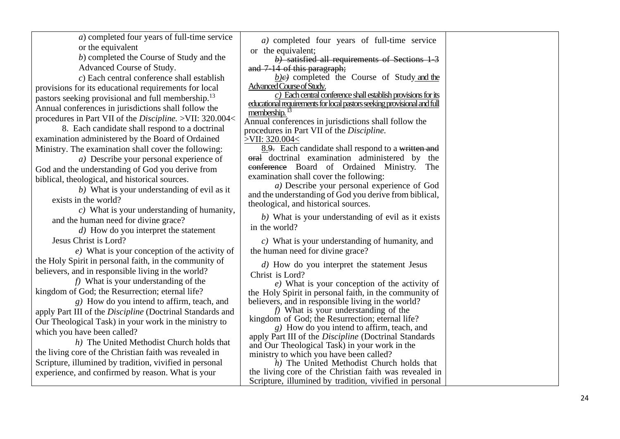| <i>a</i> ) completed four years of full-time service |  |
|------------------------------------------------------|--|
| or the equivalent                                    |  |

*b*) completed the Course of Study and the Advanced Course of Study.

*c*) Each central conference shall establish provisions for its educational requirements for local pastors seeking provisional and full membership.<sup>13</sup> Annual conferences in jurisdictions shall follow the procedures in Part VII of the *Discipline.* >VII: 320.004<

8. Each candidate shall respond to a doctrinal examination administered by the Board of Ordained Ministry. The examination shall cover the following:

*a)* Describe your personal experience of God and the understanding of God you derive from biblical, theological, and historical sources.

*b)* What is your understanding of evil as it exists in the world?

*c)* What is your understanding of humanity, and the human need for divine grace?

*d)* How do you interpret the statement Jesus Christ is Lord?

*e)* What is your conception of the activity of the Holy Spirit in personal faith, in the community of believers, and in responsible living in the world?

*f)* What is your understanding of the kingdom of God; the Resurrection; eternal life?

*g)* How do you intend to affirm, teach, and apply Part III of the *Discipline* (Doctrinal Standards and Our Theological Task) in your work in the ministry to which you have been called?

*h)* The United Methodist Church holds that the living core of the Christian faith was revealed in Scripture, illumined by tradition, vivified in personal experience, and confirmed by reason. What is your

a) completed four years of full-time service or the equivalent;

b) satisfied all requirements of Sections 1-3 and 7 -14 of this paragraph;

**b**<sub>l</sub>e) completed the Course of Study and the Advanced Course of Study.

*c)* Each central conference shall establish provisions for its educational requirements for local pastors seeking provisional and full membership.<sup>13</sup>

Annual conferences in jurisdictions shall follow the procedures in Part VII of the *Discipline.* 

>VII: 320.004<

8.9. Each candidate shall respond to a written and oral doctrinal examination administered by the eonference Board of Ordained Ministry. The examination shall cover the following:

*a)* Describe your personal experience of God and the understanding of God you derive from biblical, theological, and historical sources.

*b)* What is your understanding of evil as it exists in the world?

 $c)$  What is your understanding of humanity, and the human need for divine grace?

d) How do you interpret the statement Jesus Christ is Lord?

*e)* What is your conception of the activity of the Holy Spirit in personal faith, in the community of believers, and in responsible living in the world?

*f*) What is your understanding of the kingdom of God; the Resurrection; eternal life?

*g)* How do you intend to affirm, teach, and apply Part III of the *Discipline* (Doctrinal Standa rds and Our Theological Task) in your work in the ministry to which you have been called?

h) The United Methodist Church holds that the living co re of the Christian fait h was revealed in Scripture, illumined by tradition, vivified in personal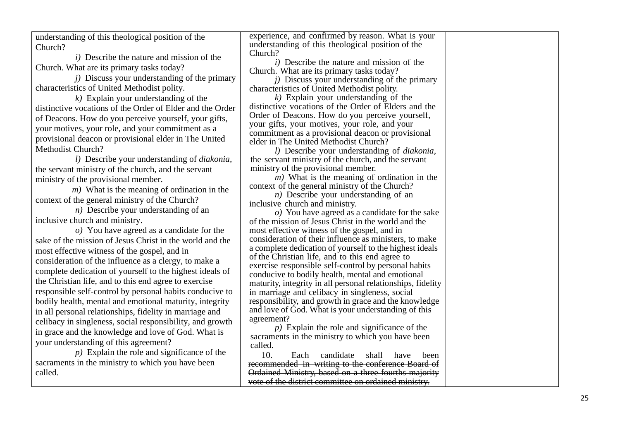understanding of this theological position of the Church?

*i)* Describe the nature and mission of the Church. What are its primary tasks today?

*j)* Discuss your understanding of the primary characteristics of United Methodist polity.

*k)* Explain your understanding of the distinctive vocations of the Order of Elder and the Order of Deacons. How do you perceive yourself, your gifts, your motives, your role, and your commitment as a provisional deacon or provisional elder in The United Methodist Church?

*l)* Describe your understanding of *diakonia,* the servant ministry of the church, and the servant ministry of the provisional member.

*m)* What is the meaning of ordination in the context of the general ministry of the Church?

*n)* Describe your understanding of an inclusive church and ministry.

*o)* You have agreed as a candidate for the sake of the mission of Jesus Christ in the world and the most effective witness of the gospel, and in consideration of the influence as a clergy, to make a complete dedication of yourself to the highest ideals of the Christian life, and to this end agree to exercise responsible self-control by personal habits conducive to bodily health, mental and emotional maturity, integrity in all personal relationships, fidelity in marriage and celibacy in singleness, social responsibility, and growth in grace and the knowledge and love of God. What is your understanding of this agreement?

*p)* Explain the role and significance of the sacraments in the ministry to which you have been called.

experience, and confirmed by reason. What is your understanding of this theological position of the Church?

*i*) Describe the nature and mission of the Chu rch. What a re its primary tasks today?

*j)* Discuss your understanding of the primary characte ristics of United Methodist polit y .

*k)* Explain your understanding of the distinctive vocations of the Order of Elders and the O rder of Deacons. How do you pe rceive yourself, your gifts, your motives, your role, and your commitment as a p rovisional deacon or p rovisional elder in The United Methodist Church?

*l)* Describe your understanding of *diakonia,* the servant ministry of the church, and the servant ministry of the provisional member.

*m*) What is the meaning of ordination in the context of the general ministry of the Church?

*n*) Describe your understanding of an inclusive church and ministry.

*o)* You have ag reed as a candidate for the sake of the mission of Jesus Christ in the world and the most effective witness of the gospel, and in consideration of their influence as ministers, to make a complete dedication of yourself to the highest ideals of the Christian life, and to this end agree to exercise responsible self-control by personal habits conducive to bodily health, mental and emotional maturit y, integrity in all personal relationships, fidelity in marriage and celibacy in singleness, social responsibility, and growth in grace and the knowledge and love of God. What is your understanding of this ag reement?

p) Explain the role and significance of the sacraments in the ministry to which you have been called.

10. Each candidate shall have been recommended in writing to the conference Board of O rdained Ministr y, based on a th ree -fourths majority vote of the district committee on ordained ministry.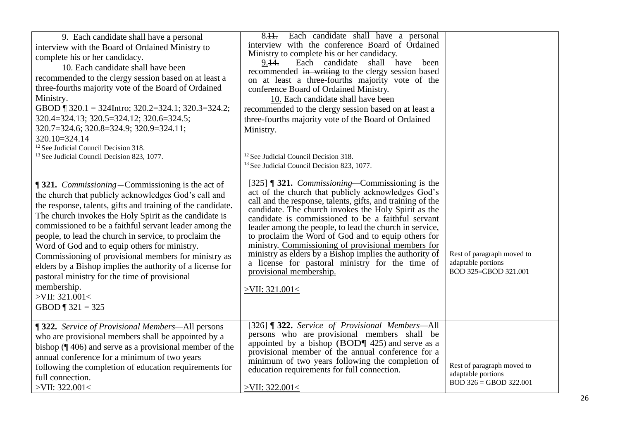| 9. Each candidate shall have a personal<br>interview with the Board of Ordained Ministry to<br>complete his or her candidacy.<br>10. Each candidate shall have been<br>recommended to the clergy session based on at least a<br>three-fourths majority vote of the Board of Ordained<br>Ministry.<br>GBOD $\sqrt{320.1}$ = 324Intro; 320.2=324.1; 320.3=324.2;<br>320.4=324.13; 320.5=324.12; 320.6=324.5;<br>320.7=324.6; 320.8=324.9; 320.9=324.11;<br>320.10=324.14<br><sup>12</sup> See Judicial Council Decision 318.<br><sup>13</sup> See Judicial Council Decision 823, 1077.                                                                | Each candidate shall have a personal<br>8.11.<br>interview with the conference Board of Ordained<br>Ministry to complete his or her candidacy.<br>Each candidate shall have<br>9.14.<br>been<br>recommended in writing to the clergy session based<br>on at least a three-fourths majority vote of the<br>conference Board of Ordained Ministry.<br>10. Each candidate shall have been<br>recommended to the clergy session based on at least a<br>three-fourths majority vote of the Board of Ordained<br>Ministry.<br><sup>12</sup> See Judicial Council Decision 318.<br><sup>13</sup> See Judicial Council Decision 823, 1077.          |                                                                              |
|-----------------------------------------------------------------------------------------------------------------------------------------------------------------------------------------------------------------------------------------------------------------------------------------------------------------------------------------------------------------------------------------------------------------------------------------------------------------------------------------------------------------------------------------------------------------------------------------------------------------------------------------------------|---------------------------------------------------------------------------------------------------------------------------------------------------------------------------------------------------------------------------------------------------------------------------------------------------------------------------------------------------------------------------------------------------------------------------------------------------------------------------------------------------------------------------------------------------------------------------------------------------------------------------------------------|------------------------------------------------------------------------------|
| <b>1321.</b> <i>Commissioning</i> – Commissioning is the act of<br>the church that publicly acknowledges God's call and<br>the response, talents, gifts and training of the candidate.<br>The church invokes the Holy Spirit as the candidate is<br>commissioned to be a faithful servant leader among the<br>people, to lead the church in service, to proclaim the<br>Word of God and to equip others for ministry.<br>Commissioning of provisional members for ministry as<br>elders by a Bishop implies the authority of a license for<br>pastoral ministry for the time of provisional<br>membership.<br>>VII: 321.001<<br>GBOD $\P$ 321 = 325 | [325] $\llbracket 321$ . <i>Commissioning</i> —Commissioning is the<br>act of the church that publicly acknowledges God's<br>call and the response, talents, gifts, and training of the<br>candidate. The church invokes the Holy Spirit as the<br>candidate is commissioned to be a faithful servant<br>leader among the people, to lead the church in service,<br>to proclaim the Word of God and to equip others for<br>ministry. Commissioning of provisional members for<br>ministry as elders by a Bishop implies the authority of<br>a license for pastoral ministry for the time of<br>provisional membership.<br>$>$ VII: 321.001< | Rest of paragraph moved to<br>adaptable portions<br>BOD 325=GBOD 321.001     |
| ¶ 322. Service of Provisional Members—All persons<br>who are provisional members shall be appointed by a<br>bishop $(\P 406)$ and serve as a provisional member of the<br>annual conference for a minimum of two years<br>following the completion of education requirements for<br>full connection.<br>>VII: 322.001<                                                                                                                                                                                                                                                                                                                              | [326] <b>[322.</b> Service of Provisional Members-All<br>persons who are provisional members shall be<br>appointed by a bishop (BOD¶ 425) and serve as a<br>provisional member of the annual conference for a<br>minimum of two years following the completion of<br>education requirements for full connection.<br>$>$ VII: 322.001<                                                                                                                                                                                                                                                                                                       | Rest of paragraph moved to<br>adaptable portions<br>$BOD$ 326 = GBOD 322.001 |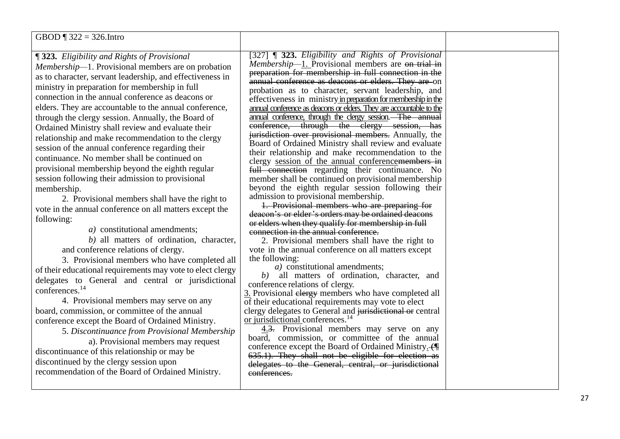| GBOD $\sqrt{ }$ 322 = 326. Intro                                                                                                                                                                                                                                                                                                                                                                                                                                                                                                                                                                                                                                                                                                                                                                                                                                                                                                                                                                                                                                                                                                                                                                                                                                                                                                                                                                                                                                                                                                                                                       |                                                                                                                                                                                                                                                                                                                                                                                                                                                                                                                                                                                                                                                                                                                                                                                                                                                                                                                                                                                                                                                                                                                                                                                                                                                                                                                                                                                                                                                                                                                                                                                                                                                                                                                                                                                                                                                                                                                                                      |  |
|----------------------------------------------------------------------------------------------------------------------------------------------------------------------------------------------------------------------------------------------------------------------------------------------------------------------------------------------------------------------------------------------------------------------------------------------------------------------------------------------------------------------------------------------------------------------------------------------------------------------------------------------------------------------------------------------------------------------------------------------------------------------------------------------------------------------------------------------------------------------------------------------------------------------------------------------------------------------------------------------------------------------------------------------------------------------------------------------------------------------------------------------------------------------------------------------------------------------------------------------------------------------------------------------------------------------------------------------------------------------------------------------------------------------------------------------------------------------------------------------------------------------------------------------------------------------------------------|------------------------------------------------------------------------------------------------------------------------------------------------------------------------------------------------------------------------------------------------------------------------------------------------------------------------------------------------------------------------------------------------------------------------------------------------------------------------------------------------------------------------------------------------------------------------------------------------------------------------------------------------------------------------------------------------------------------------------------------------------------------------------------------------------------------------------------------------------------------------------------------------------------------------------------------------------------------------------------------------------------------------------------------------------------------------------------------------------------------------------------------------------------------------------------------------------------------------------------------------------------------------------------------------------------------------------------------------------------------------------------------------------------------------------------------------------------------------------------------------------------------------------------------------------------------------------------------------------------------------------------------------------------------------------------------------------------------------------------------------------------------------------------------------------------------------------------------------------------------------------------------------------------------------------------------------------|--|
| <b>1823.</b> Eligibility and Rights of Provisional<br>Membership-1. Provisional members are on probation<br>as to character, servant leadership, and effectiveness in<br>ministry in preparation for membership in full<br>connection in the annual conference as deacons or<br>elders. They are accountable to the annual conference,<br>through the clergy session. Annually, the Board of<br>Ordained Ministry shall review and evaluate their<br>relationship and make recommendation to the clergy<br>session of the annual conference regarding their<br>continuance. No member shall be continued on<br>provisional membership beyond the eighth regular<br>session following their admission to provisional<br>membership.<br>2. Provisional members shall have the right to<br>vote in the annual conference on all matters except the<br>following:<br><i>a</i> ) constitutional amendments;<br>b) all matters of ordination, character,<br>and conference relations of clergy.<br>3. Provisional members who have completed all<br>of their educational requirements may vote to elect clergy<br>delegates to General and central or jurisdictional<br>conferences. <sup>14</sup><br>4. Provisional members may serve on any<br>board, commission, or committee of the annual<br>conference except the Board of Ordained Ministry.<br>5. Discontinuance from Provisional Membership<br>a). Provisional members may request<br>discontinuance of this relationship or may be<br>discontinued by the clergy session upon<br>recommendation of the Board of Ordained Ministry. | [327] <b>[ 323.</b> Eligibility and Rights of Provisional<br>Membership-1. Provisional members are on trial in<br>preparation for membership in full connection in the<br>annual conference as deacons or elders. They are on<br>probation as to character, servant leadership, and<br>effectiveness in ministry in preparation for membership in the<br>annual conference as deacons or elders. They are accountable to the<br>annual conference, through the clergy session. The annual<br>conference, through the clergy session, has<br>jurisdiction over provisional members. Annually, the<br>Board of Ordained Ministry shall review and evaluate<br>their relationship and make recommendation to the<br>clergy session of the annual conferencemembers in<br>full connection regarding their continuance. No<br>member shall be continued on provisional membership<br>beyond the eighth regular session following their<br>admission to provisional membership.<br>1. Provisional members who are preparing for<br>deacon's or elder's orders may be ordained deacons<br>or elders when they qualify for membership in full<br>connection in the annual conference.<br>2. Provisional members shall have the right to<br>vote in the annual conference on all matters except<br>the following:<br><i>a</i> ) constitutional amendments;<br>all matters of ordination, character, and<br>b)<br>conference relations of clergy.<br>3. Provisional elergy members who have completed all<br>of their educational requirements may vote to elect<br>clergy delegates to General and jurisdictional or central<br>or jurisdictional conferences. <sup>14</sup><br>4.3. Provisional members may serve on any<br>board, commission, or committee of the annual<br>conference except the Board of Ordained Ministry.<br>635.1). They shall not be eligible for election as<br>delegates to the General, central, or jurisdictional<br>conferences. |  |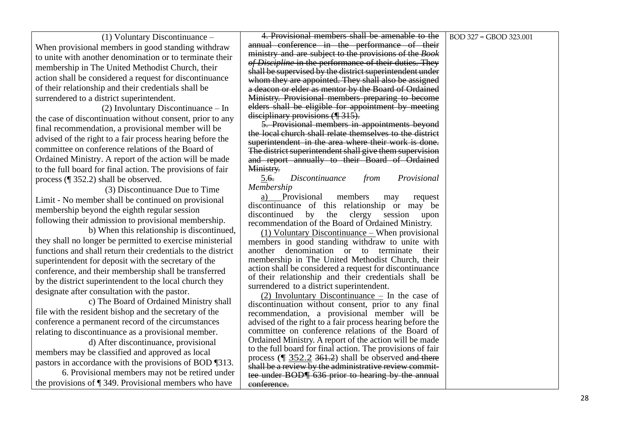#### BOD 327 = GBOD 323.001

(1) Voluntary Discontinuance – When provisional members in good standing withdraw to unite with another denomination or to terminate their membership in The United Methodist Church, their action shall be considered a request for discontinuance of their relationship and their credentials shall be surrendered to a district superintendent.

(2) Involuntary Discontinuance – In the case of discontinuation without consent, prior to any final recommendation, a provisional member will be advised of the right to a fair process hearing before the committee on conference relations of the Board of Ordained Ministry. A report of the action will be made to the full board for final action. The provisions of fair process (¶ 352.2) shall be observed.

(3) Discontinuance Due to Time Limit - No member shall be continued on provisional membership beyond the eighth regular session following their admission to provisional membership.

b) When this relationship is discontinued, they shall no longer be permitted to exercise ministerial functions and shall return their credentials to the district superintendent for deposit with the secretary of the conference, and their membership shall be transferred by the district superintendent to the local church they designate after consultation with the pastor.

c) The Board of Ordained Ministry shall file with the resident bishop and the secretary of the conference a permanent record of the circumstances relating to discontinuance as a provisional member.

d) After discontinuance, provisional members may be classified and approved as local pastors in accordance with the provisions of BOD ¶313.

6. Provisional members may not be retired under the provisions of ¶ 349. Provisional members who have

4. Provisional members shall be amenable to the annual conference in the performance of their ministry and are subject to the provisions of the *Book of Discipline* in the performance of their duties. They shall be supervised by the district superintendent under whom they are appointed. They shall also be assigned a deacon or elder as mentor by the Board of Ordained Ministry. Provisional members preparing to become elders shall be eligible for appointment by meeting disciplinary provisions (¶ 315).

5. Provisional members in appointments beyond the local church shall relate themselves to the district superintendent in the area where their work is done. The district superintendent shall give them supervision and report annually to their Board of Ordained Ministry.

5.6. *Discontinuance from Provisional Membership*

a) Provisional members may request discontinuance of this relationship or may be discontinued by the clergy session upon recommendation of the Board of Ordained Ministry.

(1) Voluntary Discontinuance – When provisional members in good standing withdraw to unite with another denomination or to terminate their membership in The United Methodist Church, their action shall be considered a request for discontinuance of their relationship and their credentials shall be surrendered to a district superintendent.

(2) Involuntary Discontinuance – In the case of discontinuation without consent, prior to any final recommendation, a provisional member will be advised of the right to a fair process hearing before the committee on conference relations of the Board of Ordained Ministry. A report of the action will be made to the full board for final action. The provisions of fair process  $(\sqrt{\frac{1352.2 \times 361.2}{2}})$  shall be observed and there shall be a review by the administrative review committee under BOD¶ 636 prior to hearing by the annual conference.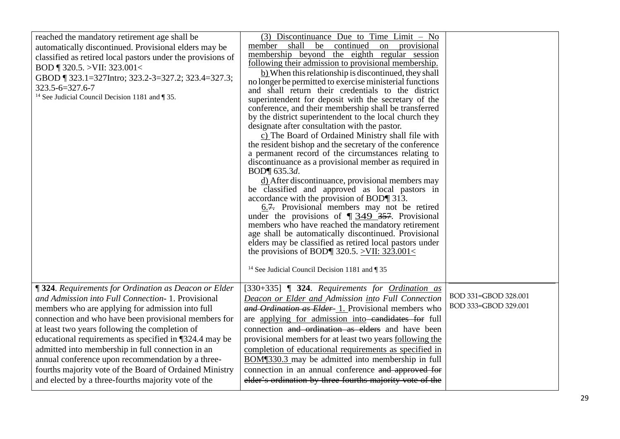| reached the mandatory retirement age shall be<br>automatically discontinued. Provisional elders may be<br>classified as retired local pastors under the provisions of<br>BOD ¶ 320.5. > VII: 323.001<<br>GBOD   323.1=327Intro; 323.2-3=327.2; 323.4=327.3;<br>$323.5 - 6 = 327.6 - 7$<br><sup>14</sup> See Judicial Council Decision 1181 and $\P$ 35.                                                                                                                                                                                                         | (3) Discontinuance Due to Time Limit $-$ No<br>shall<br>continued<br>member<br>be<br>provisional<br>on<br>membership beyond the eighth regular session<br>following their admission to provisional membership.<br>b) When this relationship is discontinued, they shall<br>no longer be permitted to exercise ministerial functions<br>and shall return their credentials to the district<br>superintendent for deposit with the secretary of the<br>conference, and their membership shall be transferred<br>by the district superintendent to the local church they<br>designate after consultation with the pastor.<br>c) The Board of Ordained Ministry shall file with<br>the resident bishop and the secretary of the conference<br>a permanent record of the circumstances relating to<br>discontinuance as a provisional member as required in<br>BOD¶ 635.3d.<br>d) After discontinuance, provisional members may<br>be classified and approved as local pastors in<br>accordance with the provision of BOD¶ 313.<br>$6.7$ . Provisional members may not be retired<br>under the provisions of $\sqrt{\frac{349}{357}}$ . Provisional<br>members who have reached the mandatory retirement<br>age shall be automatically discontinued. Provisional<br>elders may be classified as retired local pastors under<br>the provisions of BOD¶ 320.5. $\geq$ VII: 323.001<<br><sup>14</sup> See Judicial Council Decision 1181 and $\P$ 35 |                                              |
|-----------------------------------------------------------------------------------------------------------------------------------------------------------------------------------------------------------------------------------------------------------------------------------------------------------------------------------------------------------------------------------------------------------------------------------------------------------------------------------------------------------------------------------------------------------------|----------------------------------------------------------------------------------------------------------------------------------------------------------------------------------------------------------------------------------------------------------------------------------------------------------------------------------------------------------------------------------------------------------------------------------------------------------------------------------------------------------------------------------------------------------------------------------------------------------------------------------------------------------------------------------------------------------------------------------------------------------------------------------------------------------------------------------------------------------------------------------------------------------------------------------------------------------------------------------------------------------------------------------------------------------------------------------------------------------------------------------------------------------------------------------------------------------------------------------------------------------------------------------------------------------------------------------------------------------------------------------------------------------------------------------------------|----------------------------------------------|
| ¶ 324. Requirements for Ordination as Deacon or Elder<br>and Admission into Full Connection- 1. Provisional<br>members who are applying for admission into full<br>connection and who have been provisional members for<br>at least two years following the completion of<br>educational requirements as specified in ¶324.4 may be<br>admitted into membership in full connection in an<br>annual conference upon recommendation by a three-<br>fourths majority vote of the Board of Ordained Ministry<br>and elected by a three-fourths majority vote of the | [330+335] $\blacksquare$ 324. Requirements for Ordination as<br>Deacon or Elder and Admission into Full Connection<br>and Ordination as Elder- 1. Provisional members who<br>are applying for admission into–candidates for full<br>connection and ordination as elders and have been<br>provisional members for at least two years following the<br>completion of educational requirements as specified in<br>BOM¶330.3 may be admitted into membership in full<br>connection in an annual conference and approved for<br>elder's ordination by three-fourths majority vote of the                                                                                                                                                                                                                                                                                                                                                                                                                                                                                                                                                                                                                                                                                                                                                                                                                                                          | BOD 331=GBOD 328.001<br>BOD 333=GBOD 329.001 |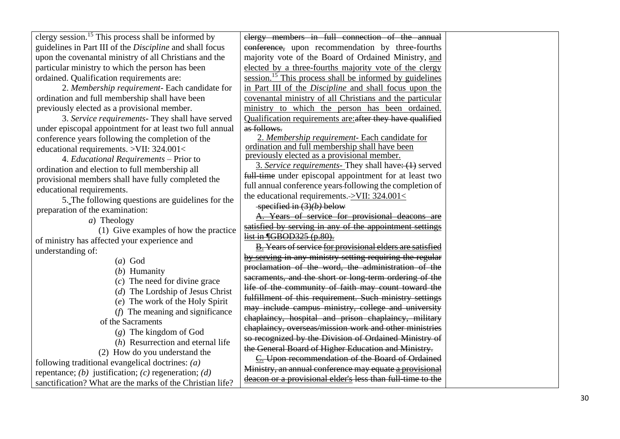clergy session.<sup>15</sup> This process shall be informed by guidelines in Part III of the *Discipline* and shall focus upon the covenantal ministry of all Christians and the particular ministry to which the person has been ordained. Qualification requirements are:

2. *Membership requirement -* Each candidate for ordination and full membership shall have been previously elected as a provisional member.

3. *Service requirements* - They shall have served under episcopal appointment for at least two full annual conference years following the completion of the educational requirements. >VII: 324.001<

4. *Educational Requirements* – Prior to ordination and election to full membership all provisional members shall have fully completed the educational requirements.

5. The following questions are guidelines for the preparation of the examination:

*a*) Theology

(1) Give examples of how the practice of ministry has affected your experience and understanding of:

- ( *a* ) God
- ( *b* ) Humanity
- ( *c* ) The need for divine grace

( *d* ) The Lordship of Jesus Christ

( *e* ) The work of the Holy Spirit

(*f*) The meaning and significance of the Sacraments

(*g*) The kingdom of God

(*h*) Resurrection and eternal life

(2) How do you understand the following traditional evangelical doctrines: *(a)*

repentance; *(b)* justification; *(c)* regeneration; *(d)* sanctification? What are the marks of the Christian life? clergy members in full connection of the annual conference, upon recommendation by three -fourths majority vote of the Board of Ordained Ministry, and elected by a three -fourths majority vote of the clergy session.<sup>15</sup> This process shall be informed by guidelines in Part III of the *Discipline* and shall focus upon the covenantal ministry of all Christians and the particular ministry to which the person has been ordained. Qualification requirements are:after they have qualified as follows.

2. *Membership requirement -* Each candidate for ordination and full membership shall have been previously elected as a provisional member.

3. *Service requirements* - They shall have: (1) served full-time under episcopal appointment for at least two full annual conference years-following the completion of the educational requirements. >VII: 324.001<

specified in (3)*(b)* below

A. Years of service for provisional deacons are satisfied by serving in any of the appointment settings  $\overline{\text{list in } \textsf{IGROD325 (p.80)}}$ 

B. Years of service for provisional elders are satisfied by serving in any ministry setting requiring the regular proclamation of the word, the administration of the sacraments, and the short or long-term ordering of the life of the community of faith may count toward the fulfillment of this requirement. Such ministry settings may include campus ministry, college and university chaplaincy, hospital and prison chaplaincy, military chaplaincy, overseas/mission work and other ministries so recognized by the Division of Ordained Ministry of the General Board of Higher Education and Ministry.

C. Upon recommendation of the Board of Ordained Ministry, an annual conference may equate a provisional deacon or a provisional elder's less than full -time to the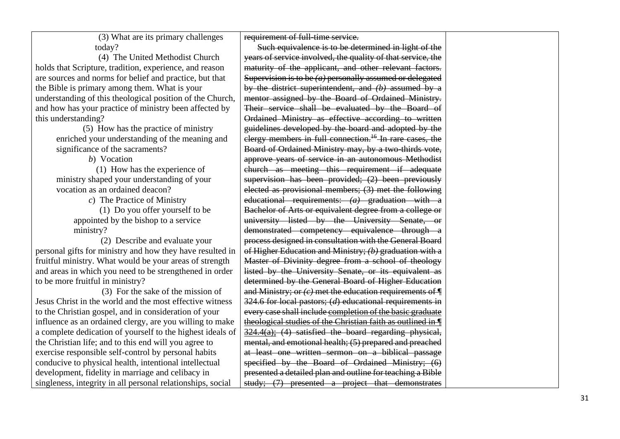(3) What are its primary challenges today?

(4) The United Methodist Church holds that Scripture, tradition, experience, and reason are sources and norms for belief and practice, but that the Bible is primary among them. What is your understanding of this theological position of the Church, and how has your practice of ministry been affected by this understanding?

> (5) How has the practice of ministry enriched your understanding of the meaning and significance of the sacraments?

*b*) Vocation

(1) How has the experience of ministry shaped your understanding of your vocation as an ordained deacon?

> *c*) The Practice of Ministry (1) Do you offer yourself to be

appointed by the bishop to a service ministry?

 (2) Describe and evaluate your personal gifts for ministry and how they have resulted in fruitful ministry. What would be your areas of strength and areas in which you need to be strengthened in order to be more fruitful in ministry?

(3 ) For the sake of the mission of Jesus Christ in the world and the most effective witness to the Christian gospel, and in consideration of your influence as an ordained clergy, are you willing to make a complete dedication of yourself to the highest ideals of the Christian life; and to this end will you agree to exercise responsible self -control by personal habits conducive to physical health, intentional intellectual development, fidelity in marriage and celibacy in singleness, integrity in all personal relationships, social

requirement of full -time service.

Such equivalence is to be determined in light of the years of service involved, the quality of that service, the maturity of the applicant, and other relevant factors. Supervision is to be *(a)* personally assumed or delegated by the district superintendent, and *(b)* assumed by a mentor assigned by the Board of Ordained Ministry. Their service shall be evaluated by the Board of Ordained Ministry as effective according to written guidelines developed by the board and adopted by the clergy members in full connection.<sup>16</sup> In rare cases, the Board of Ordained Ministry may, by a two -thirds vote, approve years of service in an autonomous Methodist church as meeting this requirement if adequate supervision has been provided; (2) been previously elected as provisional members; (3) met the following educational requirements: *(a)* graduation with a Bachelor of Arts or equivalent degree from a college or university listed by the University Senate, or demonstrated competency equivalence through a process designed in consultation with the General Board of Higher Education and Ministry; *(b)* graduation with a Master of Divinity degree from a school of theology listed by the University Senate, or its equivalent as determined by the General Board of Higher Education and Ministry; or *(c)* met the education requirements of ¶ 324.6 for local pastors; ( *d*) educational requirements in every case shall include completion of the basic graduate theological studies of the Christian faith as outlined in ¶  $324.4(a)$ ; (4) satisfied the board regarding physical, mental, and emotional health; (5) prepared and preached at least one written sermon on a biblical passage specified by the Board of Ordained Ministry; (6) presented a detailed plan and outline for teaching a Bible study; (7) presented a project that demonstrates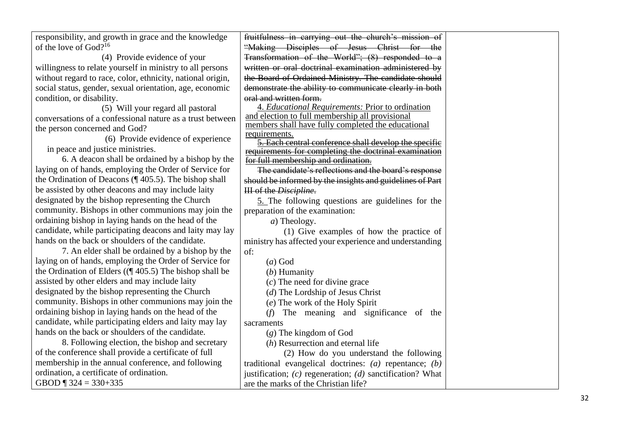responsibility, and growth in grace and the knowledge of the love of  $God<sup>16</sup>$ 

(4) Provide evidence of your willingness to relate yourself in ministry to all persons without regard to race, color, ethnicity, national origin, social status, gender, sexual orientation, age, economic condition, or disability.

(5) Will your regard all pastoral conversations of a confessional nature as a trust between the person concerned and God?

(6) Provide evidence of experience in peace and justice ministries.

6. A deacon shall be ordained by a bishop by the laying on of hands, employing the Order of Service for the Ordination of Deacons (¶ 405.5). The bishop shall be assisted by other deacons and may include laity designated by the bishop representing the Church community. Bishops in other communions may join the ordaining bishop in laying hands on the head of the candidate, while participating deacons and laity may lay hands on the back or shoulders of the candidate.

7. An elder shall be ordained by a bishop by the laying on of hands, employing the Order of Service for the Ordination of Elders ((¶ 405.5) The bishop shall be assisted by other elders and may include laity designated by the bishop representing the Church community. Bishops in other communions may join the ordaining bishop in laying hands on the head of the candidate, while participating elders and laity may lay hands on the back or shoulders of the candidate.

8. Following election, the bishop and secretary of the conference shall provide a certificate of full membership in the annual conference, and following ordination, a certificate of ordination. GBOD  $\sqrt{ }$  324 = 330+335

fruitfulness in carrying out the church's mission of "Making Disciples of Jesus Christ for the Transformation of the World"; (8) responded to a written or oral doctrinal examination administered by the Board of Ordained Ministry. The candidate should demonstrate the ability to communicate clearly in both oral and written form.

4. *Educational Requirements:* Prior to ordination and election to full membership all provisional members shall have fully completed the educational requirements.

5. Each central conference shall develop the specific requirements for completing the doctrinal examination for full membership and ordination.

The candidate's reflections and the board's response should be informed by the insights and guidelines of Part III of the *Discipline*.

5. The following questions are guidelines for the preparation of the examination:

*a*) Theology.

(1) Give examples of how the practice of ministry has affected your experience and understanding of:

( *a*) God

( *b*) Humanity

( *c*) The need for divine grace

( *d*) The Lordship of Jesus Christ

( *e*) The work of the Holy Spirit

(*f*) The meaning and significance of the sacraments

(*g*) The kingdom of God

(*h*) Resurrection and eternal life

(2) How do you understand the following traditional evangelical doctrines: *(a)* repentance; *(b)*  justification; *(c)* regeneration; *(d)* sanctification? What are the marks of the Christian life?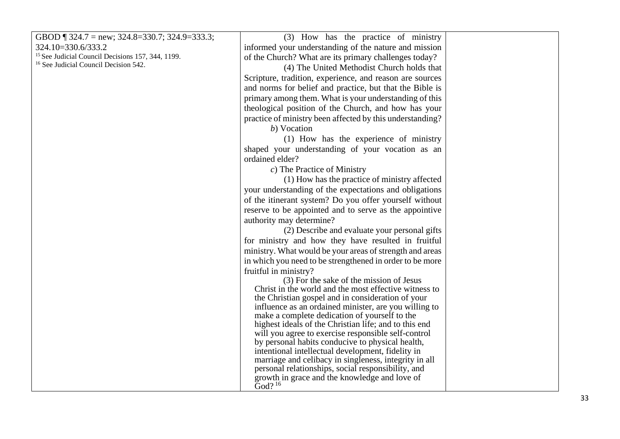GBOD | 324.7 = new; 324.8=330.7; 324.9=333.3; 324.10=330.6/333.2 <sup>15</sup> See Judicial Council Decisions 157, 344, 1199. <sup>16</sup> See Judicial Council Decision 542 .

(3) How has the practice of ministry informed your understanding of the nature and mission of the Church? What are its primary challenges today?

(4) The United Methodist Church holds that Scripture, tradition, experience, and reason are sources and norms for belief and practice, but that the Bible is primary among them. What is your understanding of this theological position of the Church, and how has your practice of ministry been affected by this understanding?

*b*) Vocation

(1) How has the experience of ministry shaped your understanding of your vocation as an ordained elder?

*c*) The Practice of Ministry

(1) How has the practice of ministry affected your understanding of the expectations and obligations of the itinerant system? Do you offer yourself without reserve to be appointed and to serve as the appointive authority may determine?

(2) Describe and evaluate your personal gifts for ministry and how they have resulted in fruitful ministry. What would be your areas of strength and areas in which you need to be strengthened in order to be more fruitful in ministry?

 (3) For the sake of the mission of Jesus Christ in the world and the most effective witness to the Christian gospel and in consideration of your influence as an ordained minister, are you willing to make a complete dedication of yourself to the highest ideals of the Christian life; and to this end will you agree to exercise responsible self-control by personal habits conducive to physical health, intentional intellectual development, fidelity in marriage and celibacy in singleness, integrity in all personal relationships, social responsibility, and growth in grace and the knowledge and love of  $\text{God}$ ? 16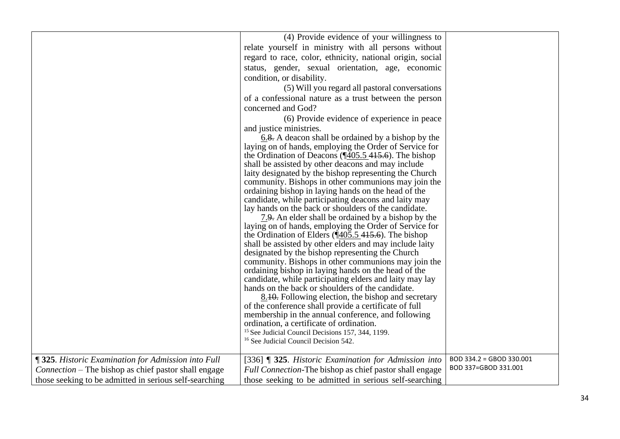|                                                             | (4) Provide evidence of your willingness to                                                                    |                          |
|-------------------------------------------------------------|----------------------------------------------------------------------------------------------------------------|--------------------------|
|                                                             | relate yourself in ministry with all persons without                                                           |                          |
|                                                             | regard to race, color, ethnicity, national origin, social                                                      |                          |
|                                                             | status, gender, sexual orientation, age, economic                                                              |                          |
|                                                             | condition, or disability.                                                                                      |                          |
|                                                             | (5) Will you regard all pastoral conversations                                                                 |                          |
|                                                             | of a confessional nature as a trust between the person                                                         |                          |
|                                                             | concerned and God?                                                                                             |                          |
|                                                             | (6) Provide evidence of experience in peace                                                                    |                          |
|                                                             | and justice ministries.                                                                                        |                          |
|                                                             | $6.8$ . A deacon shall be ordained by a bishop by the                                                          |                          |
|                                                             | laying on of hands, employing the Order of Service for                                                         |                          |
|                                                             | the Ordination of Deacons $(\sqrt{405.5}, \sqrt{415.6})$ . The bishop                                          |                          |
|                                                             | shall be assisted by other deacons and may include                                                             |                          |
|                                                             | laity designated by the bishop representing the Church                                                         |                          |
|                                                             | community. Bishops in other communions may join the                                                            |                          |
|                                                             | ordaining bishop in laying hands on the head of the<br>candidate, while participating deacons and laity may    |                          |
|                                                             | lay hands on the back or shoulders of the candidate.                                                           |                          |
|                                                             | 7.9. An elder shall be ordained by a bishop by the                                                             |                          |
|                                                             | laying on of hands, employing the Order of Service for                                                         |                          |
|                                                             | the Ordination of Elders (1405.5 415.6). The bishop                                                            |                          |
|                                                             | shall be assisted by other elders and may include laity                                                        |                          |
|                                                             | designated by the bishop representing the Church                                                               |                          |
|                                                             | community. Bishops in other communions may join the                                                            |                          |
|                                                             | ordaining bishop in laying hands on the head of the                                                            |                          |
|                                                             | candidate, while participating elders and laity may lay                                                        |                          |
|                                                             | hands on the back or shoulders of the candidate.                                                               |                          |
|                                                             | $8.10$ . Following election, the bishop and secretary<br>of the conference shall provide a certificate of full |                          |
|                                                             | membership in the annual conference, and following                                                             |                          |
|                                                             | ordination, a certificate of ordination.                                                                       |                          |
|                                                             | <sup>15</sup> See Judicial Council Decisions 157, 344, 1199.                                                   |                          |
|                                                             | <sup>16</sup> See Judicial Council Decision 542.                                                               |                          |
|                                                             |                                                                                                                |                          |
| <b>1325.</b> Historic Examination for Admission into Full   | [336] <b>[325</b> . Historic Examination for Admission into                                                    | BOD 334.2 = GBOD 330.001 |
| <i>Connection</i> – The bishop as chief pastor shall engage | Full Connection-The bishop as chief pastor shall engage                                                        | BOD 337=GBOD 331.001     |
| those seeking to be admitted in serious self-searching      | those seeking to be admitted in serious self-searching                                                         |                          |
|                                                             |                                                                                                                |                          |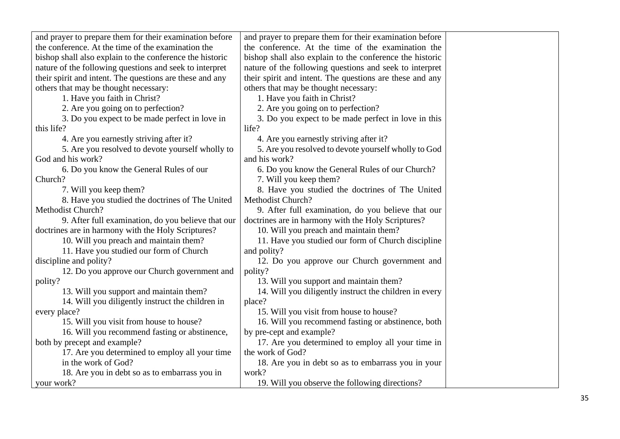| and prayer to prepare them for their examination before<br>and prayer to prepare them for their examination before<br>the conference. At the time of the examination the<br>the conference. At the time of the examination the<br>bishop shall also explain to the conference the historic<br>bishop shall also explain to the conference the historic<br>nature of the following questions and seek to interpret<br>nature of the following questions and seek to interpret<br>their spirit and intent. The questions are these and any<br>their spirit and intent. The questions are these and any<br>others that may be thought necessary:<br>others that may be thought necessary:<br>1. Have you faith in Christ?<br>1. Have you faith in Christ?<br>2. Are you going on to perfection?<br>2. Are you going on to perfection?<br>3. Do you expect to be made perfect in love in this<br>3. Do you expect to be made perfect in love in<br>this life?<br>life?<br>4. Are you earnestly striving after it?<br>4. Are you earnestly striving after it?<br>5. Are you resolved to devote yourself wholly to<br>5. Are you resolved to devote yourself wholly to God<br>God and his work?<br>and his work?<br>6. Do you know the General Rules of our<br>6. Do you know the General Rules of our Church?<br>7. Will you keep them?<br>Church?<br>8. Have you studied the doctrines of The United<br>7. Will you keep them?<br>Methodist Church?<br>8. Have you studied the doctrines of The United<br>Methodist Church?<br>9. After full examination, do you believe that our<br>9. After full examination, do you believe that our<br>doctrines are in harmony with the Holy Scriptures?<br>10. Will you preach and maintain them?<br>doctrines are in harmony with the Holy Scriptures?<br>10. Will you preach and maintain them?<br>11. Have you studied our form of Church discipline<br>11. Have you studied our form of Church<br>and polity?<br>discipline and polity?<br>12. Do you approve our Church government and<br>12. Do you approve our Church government and<br>polity?<br>13. Will you support and maintain them?<br>polity?<br>13. Will you support and maintain them?<br>14. Will you diligently instruct the children in every<br>14. Will you diligently instruct the children in<br>place?<br>15. Will you visit from house to house?<br>every place?<br>16. Will you recommend fasting or abstinence, both<br>15. Will you visit from house to house?<br>16. Will you recommend fasting or abstinence,<br>by pre-cept and example?<br>both by precept and example?<br>17. Are you determined to employ all your time in<br>the work of God?<br>17. Are you determined to employ all your time<br>in the work of God?<br>18. Are you in debt so as to embarrass you in your<br>18. Are you in debt so as to embarrass you in<br>work?<br>19. Will you observe the following directions?<br>your work? |  |  |
|------------------------------------------------------------------------------------------------------------------------------------------------------------------------------------------------------------------------------------------------------------------------------------------------------------------------------------------------------------------------------------------------------------------------------------------------------------------------------------------------------------------------------------------------------------------------------------------------------------------------------------------------------------------------------------------------------------------------------------------------------------------------------------------------------------------------------------------------------------------------------------------------------------------------------------------------------------------------------------------------------------------------------------------------------------------------------------------------------------------------------------------------------------------------------------------------------------------------------------------------------------------------------------------------------------------------------------------------------------------------------------------------------------------------------------------------------------------------------------------------------------------------------------------------------------------------------------------------------------------------------------------------------------------------------------------------------------------------------------------------------------------------------------------------------------------------------------------------------------------------------------------------------------------------------------------------------------------------------------------------------------------------------------------------------------------------------------------------------------------------------------------------------------------------------------------------------------------------------------------------------------------------------------------------------------------------------------------------------------------------------------------------------------------------------------------------------------------------------------------------------------------------------------------------------------------------------------------------------------------------------------------------------------------------------------------------------------------------------------------------------------------------------------------------------------------------------------------------------------------------------------------------------------------------------|--|--|
|                                                                                                                                                                                                                                                                                                                                                                                                                                                                                                                                                                                                                                                                                                                                                                                                                                                                                                                                                                                                                                                                                                                                                                                                                                                                                                                                                                                                                                                                                                                                                                                                                                                                                                                                                                                                                                                                                                                                                                                                                                                                                                                                                                                                                                                                                                                                                                                                                                                                                                                                                                                                                                                                                                                                                                                                                                                                                                                              |  |  |
|                                                                                                                                                                                                                                                                                                                                                                                                                                                                                                                                                                                                                                                                                                                                                                                                                                                                                                                                                                                                                                                                                                                                                                                                                                                                                                                                                                                                                                                                                                                                                                                                                                                                                                                                                                                                                                                                                                                                                                                                                                                                                                                                                                                                                                                                                                                                                                                                                                                                                                                                                                                                                                                                                                                                                                                                                                                                                                                              |  |  |
|                                                                                                                                                                                                                                                                                                                                                                                                                                                                                                                                                                                                                                                                                                                                                                                                                                                                                                                                                                                                                                                                                                                                                                                                                                                                                                                                                                                                                                                                                                                                                                                                                                                                                                                                                                                                                                                                                                                                                                                                                                                                                                                                                                                                                                                                                                                                                                                                                                                                                                                                                                                                                                                                                                                                                                                                                                                                                                                              |  |  |
|                                                                                                                                                                                                                                                                                                                                                                                                                                                                                                                                                                                                                                                                                                                                                                                                                                                                                                                                                                                                                                                                                                                                                                                                                                                                                                                                                                                                                                                                                                                                                                                                                                                                                                                                                                                                                                                                                                                                                                                                                                                                                                                                                                                                                                                                                                                                                                                                                                                                                                                                                                                                                                                                                                                                                                                                                                                                                                                              |  |  |
|                                                                                                                                                                                                                                                                                                                                                                                                                                                                                                                                                                                                                                                                                                                                                                                                                                                                                                                                                                                                                                                                                                                                                                                                                                                                                                                                                                                                                                                                                                                                                                                                                                                                                                                                                                                                                                                                                                                                                                                                                                                                                                                                                                                                                                                                                                                                                                                                                                                                                                                                                                                                                                                                                                                                                                                                                                                                                                                              |  |  |
|                                                                                                                                                                                                                                                                                                                                                                                                                                                                                                                                                                                                                                                                                                                                                                                                                                                                                                                                                                                                                                                                                                                                                                                                                                                                                                                                                                                                                                                                                                                                                                                                                                                                                                                                                                                                                                                                                                                                                                                                                                                                                                                                                                                                                                                                                                                                                                                                                                                                                                                                                                                                                                                                                                                                                                                                                                                                                                                              |  |  |
|                                                                                                                                                                                                                                                                                                                                                                                                                                                                                                                                                                                                                                                                                                                                                                                                                                                                                                                                                                                                                                                                                                                                                                                                                                                                                                                                                                                                                                                                                                                                                                                                                                                                                                                                                                                                                                                                                                                                                                                                                                                                                                                                                                                                                                                                                                                                                                                                                                                                                                                                                                                                                                                                                                                                                                                                                                                                                                                              |  |  |
|                                                                                                                                                                                                                                                                                                                                                                                                                                                                                                                                                                                                                                                                                                                                                                                                                                                                                                                                                                                                                                                                                                                                                                                                                                                                                                                                                                                                                                                                                                                                                                                                                                                                                                                                                                                                                                                                                                                                                                                                                                                                                                                                                                                                                                                                                                                                                                                                                                                                                                                                                                                                                                                                                                                                                                                                                                                                                                                              |  |  |
|                                                                                                                                                                                                                                                                                                                                                                                                                                                                                                                                                                                                                                                                                                                                                                                                                                                                                                                                                                                                                                                                                                                                                                                                                                                                                                                                                                                                                                                                                                                                                                                                                                                                                                                                                                                                                                                                                                                                                                                                                                                                                                                                                                                                                                                                                                                                                                                                                                                                                                                                                                                                                                                                                                                                                                                                                                                                                                                              |  |  |
|                                                                                                                                                                                                                                                                                                                                                                                                                                                                                                                                                                                                                                                                                                                                                                                                                                                                                                                                                                                                                                                                                                                                                                                                                                                                                                                                                                                                                                                                                                                                                                                                                                                                                                                                                                                                                                                                                                                                                                                                                                                                                                                                                                                                                                                                                                                                                                                                                                                                                                                                                                                                                                                                                                                                                                                                                                                                                                                              |  |  |
|                                                                                                                                                                                                                                                                                                                                                                                                                                                                                                                                                                                                                                                                                                                                                                                                                                                                                                                                                                                                                                                                                                                                                                                                                                                                                                                                                                                                                                                                                                                                                                                                                                                                                                                                                                                                                                                                                                                                                                                                                                                                                                                                                                                                                                                                                                                                                                                                                                                                                                                                                                                                                                                                                                                                                                                                                                                                                                                              |  |  |
|                                                                                                                                                                                                                                                                                                                                                                                                                                                                                                                                                                                                                                                                                                                                                                                                                                                                                                                                                                                                                                                                                                                                                                                                                                                                                                                                                                                                                                                                                                                                                                                                                                                                                                                                                                                                                                                                                                                                                                                                                                                                                                                                                                                                                                                                                                                                                                                                                                                                                                                                                                                                                                                                                                                                                                                                                                                                                                                              |  |  |
|                                                                                                                                                                                                                                                                                                                                                                                                                                                                                                                                                                                                                                                                                                                                                                                                                                                                                                                                                                                                                                                                                                                                                                                                                                                                                                                                                                                                                                                                                                                                                                                                                                                                                                                                                                                                                                                                                                                                                                                                                                                                                                                                                                                                                                                                                                                                                                                                                                                                                                                                                                                                                                                                                                                                                                                                                                                                                                                              |  |  |
|                                                                                                                                                                                                                                                                                                                                                                                                                                                                                                                                                                                                                                                                                                                                                                                                                                                                                                                                                                                                                                                                                                                                                                                                                                                                                                                                                                                                                                                                                                                                                                                                                                                                                                                                                                                                                                                                                                                                                                                                                                                                                                                                                                                                                                                                                                                                                                                                                                                                                                                                                                                                                                                                                                                                                                                                                                                                                                                              |  |  |
|                                                                                                                                                                                                                                                                                                                                                                                                                                                                                                                                                                                                                                                                                                                                                                                                                                                                                                                                                                                                                                                                                                                                                                                                                                                                                                                                                                                                                                                                                                                                                                                                                                                                                                                                                                                                                                                                                                                                                                                                                                                                                                                                                                                                                                                                                                                                                                                                                                                                                                                                                                                                                                                                                                                                                                                                                                                                                                                              |  |  |
|                                                                                                                                                                                                                                                                                                                                                                                                                                                                                                                                                                                                                                                                                                                                                                                                                                                                                                                                                                                                                                                                                                                                                                                                                                                                                                                                                                                                                                                                                                                                                                                                                                                                                                                                                                                                                                                                                                                                                                                                                                                                                                                                                                                                                                                                                                                                                                                                                                                                                                                                                                                                                                                                                                                                                                                                                                                                                                                              |  |  |
|                                                                                                                                                                                                                                                                                                                                                                                                                                                                                                                                                                                                                                                                                                                                                                                                                                                                                                                                                                                                                                                                                                                                                                                                                                                                                                                                                                                                                                                                                                                                                                                                                                                                                                                                                                                                                                                                                                                                                                                                                                                                                                                                                                                                                                                                                                                                                                                                                                                                                                                                                                                                                                                                                                                                                                                                                                                                                                                              |  |  |
|                                                                                                                                                                                                                                                                                                                                                                                                                                                                                                                                                                                                                                                                                                                                                                                                                                                                                                                                                                                                                                                                                                                                                                                                                                                                                                                                                                                                                                                                                                                                                                                                                                                                                                                                                                                                                                                                                                                                                                                                                                                                                                                                                                                                                                                                                                                                                                                                                                                                                                                                                                                                                                                                                                                                                                                                                                                                                                                              |  |  |
|                                                                                                                                                                                                                                                                                                                                                                                                                                                                                                                                                                                                                                                                                                                                                                                                                                                                                                                                                                                                                                                                                                                                                                                                                                                                                                                                                                                                                                                                                                                                                                                                                                                                                                                                                                                                                                                                                                                                                                                                                                                                                                                                                                                                                                                                                                                                                                                                                                                                                                                                                                                                                                                                                                                                                                                                                                                                                                                              |  |  |
|                                                                                                                                                                                                                                                                                                                                                                                                                                                                                                                                                                                                                                                                                                                                                                                                                                                                                                                                                                                                                                                                                                                                                                                                                                                                                                                                                                                                                                                                                                                                                                                                                                                                                                                                                                                                                                                                                                                                                                                                                                                                                                                                                                                                                                                                                                                                                                                                                                                                                                                                                                                                                                                                                                                                                                                                                                                                                                                              |  |  |
|                                                                                                                                                                                                                                                                                                                                                                                                                                                                                                                                                                                                                                                                                                                                                                                                                                                                                                                                                                                                                                                                                                                                                                                                                                                                                                                                                                                                                                                                                                                                                                                                                                                                                                                                                                                                                                                                                                                                                                                                                                                                                                                                                                                                                                                                                                                                                                                                                                                                                                                                                                                                                                                                                                                                                                                                                                                                                                                              |  |  |
|                                                                                                                                                                                                                                                                                                                                                                                                                                                                                                                                                                                                                                                                                                                                                                                                                                                                                                                                                                                                                                                                                                                                                                                                                                                                                                                                                                                                                                                                                                                                                                                                                                                                                                                                                                                                                                                                                                                                                                                                                                                                                                                                                                                                                                                                                                                                                                                                                                                                                                                                                                                                                                                                                                                                                                                                                                                                                                                              |  |  |
|                                                                                                                                                                                                                                                                                                                                                                                                                                                                                                                                                                                                                                                                                                                                                                                                                                                                                                                                                                                                                                                                                                                                                                                                                                                                                                                                                                                                                                                                                                                                                                                                                                                                                                                                                                                                                                                                                                                                                                                                                                                                                                                                                                                                                                                                                                                                                                                                                                                                                                                                                                                                                                                                                                                                                                                                                                                                                                                              |  |  |
|                                                                                                                                                                                                                                                                                                                                                                                                                                                                                                                                                                                                                                                                                                                                                                                                                                                                                                                                                                                                                                                                                                                                                                                                                                                                                                                                                                                                                                                                                                                                                                                                                                                                                                                                                                                                                                                                                                                                                                                                                                                                                                                                                                                                                                                                                                                                                                                                                                                                                                                                                                                                                                                                                                                                                                                                                                                                                                                              |  |  |
|                                                                                                                                                                                                                                                                                                                                                                                                                                                                                                                                                                                                                                                                                                                                                                                                                                                                                                                                                                                                                                                                                                                                                                                                                                                                                                                                                                                                                                                                                                                                                                                                                                                                                                                                                                                                                                                                                                                                                                                                                                                                                                                                                                                                                                                                                                                                                                                                                                                                                                                                                                                                                                                                                                                                                                                                                                                                                                                              |  |  |
|                                                                                                                                                                                                                                                                                                                                                                                                                                                                                                                                                                                                                                                                                                                                                                                                                                                                                                                                                                                                                                                                                                                                                                                                                                                                                                                                                                                                                                                                                                                                                                                                                                                                                                                                                                                                                                                                                                                                                                                                                                                                                                                                                                                                                                                                                                                                                                                                                                                                                                                                                                                                                                                                                                                                                                                                                                                                                                                              |  |  |
|                                                                                                                                                                                                                                                                                                                                                                                                                                                                                                                                                                                                                                                                                                                                                                                                                                                                                                                                                                                                                                                                                                                                                                                                                                                                                                                                                                                                                                                                                                                                                                                                                                                                                                                                                                                                                                                                                                                                                                                                                                                                                                                                                                                                                                                                                                                                                                                                                                                                                                                                                                                                                                                                                                                                                                                                                                                                                                                              |  |  |
|                                                                                                                                                                                                                                                                                                                                                                                                                                                                                                                                                                                                                                                                                                                                                                                                                                                                                                                                                                                                                                                                                                                                                                                                                                                                                                                                                                                                                                                                                                                                                                                                                                                                                                                                                                                                                                                                                                                                                                                                                                                                                                                                                                                                                                                                                                                                                                                                                                                                                                                                                                                                                                                                                                                                                                                                                                                                                                                              |  |  |
|                                                                                                                                                                                                                                                                                                                                                                                                                                                                                                                                                                                                                                                                                                                                                                                                                                                                                                                                                                                                                                                                                                                                                                                                                                                                                                                                                                                                                                                                                                                                                                                                                                                                                                                                                                                                                                                                                                                                                                                                                                                                                                                                                                                                                                                                                                                                                                                                                                                                                                                                                                                                                                                                                                                                                                                                                                                                                                                              |  |  |
|                                                                                                                                                                                                                                                                                                                                                                                                                                                                                                                                                                                                                                                                                                                                                                                                                                                                                                                                                                                                                                                                                                                                                                                                                                                                                                                                                                                                                                                                                                                                                                                                                                                                                                                                                                                                                                                                                                                                                                                                                                                                                                                                                                                                                                                                                                                                                                                                                                                                                                                                                                                                                                                                                                                                                                                                                                                                                                                              |  |  |
|                                                                                                                                                                                                                                                                                                                                                                                                                                                                                                                                                                                                                                                                                                                                                                                                                                                                                                                                                                                                                                                                                                                                                                                                                                                                                                                                                                                                                                                                                                                                                                                                                                                                                                                                                                                                                                                                                                                                                                                                                                                                                                                                                                                                                                                                                                                                                                                                                                                                                                                                                                                                                                                                                                                                                                                                                                                                                                                              |  |  |
|                                                                                                                                                                                                                                                                                                                                                                                                                                                                                                                                                                                                                                                                                                                                                                                                                                                                                                                                                                                                                                                                                                                                                                                                                                                                                                                                                                                                                                                                                                                                                                                                                                                                                                                                                                                                                                                                                                                                                                                                                                                                                                                                                                                                                                                                                                                                                                                                                                                                                                                                                                                                                                                                                                                                                                                                                                                                                                                              |  |  |
|                                                                                                                                                                                                                                                                                                                                                                                                                                                                                                                                                                                                                                                                                                                                                                                                                                                                                                                                                                                                                                                                                                                                                                                                                                                                                                                                                                                                                                                                                                                                                                                                                                                                                                                                                                                                                                                                                                                                                                                                                                                                                                                                                                                                                                                                                                                                                                                                                                                                                                                                                                                                                                                                                                                                                                                                                                                                                                                              |  |  |
|                                                                                                                                                                                                                                                                                                                                                                                                                                                                                                                                                                                                                                                                                                                                                                                                                                                                                                                                                                                                                                                                                                                                                                                                                                                                                                                                                                                                                                                                                                                                                                                                                                                                                                                                                                                                                                                                                                                                                                                                                                                                                                                                                                                                                                                                                                                                                                                                                                                                                                                                                                                                                                                                                                                                                                                                                                                                                                                              |  |  |
|                                                                                                                                                                                                                                                                                                                                                                                                                                                                                                                                                                                                                                                                                                                                                                                                                                                                                                                                                                                                                                                                                                                                                                                                                                                                                                                                                                                                                                                                                                                                                                                                                                                                                                                                                                                                                                                                                                                                                                                                                                                                                                                                                                                                                                                                                                                                                                                                                                                                                                                                                                                                                                                                                                                                                                                                                                                                                                                              |  |  |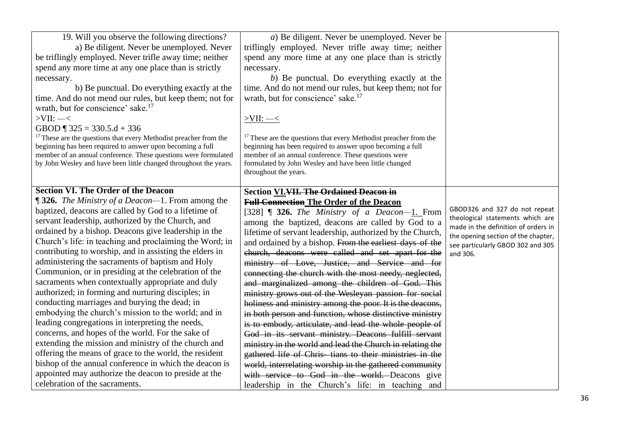| 19. Will you observe the following directions?                      | a) Be diligent. Never be unemployed. Never be                       |                                     |
|---------------------------------------------------------------------|---------------------------------------------------------------------|-------------------------------------|
| a) Be diligent. Never be unemployed. Never                          | triflingly employed. Never trifle away time; neither                |                                     |
| be triflingly employed. Never trifle away time; neither             | spend any more time at any one place than is strictly               |                                     |
| spend any more time at any one place than is strictly               | necessary.                                                          |                                     |
| necessary.                                                          | b) Be punctual. Do everything exactly at the                        |                                     |
| b) Be punctual. Do everything exactly at the                        | time. And do not mend our rules, but keep them; not for             |                                     |
| time. And do not mend our rules, but keep them; not for             | wrath, but for conscience' sake. <sup>17</sup>                      |                                     |
| wrath, but for conscience' sake. <sup>17</sup>                      |                                                                     |                                     |
| $>$ VII: $-$ <                                                      | $>$ VII: $-$                                                        |                                     |
| GBOD $\P$ 325 = 330.5.d + 336                                       |                                                                     |                                     |
| $17$ These are the questions that every Methodist preacher from the | $17$ These are the questions that every Methodist preacher from the |                                     |
| beginning has been required to answer upon becoming a full          | beginning has been required to answer upon becoming a full          |                                     |
| member of an annual conference. These questions were formulated     | member of an annual conference. These questions were                |                                     |
| by John Wesley and have been little changed throughout the years.   | formulated by John Wesley and have been little changed              |                                     |
|                                                                     | throughout the years.                                               |                                     |
| <b>Section VI. The Order of the Deacon</b>                          | <b>Section VI.<del>VII. The Ordained Deacon in</del></b>            |                                     |
| <b>J326.</b> <i>The Ministry of a Deacon</i> —1. From among the     | <b>Full Connection The Order of the Deacon</b>                      |                                     |
| baptized, deacons are called by God to a lifetime of                | [328] $\parallel$ 326. The Ministry of a Deacon-1. From             | GBOD326 and 327 do not repeat       |
| servant leadership, authorized by the Church, and                   | among the baptized, deacons are called by God to a                  | theological statements which are    |
| ordained by a bishop. Deacons give leadership in the                | lifetime of servant leadership, authorized by the Church,           | made in the definition of orders in |
| Church's life: in teaching and proclaiming the Word; in             | and ordained by a bishop. From the earliest days of the             | the opening section of the chapter, |
| contributing to worship, and in assisting the elders in             | church, deacons were called and set apart for the                   | see particularly GBOD 302 and 305   |
| administering the sacraments of baptism and Holy                    |                                                                     | and 306.                            |
| Communion, or in presiding at the celebration of the                | ministry of Love, Justice, and Service and for                      |                                     |
| sacraments when contextually appropriate and duly                   | connecting the church with the most needy, neglected,               |                                     |
| authorized; in forming and nurturing disciples; in                  | and marginalized among the children of God. This                    |                                     |
|                                                                     | ministry grows out of the Wesleyan passion for social               |                                     |
| conducting marriages and burying the dead; in                       | holiness and ministry among the poor. It is the deacons,            |                                     |
| embodying the church's mission to the world; and in                 | in both person and function, whose distinctive ministry             |                                     |
| leading congregations in interpreting the needs,                    | is to embody, articulate, and lead the whole people of              |                                     |
| concerns, and hopes of the world. For the sake of                   | God in its servant ministry. Deacons fulfill servant                |                                     |
| extending the mission and ministry of the church and                | ministry in the world and lead the Church in relating the           |                                     |
| offering the means of grace to the world, the resident              | gathered life of Chris-tians to their ministries in the             |                                     |
| bishop of the annual conference in which the deacon is              | world, interrelating worship in the gathered community              |                                     |
| appointed may authorize the deacon to preside at the                | with service to God in the world. Deacons give                      |                                     |
| celebration of the sacraments.                                      | leadership in the Church's life: in teaching and                    |                                     |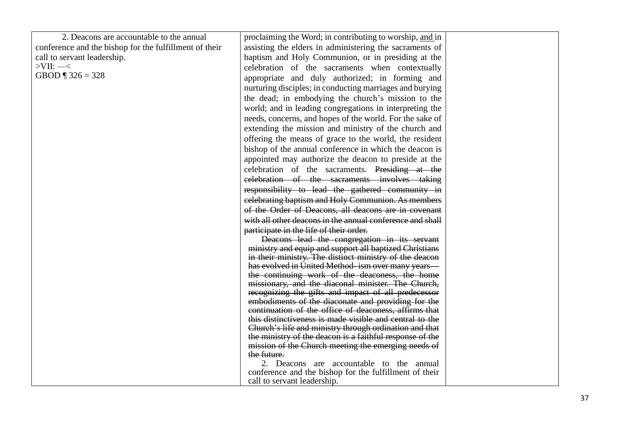| conference and the bishop for the fulfillment of their<br>assisting the elders in administering the sacraments of<br>baptism and Holy Communion, or in presiding at the<br>call to servant leadership.<br>$>$ VII: $-\lt$<br>celebration of the sacraments when contextually<br>GBOD $\P$ 326 = 328<br>appropriate and duly authorized; in forming and<br>nurturing disciples; in conducting marriages and burying<br>the dead; in embodying the church's mission to the<br>world; and in leading congregations in interpreting the<br>needs, concerns, and hopes of the world. For the sake of<br>extending the mission and ministry of the church and<br>offering the means of grace to the world, the resident<br>bishop of the annual conference in which the deacon is<br>appointed may authorize the deacon to preside at the<br>celebration of the sacraments. Presiding at the<br>celebration of the sacraments involves taking<br>responsibility to lead the gathered community in<br>eelebrating baptism and Holy Communion. As members<br>of the Order of Deacons, all deacons are in covenant<br>with all other deacons in the annual conference and shall<br>participate in the life of their order.<br>Deacons lead the congregation in its servant<br>ministry and equip and support all baptized Christians<br>in their ministry. The distinct ministry of the deacon<br>has evolved in United Method-ism over many years<br>the continuing work of the deaconess, the home<br>missionary, and the diaconal minister. The Church,<br>recognizing the gifts and impact of all predecessor<br>embodiments of the diaconate and providing for the<br>continuation of the office of deaconess, affirms that<br>this distinctiveness is made visible and central to the<br>Church's life and ministry through ordination and that<br>the ministry of the deacon is a faithful response of the<br>mission of the Church meeting the emerging needs of<br>the future.<br>2. Deacons are accountable to the annual<br>conference and the bishop for the fulfillment of their | 2. Deacons are accountable to the annual | proclaiming the Word; in contributing to worship, and in |  |
|--------------------------------------------------------------------------------------------------------------------------------------------------------------------------------------------------------------------------------------------------------------------------------------------------------------------------------------------------------------------------------------------------------------------------------------------------------------------------------------------------------------------------------------------------------------------------------------------------------------------------------------------------------------------------------------------------------------------------------------------------------------------------------------------------------------------------------------------------------------------------------------------------------------------------------------------------------------------------------------------------------------------------------------------------------------------------------------------------------------------------------------------------------------------------------------------------------------------------------------------------------------------------------------------------------------------------------------------------------------------------------------------------------------------------------------------------------------------------------------------------------------------------------------------------------------------------------------------------------------------------------------------------------------------------------------------------------------------------------------------------------------------------------------------------------------------------------------------------------------------------------------------------------------------------------------------------------------------------------------------------------------------------------------------------------------------------------------|------------------------------------------|----------------------------------------------------------|--|
|                                                                                                                                                                                                                                                                                                                                                                                                                                                                                                                                                                                                                                                                                                                                                                                                                                                                                                                                                                                                                                                                                                                                                                                                                                                                                                                                                                                                                                                                                                                                                                                                                                                                                                                                                                                                                                                                                                                                                                                                                                                                                      |                                          |                                                          |  |
|                                                                                                                                                                                                                                                                                                                                                                                                                                                                                                                                                                                                                                                                                                                                                                                                                                                                                                                                                                                                                                                                                                                                                                                                                                                                                                                                                                                                                                                                                                                                                                                                                                                                                                                                                                                                                                                                                                                                                                                                                                                                                      |                                          |                                                          |  |
|                                                                                                                                                                                                                                                                                                                                                                                                                                                                                                                                                                                                                                                                                                                                                                                                                                                                                                                                                                                                                                                                                                                                                                                                                                                                                                                                                                                                                                                                                                                                                                                                                                                                                                                                                                                                                                                                                                                                                                                                                                                                                      |                                          |                                                          |  |
|                                                                                                                                                                                                                                                                                                                                                                                                                                                                                                                                                                                                                                                                                                                                                                                                                                                                                                                                                                                                                                                                                                                                                                                                                                                                                                                                                                                                                                                                                                                                                                                                                                                                                                                                                                                                                                                                                                                                                                                                                                                                                      |                                          |                                                          |  |
|                                                                                                                                                                                                                                                                                                                                                                                                                                                                                                                                                                                                                                                                                                                                                                                                                                                                                                                                                                                                                                                                                                                                                                                                                                                                                                                                                                                                                                                                                                                                                                                                                                                                                                                                                                                                                                                                                                                                                                                                                                                                                      |                                          |                                                          |  |
|                                                                                                                                                                                                                                                                                                                                                                                                                                                                                                                                                                                                                                                                                                                                                                                                                                                                                                                                                                                                                                                                                                                                                                                                                                                                                                                                                                                                                                                                                                                                                                                                                                                                                                                                                                                                                                                                                                                                                                                                                                                                                      |                                          |                                                          |  |
|                                                                                                                                                                                                                                                                                                                                                                                                                                                                                                                                                                                                                                                                                                                                                                                                                                                                                                                                                                                                                                                                                                                                                                                                                                                                                                                                                                                                                                                                                                                                                                                                                                                                                                                                                                                                                                                                                                                                                                                                                                                                                      |                                          |                                                          |  |
|                                                                                                                                                                                                                                                                                                                                                                                                                                                                                                                                                                                                                                                                                                                                                                                                                                                                                                                                                                                                                                                                                                                                                                                                                                                                                                                                                                                                                                                                                                                                                                                                                                                                                                                                                                                                                                                                                                                                                                                                                                                                                      |                                          |                                                          |  |
|                                                                                                                                                                                                                                                                                                                                                                                                                                                                                                                                                                                                                                                                                                                                                                                                                                                                                                                                                                                                                                                                                                                                                                                                                                                                                                                                                                                                                                                                                                                                                                                                                                                                                                                                                                                                                                                                                                                                                                                                                                                                                      |                                          |                                                          |  |
|                                                                                                                                                                                                                                                                                                                                                                                                                                                                                                                                                                                                                                                                                                                                                                                                                                                                                                                                                                                                                                                                                                                                                                                                                                                                                                                                                                                                                                                                                                                                                                                                                                                                                                                                                                                                                                                                                                                                                                                                                                                                                      |                                          |                                                          |  |
|                                                                                                                                                                                                                                                                                                                                                                                                                                                                                                                                                                                                                                                                                                                                                                                                                                                                                                                                                                                                                                                                                                                                                                                                                                                                                                                                                                                                                                                                                                                                                                                                                                                                                                                                                                                                                                                                                                                                                                                                                                                                                      |                                          |                                                          |  |
|                                                                                                                                                                                                                                                                                                                                                                                                                                                                                                                                                                                                                                                                                                                                                                                                                                                                                                                                                                                                                                                                                                                                                                                                                                                                                                                                                                                                                                                                                                                                                                                                                                                                                                                                                                                                                                                                                                                                                                                                                                                                                      |                                          |                                                          |  |
|                                                                                                                                                                                                                                                                                                                                                                                                                                                                                                                                                                                                                                                                                                                                                                                                                                                                                                                                                                                                                                                                                                                                                                                                                                                                                                                                                                                                                                                                                                                                                                                                                                                                                                                                                                                                                                                                                                                                                                                                                                                                                      |                                          |                                                          |  |
|                                                                                                                                                                                                                                                                                                                                                                                                                                                                                                                                                                                                                                                                                                                                                                                                                                                                                                                                                                                                                                                                                                                                                                                                                                                                                                                                                                                                                                                                                                                                                                                                                                                                                                                                                                                                                                                                                                                                                                                                                                                                                      |                                          |                                                          |  |
|                                                                                                                                                                                                                                                                                                                                                                                                                                                                                                                                                                                                                                                                                                                                                                                                                                                                                                                                                                                                                                                                                                                                                                                                                                                                                                                                                                                                                                                                                                                                                                                                                                                                                                                                                                                                                                                                                                                                                                                                                                                                                      |                                          |                                                          |  |
|                                                                                                                                                                                                                                                                                                                                                                                                                                                                                                                                                                                                                                                                                                                                                                                                                                                                                                                                                                                                                                                                                                                                                                                                                                                                                                                                                                                                                                                                                                                                                                                                                                                                                                                                                                                                                                                                                                                                                                                                                                                                                      |                                          |                                                          |  |
|                                                                                                                                                                                                                                                                                                                                                                                                                                                                                                                                                                                                                                                                                                                                                                                                                                                                                                                                                                                                                                                                                                                                                                                                                                                                                                                                                                                                                                                                                                                                                                                                                                                                                                                                                                                                                                                                                                                                                                                                                                                                                      |                                          |                                                          |  |
|                                                                                                                                                                                                                                                                                                                                                                                                                                                                                                                                                                                                                                                                                                                                                                                                                                                                                                                                                                                                                                                                                                                                                                                                                                                                                                                                                                                                                                                                                                                                                                                                                                                                                                                                                                                                                                                                                                                                                                                                                                                                                      |                                          |                                                          |  |
|                                                                                                                                                                                                                                                                                                                                                                                                                                                                                                                                                                                                                                                                                                                                                                                                                                                                                                                                                                                                                                                                                                                                                                                                                                                                                                                                                                                                                                                                                                                                                                                                                                                                                                                                                                                                                                                                                                                                                                                                                                                                                      |                                          |                                                          |  |
|                                                                                                                                                                                                                                                                                                                                                                                                                                                                                                                                                                                                                                                                                                                                                                                                                                                                                                                                                                                                                                                                                                                                                                                                                                                                                                                                                                                                                                                                                                                                                                                                                                                                                                                                                                                                                                                                                                                                                                                                                                                                                      |                                          |                                                          |  |
|                                                                                                                                                                                                                                                                                                                                                                                                                                                                                                                                                                                                                                                                                                                                                                                                                                                                                                                                                                                                                                                                                                                                                                                                                                                                                                                                                                                                                                                                                                                                                                                                                                                                                                                                                                                                                                                                                                                                                                                                                                                                                      |                                          |                                                          |  |
|                                                                                                                                                                                                                                                                                                                                                                                                                                                                                                                                                                                                                                                                                                                                                                                                                                                                                                                                                                                                                                                                                                                                                                                                                                                                                                                                                                                                                                                                                                                                                                                                                                                                                                                                                                                                                                                                                                                                                                                                                                                                                      |                                          |                                                          |  |
|                                                                                                                                                                                                                                                                                                                                                                                                                                                                                                                                                                                                                                                                                                                                                                                                                                                                                                                                                                                                                                                                                                                                                                                                                                                                                                                                                                                                                                                                                                                                                                                                                                                                                                                                                                                                                                                                                                                                                                                                                                                                                      |                                          |                                                          |  |
|                                                                                                                                                                                                                                                                                                                                                                                                                                                                                                                                                                                                                                                                                                                                                                                                                                                                                                                                                                                                                                                                                                                                                                                                                                                                                                                                                                                                                                                                                                                                                                                                                                                                                                                                                                                                                                                                                                                                                                                                                                                                                      |                                          |                                                          |  |
|                                                                                                                                                                                                                                                                                                                                                                                                                                                                                                                                                                                                                                                                                                                                                                                                                                                                                                                                                                                                                                                                                                                                                                                                                                                                                                                                                                                                                                                                                                                                                                                                                                                                                                                                                                                                                                                                                                                                                                                                                                                                                      |                                          |                                                          |  |
|                                                                                                                                                                                                                                                                                                                                                                                                                                                                                                                                                                                                                                                                                                                                                                                                                                                                                                                                                                                                                                                                                                                                                                                                                                                                                                                                                                                                                                                                                                                                                                                                                                                                                                                                                                                                                                                                                                                                                                                                                                                                                      |                                          |                                                          |  |
|                                                                                                                                                                                                                                                                                                                                                                                                                                                                                                                                                                                                                                                                                                                                                                                                                                                                                                                                                                                                                                                                                                                                                                                                                                                                                                                                                                                                                                                                                                                                                                                                                                                                                                                                                                                                                                                                                                                                                                                                                                                                                      |                                          |                                                          |  |
|                                                                                                                                                                                                                                                                                                                                                                                                                                                                                                                                                                                                                                                                                                                                                                                                                                                                                                                                                                                                                                                                                                                                                                                                                                                                                                                                                                                                                                                                                                                                                                                                                                                                                                                                                                                                                                                                                                                                                                                                                                                                                      |                                          |                                                          |  |
|                                                                                                                                                                                                                                                                                                                                                                                                                                                                                                                                                                                                                                                                                                                                                                                                                                                                                                                                                                                                                                                                                                                                                                                                                                                                                                                                                                                                                                                                                                                                                                                                                                                                                                                                                                                                                                                                                                                                                                                                                                                                                      |                                          |                                                          |  |
|                                                                                                                                                                                                                                                                                                                                                                                                                                                                                                                                                                                                                                                                                                                                                                                                                                                                                                                                                                                                                                                                                                                                                                                                                                                                                                                                                                                                                                                                                                                                                                                                                                                                                                                                                                                                                                                                                                                                                                                                                                                                                      |                                          |                                                          |  |
|                                                                                                                                                                                                                                                                                                                                                                                                                                                                                                                                                                                                                                                                                                                                                                                                                                                                                                                                                                                                                                                                                                                                                                                                                                                                                                                                                                                                                                                                                                                                                                                                                                                                                                                                                                                                                                                                                                                                                                                                                                                                                      |                                          |                                                          |  |
|                                                                                                                                                                                                                                                                                                                                                                                                                                                                                                                                                                                                                                                                                                                                                                                                                                                                                                                                                                                                                                                                                                                                                                                                                                                                                                                                                                                                                                                                                                                                                                                                                                                                                                                                                                                                                                                                                                                                                                                                                                                                                      |                                          |                                                          |  |
|                                                                                                                                                                                                                                                                                                                                                                                                                                                                                                                                                                                                                                                                                                                                                                                                                                                                                                                                                                                                                                                                                                                                                                                                                                                                                                                                                                                                                                                                                                                                                                                                                                                                                                                                                                                                                                                                                                                                                                                                                                                                                      |                                          |                                                          |  |
|                                                                                                                                                                                                                                                                                                                                                                                                                                                                                                                                                                                                                                                                                                                                                                                                                                                                                                                                                                                                                                                                                                                                                                                                                                                                                                                                                                                                                                                                                                                                                                                                                                                                                                                                                                                                                                                                                                                                                                                                                                                                                      |                                          |                                                          |  |
|                                                                                                                                                                                                                                                                                                                                                                                                                                                                                                                                                                                                                                                                                                                                                                                                                                                                                                                                                                                                                                                                                                                                                                                                                                                                                                                                                                                                                                                                                                                                                                                                                                                                                                                                                                                                                                                                                                                                                                                                                                                                                      |                                          | call to servant leadership.                              |  |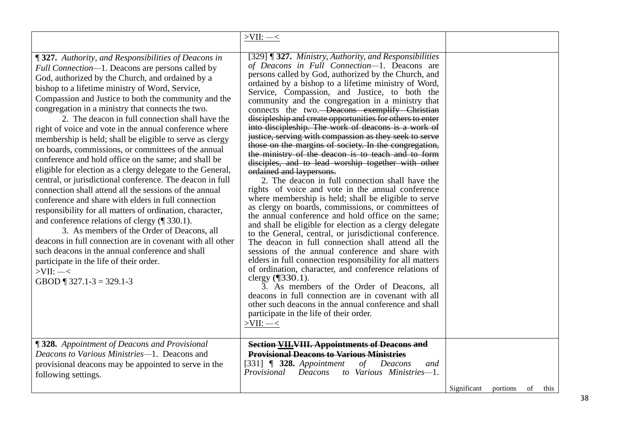|                                                                                                                                                                                                                                                                                                                                                                                                                                                                                                                                                                                                                                                                                                                                                                                                                                                                                                                                                                                                                                                                                                                                                                                                                                                                  | $>$ VII: $-\leq$                                                                                                                                                                                                                                                                                                                                                                                                                                                                                                                                                                                                                                                                                                                                                                                                                                                                                                                                                                                                                                                                                                                                                                                                                                                                                                                                                                                                                                                                                                                                                                                                                                                         |                      |    |      |
|------------------------------------------------------------------------------------------------------------------------------------------------------------------------------------------------------------------------------------------------------------------------------------------------------------------------------------------------------------------------------------------------------------------------------------------------------------------------------------------------------------------------------------------------------------------------------------------------------------------------------------------------------------------------------------------------------------------------------------------------------------------------------------------------------------------------------------------------------------------------------------------------------------------------------------------------------------------------------------------------------------------------------------------------------------------------------------------------------------------------------------------------------------------------------------------------------------------------------------------------------------------|--------------------------------------------------------------------------------------------------------------------------------------------------------------------------------------------------------------------------------------------------------------------------------------------------------------------------------------------------------------------------------------------------------------------------------------------------------------------------------------------------------------------------------------------------------------------------------------------------------------------------------------------------------------------------------------------------------------------------------------------------------------------------------------------------------------------------------------------------------------------------------------------------------------------------------------------------------------------------------------------------------------------------------------------------------------------------------------------------------------------------------------------------------------------------------------------------------------------------------------------------------------------------------------------------------------------------------------------------------------------------------------------------------------------------------------------------------------------------------------------------------------------------------------------------------------------------------------------------------------------------------------------------------------------------|----------------------|----|------|
| ¶ 327. Authority, and Responsibilities of Deacons in<br>Full Connection-1. Deacons are persons called by<br>God, authorized by the Church, and ordained by a<br>bishop to a lifetime ministry of Word, Service,<br>Compassion and Justice to both the community and the<br>congregation in a ministry that connects the two.<br>2. The deacon in full connection shall have the<br>right of voice and vote in the annual conference where<br>membership is held; shall be eligible to serve as clergy<br>on boards, commissions, or committees of the annual<br>conference and hold office on the same; and shall be<br>eligible for election as a clergy delegate to the General,<br>central, or jurisdictional conference. The deacon in full<br>connection shall attend all the sessions of the annual<br>conference and share with elders in full connection<br>responsibility for all matters of ordination, character,<br>and conference relations of clergy $(\sqrt{\phantom{a}}\,330.1)$ .<br>3. As members of the Order of Deacons, all<br>deacons in full connection are in covenant with all other<br>such deacons in the annual conference and shall<br>participate in the life of their order.<br>$>$ VII: $-$ <<br>GBOD $\sqrt{327.1-3} = 329.1-3$ | [329] <b>[327.</b> Ministry, Authority, and Responsibilities<br>of Deacons in Full Connection-1. Deacons are<br>persons called by God, authorized by the Church, and<br>ordained by a bishop to a lifetime ministry of Word,<br>Service, Compassion, and Justice, to both the<br>community and the congregation in a ministry that<br>connects the two. <del> Deacons exemplify Christian</del><br>discipleship and create opportunities for others to enter<br>into discipleship. The work of deacons is a work of<br>justice, serving with compassion as they seek to serve<br>those on the margins of society. In the congregation,<br>the ministry of the deacon is to teach and to form<br>disciples, and to lead worship together with other<br>ordained and laypersons.<br>2. The deacon in full connection shall have the<br>rights of voice and vote in the annual conference<br>where membership is held; shall be eligible to serve<br>as clergy on boards, commissions, or committees of<br>the annual conference and hold office on the same;<br>and shall be eligible for election as a clergy delegate<br>to the General, central, or jurisdictional conference.<br>The deacon in full connection shall attend all the<br>sessions of the annual conference and share with<br>elders in full connection responsibility for all matters<br>of ordination, character, and conference relations of<br>clergy $(\sqrt{330.1})$ .<br>3. As members of the Order of Deacons, all<br>deacons in full connection are in covenant with all<br>other such deacons in the annual conference and shall<br>participate in the life of their order.<br>$>$ VII: $-\leq$ |                      |    |      |
| <b>J328.</b> Appointment of Deacons and Provisional<br>Deacons to Various Ministries-1. Deacons and<br>provisional deacons may be appointed to serve in the<br>following settings.                                                                                                                                                                                                                                                                                                                                                                                                                                                                                                                                                                                                                                                                                                                                                                                                                                                                                                                                                                                                                                                                               | <b>Section VII. VIII. Appointments of Deacons and</b><br><b>Provisional Deacons to Various Ministries</b><br>[331] $\blacksquare$ 328. Appointment<br>of Deacons<br>and<br>Deacons<br>to Various Ministries-1.<br>Provisional                                                                                                                                                                                                                                                                                                                                                                                                                                                                                                                                                                                                                                                                                                                                                                                                                                                                                                                                                                                                                                                                                                                                                                                                                                                                                                                                                                                                                                            | Significant portions |    |      |
|                                                                                                                                                                                                                                                                                                                                                                                                                                                                                                                                                                                                                                                                                                                                                                                                                                                                                                                                                                                                                                                                                                                                                                                                                                                                  |                                                                                                                                                                                                                                                                                                                                                                                                                                                                                                                                                                                                                                                                                                                                                                                                                                                                                                                                                                                                                                                                                                                                                                                                                                                                                                                                                                                                                                                                                                                                                                                                                                                                          |                      | of | this |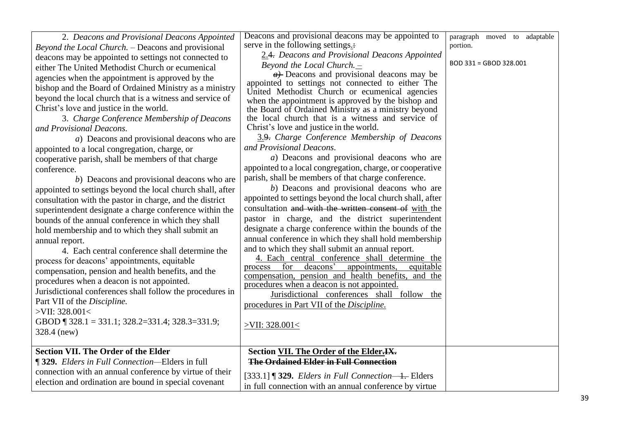| 2. Deacons and Provisional Deacons Appointed<br>Beyond the Local Church. – Deacons and provisional<br>deacons may be appointed to settings not connected to<br>either The United Methodist Church or ecumenical<br>agencies when the appointment is approved by the<br>bishop and the Board of Ordained Ministry as a ministry<br>beyond the local church that is a witness and service of<br>Christ's love and justice in the world.<br>3. Charge Conference Membership of Deacons<br>and Provisional Deacons.<br>a) Deacons and provisional deacons who are<br>appointed to a local congregation, charge, or<br>cooperative parish, shall be members of that charge<br>conference.<br>b) Deacons and provisional deacons who are<br>appointed to settings beyond the local church shall, after<br>consultation with the pastor in charge, and the district<br>superintendent designate a charge conference within the<br>bounds of the annual conference in which they shall<br>hold membership and to which they shall submit an<br>annual report.<br>4. Each central conference shall determine the<br>process for deacons' appointments, equitable | Deacons and provisional deacons may be appointed to<br>serve in the following settings.:<br>2.4. Deacons and Provisional Deacons Appointed<br>Beyond the Local Church. -<br>$\left( \frac{a}{c} \right)$ Deacons and provisional deacons may be<br>appointed to settings not connected to either The<br>United Methodist Church or ecumenical agencies<br>when the appointment is approved by the bishop and<br>the Board of Ordained Ministry as a ministry beyond<br>the local church that is a witness and service of<br>Christ's love and justice in the world.<br>3.9. Charge Conference Membership of Deacons<br>and Provisional Deacons.<br>a) Deacons and provisional deacons who are<br>appointed to a local congregation, charge, or cooperative<br>parish, shall be members of that charge conference.<br>b) Deacons and provisional deacons who are<br>appointed to settings beyond the local church shall, after<br>consultation and with the written consent of with the<br>pastor in charge, and the district superintendent<br>designate a charge conference within the bounds of the<br>annual conference in which they shall hold membership<br>and to which they shall submit an annual report.<br>4. Each central conference shall determine the<br>process for deacons' | paragraph moved to adaptable<br>portion.<br>BOD 331 = GBOD 328.001 |
|---------------------------------------------------------------------------------------------------------------------------------------------------------------------------------------------------------------------------------------------------------------------------------------------------------------------------------------------------------------------------------------------------------------------------------------------------------------------------------------------------------------------------------------------------------------------------------------------------------------------------------------------------------------------------------------------------------------------------------------------------------------------------------------------------------------------------------------------------------------------------------------------------------------------------------------------------------------------------------------------------------------------------------------------------------------------------------------------------------------------------------------------------------|----------------------------------------------------------------------------------------------------------------------------------------------------------------------------------------------------------------------------------------------------------------------------------------------------------------------------------------------------------------------------------------------------------------------------------------------------------------------------------------------------------------------------------------------------------------------------------------------------------------------------------------------------------------------------------------------------------------------------------------------------------------------------------------------------------------------------------------------------------------------------------------------------------------------------------------------------------------------------------------------------------------------------------------------------------------------------------------------------------------------------------------------------------------------------------------------------------------------------------------------------------------------------------------------|--------------------------------------------------------------------|
|                                                                                                                                                                                                                                                                                                                                                                                                                                                                                                                                                                                                                                                                                                                                                                                                                                                                                                                                                                                                                                                                                                                                                         |                                                                                                                                                                                                                                                                                                                                                                                                                                                                                                                                                                                                                                                                                                                                                                                                                                                                                                                                                                                                                                                                                                                                                                                                                                                                                              |                                                                    |
|                                                                                                                                                                                                                                                                                                                                                                                                                                                                                                                                                                                                                                                                                                                                                                                                                                                                                                                                                                                                                                                                                                                                                         |                                                                                                                                                                                                                                                                                                                                                                                                                                                                                                                                                                                                                                                                                                                                                                                                                                                                                                                                                                                                                                                                                                                                                                                                                                                                                              |                                                                    |
|                                                                                                                                                                                                                                                                                                                                                                                                                                                                                                                                                                                                                                                                                                                                                                                                                                                                                                                                                                                                                                                                                                                                                         |                                                                                                                                                                                                                                                                                                                                                                                                                                                                                                                                                                                                                                                                                                                                                                                                                                                                                                                                                                                                                                                                                                                                                                                                                                                                                              |                                                                    |
|                                                                                                                                                                                                                                                                                                                                                                                                                                                                                                                                                                                                                                                                                                                                                                                                                                                                                                                                                                                                                                                                                                                                                         |                                                                                                                                                                                                                                                                                                                                                                                                                                                                                                                                                                                                                                                                                                                                                                                                                                                                                                                                                                                                                                                                                                                                                                                                                                                                                              |                                                                    |
|                                                                                                                                                                                                                                                                                                                                                                                                                                                                                                                                                                                                                                                                                                                                                                                                                                                                                                                                                                                                                                                                                                                                                         |                                                                                                                                                                                                                                                                                                                                                                                                                                                                                                                                                                                                                                                                                                                                                                                                                                                                                                                                                                                                                                                                                                                                                                                                                                                                                              |                                                                    |
| compensation, pension and health benefits, and the                                                                                                                                                                                                                                                                                                                                                                                                                                                                                                                                                                                                                                                                                                                                                                                                                                                                                                                                                                                                                                                                                                      | appointments,<br>equitable<br>compensation, pension and health benefits, and the                                                                                                                                                                                                                                                                                                                                                                                                                                                                                                                                                                                                                                                                                                                                                                                                                                                                                                                                                                                                                                                                                                                                                                                                             |                                                                    |
| procedures when a deacon is not appointed.<br>Jurisdictional conferences shall follow the procedures in                                                                                                                                                                                                                                                                                                                                                                                                                                                                                                                                                                                                                                                                                                                                                                                                                                                                                                                                                                                                                                                 | procedures when a deacon is not appointed.<br>Jurisdictional conferences shall follow the                                                                                                                                                                                                                                                                                                                                                                                                                                                                                                                                                                                                                                                                                                                                                                                                                                                                                                                                                                                                                                                                                                                                                                                                    |                                                                    |
| Part VII of the Discipline.<br>$>$ VII: 328.001<                                                                                                                                                                                                                                                                                                                                                                                                                                                                                                                                                                                                                                                                                                                                                                                                                                                                                                                                                                                                                                                                                                        | procedures in Part VII of the Discipline.                                                                                                                                                                                                                                                                                                                                                                                                                                                                                                                                                                                                                                                                                                                                                                                                                                                                                                                                                                                                                                                                                                                                                                                                                                                    |                                                                    |
| GBOD $\sqrt{328.1} = 331.1$ ; 328.2=331.4; 328.3=331.9;                                                                                                                                                                                                                                                                                                                                                                                                                                                                                                                                                                                                                                                                                                                                                                                                                                                                                                                                                                                                                                                                                                 | $>$ VII: 328.001<                                                                                                                                                                                                                                                                                                                                                                                                                                                                                                                                                                                                                                                                                                                                                                                                                                                                                                                                                                                                                                                                                                                                                                                                                                                                            |                                                                    |
| 328.4 (new)                                                                                                                                                                                                                                                                                                                                                                                                                                                                                                                                                                                                                                                                                                                                                                                                                                                                                                                                                                                                                                                                                                                                             |                                                                                                                                                                                                                                                                                                                                                                                                                                                                                                                                                                                                                                                                                                                                                                                                                                                                                                                                                                                                                                                                                                                                                                                                                                                                                              |                                                                    |
| <b>Section VII. The Order of the Elder</b>                                                                                                                                                                                                                                                                                                                                                                                                                                                                                                                                                                                                                                                                                                                                                                                                                                                                                                                                                                                                                                                                                                              | Section VII. The Order of the Elder. IX.                                                                                                                                                                                                                                                                                                                                                                                                                                                                                                                                                                                                                                                                                                                                                                                                                                                                                                                                                                                                                                                                                                                                                                                                                                                     |                                                                    |
| ¶ 329. Elders in Full Connection—Elders in full<br>connection with an annual conference by virtue of their                                                                                                                                                                                                                                                                                                                                                                                                                                                                                                                                                                                                                                                                                                                                                                                                                                                                                                                                                                                                                                              | <b>The Ordained Elder in Full Connection</b>                                                                                                                                                                                                                                                                                                                                                                                                                                                                                                                                                                                                                                                                                                                                                                                                                                                                                                                                                                                                                                                                                                                                                                                                                                                 |                                                                    |
| election and ordination are bound in special covenant                                                                                                                                                                                                                                                                                                                                                                                                                                                                                                                                                                                                                                                                                                                                                                                                                                                                                                                                                                                                                                                                                                   | [333.1] <b>[329.</b> Elders in Full Connection-1. Elders<br>in full connection with an annual conference by virtue                                                                                                                                                                                                                                                                                                                                                                                                                                                                                                                                                                                                                                                                                                                                                                                                                                                                                                                                                                                                                                                                                                                                                                           |                                                                    |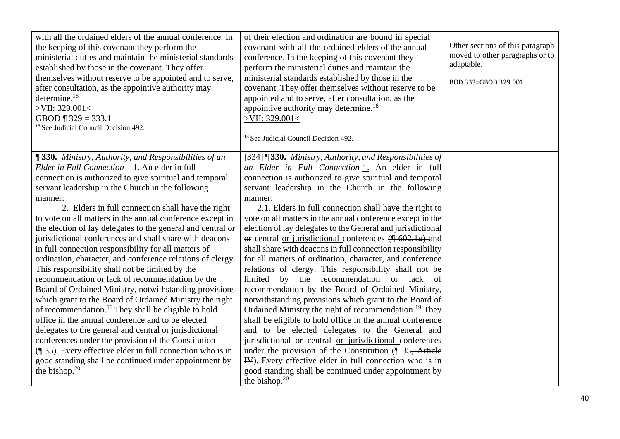| with all the ordained elders of the annual conference. In<br>the keeping of this covenant they perform the<br>ministerial duties and maintain the ministerial standards<br>established by those in the covenant. They offer<br>themselves without reserve to be appointed and to serve,<br>after consultation, as the appointive authority may<br>determine. $^{18}$<br>>VII: 329.001<<br>GBOD $\P$ 329 = 333.1<br><sup>18</sup> See Judicial Council Decision 492.                                                                                                                                                                                                                                                                                                                                                                                                                                                                                                                                                                                                                                                                                                                                               | of their election and ordination are bound in special<br>covenant with all the ordained elders of the annual<br>conference. In the keeping of this covenant they<br>perform the ministerial duties and maintain the<br>ministerial standards established by those in the<br>covenant. They offer themselves without reserve to be<br>appointed and to serve, after consultation, as the<br>appointive authority may determine. <sup>18</sup><br>$>$ VII: 329.001<<br><sup>18</sup> See Judicial Council Decision 492.                                                                                                                                                                                                                                                                                                                                                                                                                                                                                                                                                                                                                                                                                                                                                                                                                    | Other sections of this paragraph<br>moved to other paragraphs or to<br>adaptable.<br>BOD 333=GBOD 329.001 |
|-------------------------------------------------------------------------------------------------------------------------------------------------------------------------------------------------------------------------------------------------------------------------------------------------------------------------------------------------------------------------------------------------------------------------------------------------------------------------------------------------------------------------------------------------------------------------------------------------------------------------------------------------------------------------------------------------------------------------------------------------------------------------------------------------------------------------------------------------------------------------------------------------------------------------------------------------------------------------------------------------------------------------------------------------------------------------------------------------------------------------------------------------------------------------------------------------------------------|------------------------------------------------------------------------------------------------------------------------------------------------------------------------------------------------------------------------------------------------------------------------------------------------------------------------------------------------------------------------------------------------------------------------------------------------------------------------------------------------------------------------------------------------------------------------------------------------------------------------------------------------------------------------------------------------------------------------------------------------------------------------------------------------------------------------------------------------------------------------------------------------------------------------------------------------------------------------------------------------------------------------------------------------------------------------------------------------------------------------------------------------------------------------------------------------------------------------------------------------------------------------------------------------------------------------------------------|-----------------------------------------------------------------------------------------------------------|
| ¶ 330. Ministry, Authority, and Responsibilities of an<br>Elder in Full Connection-1. An elder in full<br>connection is authorized to give spiritual and temporal<br>servant leadership in the Church in the following<br>manner:<br>2. Elders in full connection shall have the right<br>to vote on all matters in the annual conference except in<br>the election of lay delegates to the general and central or<br>jurisdictional conferences and shall share with deacons<br>in full connection responsibility for all matters of<br>ordination, character, and conference relations of clergy.<br>This responsibility shall not be limited by the<br>recommendation or lack of recommendation by the<br>Board of Ordained Ministry, notwithstanding provisions<br>which grant to the Board of Ordained Ministry the right<br>of recommendation. <sup>19</sup> They shall be eligible to hold<br>office in the annual conference and to be elected<br>delegates to the general and central or jurisdictional<br>conferences under the provision of the Constitution<br>(135). Every effective elder in full connection who is in<br>good standing shall be continued under appointment by<br>the bishop. $20$ | [334] [330. Ministry, Authority, and Responsibilities of<br>an Elder in Full Connection-1.-An elder in full<br>connection is authorized to give spiritual and temporal<br>servant leadership in the Church in the following<br>manner:<br>$2.1$ . Elders in full connection shall have the right to<br>vote on all matters in the annual conference except in the<br>election of lay delegates to the General and jurisdictional<br>$\overline{or}$ central <u>or jurisdictional</u> conferences $(\overline{•} 602.1a)$ -and<br>shall share with deacons in full connection responsibility<br>for all matters of ordination, character, and conference<br>relations of clergy. This responsibility shall not be<br>by the recommendation or lack of<br>limited<br>recommendation by the Board of Ordained Ministry,<br>notwithstanding provisions which grant to the Board of<br>Ordained Ministry the right of recommendation. <sup>19</sup> They<br>shall be eligible to hold office in the annual conference<br>and to be elected delegates to the General and<br>jurisdictional or central or jurisdictional conferences<br>under the provision of the Constitution $(\P 35, \text{Article})$<br>H. Every effective elder in full connection who is in<br>good standing shall be continued under appointment by<br>the bishop. $20$ |                                                                                                           |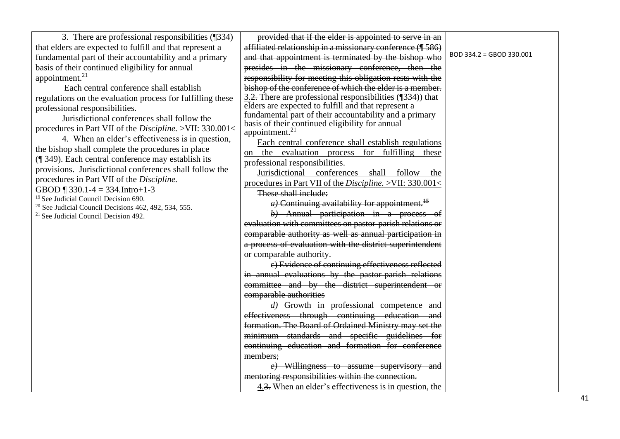3. There are professional responsibilities (¶334) that elders are expected to fulfill and that represent a fundamental part of their accountability and a primary basis of their continued eligibility for annual appointment. $21$ provided that if the elder is appointed to serve in an

Each central conference shall establish regulations on the evaluation process for fulfilling these professional responsibilities.

Jurisdictional conferences shall follow the procedures in Part VII of the *Discipline.* >VII: 330.001<

4. When an elder's effectiveness is in question, the bishop shall complete the procedures in place (¶ 349). Each central conference may establish its provisions. Jurisdictional conferences shall follow the procedures in Part VII of the *Discipline.* GBOD  $\P$  330.1-4 = 334.Intro+1-3 <sup>19</sup> See Judicial Council Decision 690.

<sup>20</sup> See Judicial Council Decisions 462, 492, 534, 555.

<sup>21</sup> See Judicial Council Decision 492.

affiliated relationship in a missionary conference (¶ 586) and that appointment is terminated by the bishop who presides in the missionary conference, then the responsibility for meeting this obligation rests with the bishop of the conference of which the elder is a member. 3.2. There are professional responsibilities (¶334)) that elders are expected to fulfill and that represent a fundamental part of their accountability and a primary basis of their continued eligibility for annual appointment. 21

Each central conference shall establish regulations on the evaluation process for fulfilling these professional responsibilities.

Jurisdictional conferences shall follow the procedures in Part VII of the *Discipline.* >VII: 330.001< These shall include:

 $a)$  Continuing availability for appointment.<sup>15</sup>

*b)* Annual participation in a process of evaluation with committees on pastor-parish relations or comparable authority as well as annual participation in a process of evaluation with the district superintendent or comparable authority.

c) Evidence of continuing effectiveness reflected in annual evaluations by the pastor-parish relations committee and by the district superintendent or comparable authorities

*d)* Growth in professional competence and effectiveness through continuing education and formation. The Board of Ordained Ministry may set the minimum standards and specific guidelines for continuing education and formation for conference members;

*e)* Willingness to assume supervisory and mentoring responsibilities within the connection. 4.3. When an elder's effectiveness is in question, the

BOD 334.2 = GBOD 330.001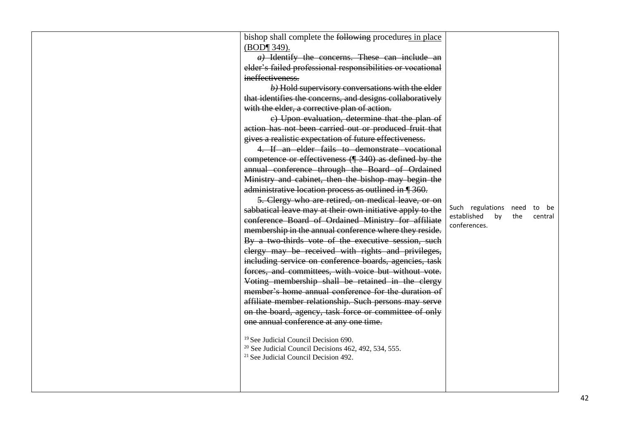bishop shall complete the following procedures in place (BOD¶ 349).

*a)* Identify the concerns. These can include an elder's failed professional responsibilities or vocational ineffectiveness.

*b)* Hold supervisory conversations with the elder that identifies the concerns, and designs collaboratively with the elder, a corrective plan of action.

c) Upon evaluation, determine that the plan of action has not been carried out or produced fruit that gives a realistic expectation of future effectiveness.

4. If an elder fails to demonstrate vocational competence or effectiveness (¶ 340) as defined by the annual conference through the Board of Ordained Ministry and cabinet, then the bishop may begin the administrative location process as outlined in ¶ 360.

5. Clergy who are retired, on medical leave, or on sabbatical leave may at their own initiative apply to the conference Board of Ordained Ministry for affiliate membership in the annual conference where they reside. By a two-thirds vote of the executive session, such clergy may be received with rights and privileges, including service on conference boards, agencies, task forces, and committees, with voice but without vote. Voting membership shall be retained in the clergy member's home annual conference for the duration of affiliate member relationship. Such persons may serve on the board, agency, task force or committee of only one annual conference at any one time.

<sup>19</sup> See Judicial Council Decision 690.

<sup>20</sup> See Judicial Council Decisions 462, 492, 534, 555.

<sup>21</sup> See Judicial Council Decision 492.

Such regulations need to be established by the central conferences.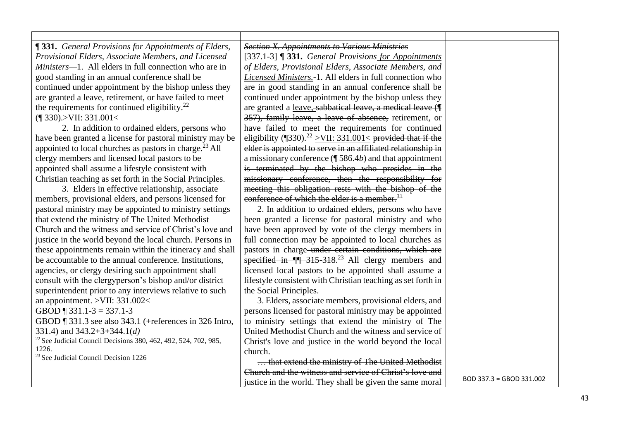| <b>[331.</b> General Provisions for Appointments of Elders,                | <b>Section X. Appointments to Various Ministries</b>                   |                          |
|----------------------------------------------------------------------------|------------------------------------------------------------------------|--------------------------|
| Provisional Elders, Associate Members, and Licensed                        | [337.1-3] <b>[331.</b> General Provisions for Appointments             |                          |
| Ministers-1. All elders in full connection who are in                      | of Elders, Provisional Elders, Associate Members, and                  |                          |
| good standing in an annual conference shall be                             | Licensed Ministers. -1. All elders in full connection who              |                          |
| continued under appointment by the bishop unless they                      | are in good standing in an annual conference shall be                  |                          |
| are granted a leave, retirement, or have failed to meet                    | continued under appointment by the bishop unless they                  |                          |
| the requirements for continued eligibility. $^{22}$                        | are granted a leave, sabbatical leave, a medical leave (               |                          |
| $(\text{\textdegree}330)$ .>VII: 331.001<                                  | 357), family leave, a leave of absence, retirement, or                 |                          |
| 2. In addition to ordained elders, persons who                             | have failed to meet the requirements for continued                     |                          |
| have been granted a license for pastoral ministry may be                   | eligibility (¶330). <sup>22</sup> > VII: 331.001< provided that if the |                          |
| appointed to local churches as pastors in charge. <sup>23</sup> All        | elder is appointed to serve in an affiliated relationship in           |                          |
| clergy members and licensed local pastors to be                            | a missionary conference (¶ 586.4b) and that appointment                |                          |
| appointed shall assume a lifestyle consistent with                         | is terminated by the bishop who presides in the                        |                          |
| Christian teaching as set forth in the Social Principles.                  | missionary conference, then the responsibility for                     |                          |
| 3. Elders in effective relationship, associate                             | meeting this obligation rests with the bishop of the                   |                          |
| members, provisional elders, and persons licensed for                      | conference of which the elder is a member. <sup>31</sup>               |                          |
| pastoral ministry may be appointed to ministry settings                    | 2. In addition to ordained elders, persons who have                    |                          |
| that extend the ministry of The United Methodist                           | been granted a license for pastoral ministry and who                   |                          |
| Church and the witness and service of Christ's love and                    | have been approved by vote of the clergy members in                    |                          |
| justice in the world beyond the local church. Persons in                   | full connection may be appointed to local churches as                  |                          |
| these appointments remain within the itineracy and shall                   | pastors in charge-under certain conditions, which are                  |                          |
| be accountable to the annual conference. Institutions,                     | specified in $\P$ 315-318. <sup>23</sup> All clergy members and        |                          |
| agencies, or clergy desiring such appointment shall                        | licensed local pastors to be appointed shall assume a                  |                          |
| consult with the clergyperson's bishop and/or district                     | lifestyle consistent with Christian teaching as set forth in           |                          |
| superintendent prior to any interviews relative to such                    | the Social Principles.                                                 |                          |
| an appointment. > VII: $331.002<$                                          | 3. Elders, associate members, provisional elders, and                  |                          |
| GBOD $\P$ 331.1-3 = 337.1-3                                                | persons licensed for pastoral ministry may be appointed                |                          |
| GBOD ¶ 331.3 see also 343.1 (+references in 326 Intro,                     | to ministry settings that extend the ministry of The                   |                          |
| 331.4) and $343.2+3+344.1(d)$                                              | United Methodist Church and the witness and service of                 |                          |
| <sup>22</sup> See Judicial Council Decisions 380, 462, 492, 524, 702, 985, | Christ's love and justice in the world beyond the local                |                          |
| 1226.                                                                      | church.                                                                |                          |
| <sup>23</sup> See Judicial Council Decision 1226                           | that extend the ministry of The United Methodist                       |                          |
|                                                                            | Church and the witness and service of Christ's love and                |                          |
|                                                                            | justice in the world. They shall be given the same moral               | BOD 337.3 = GBOD 331.002 |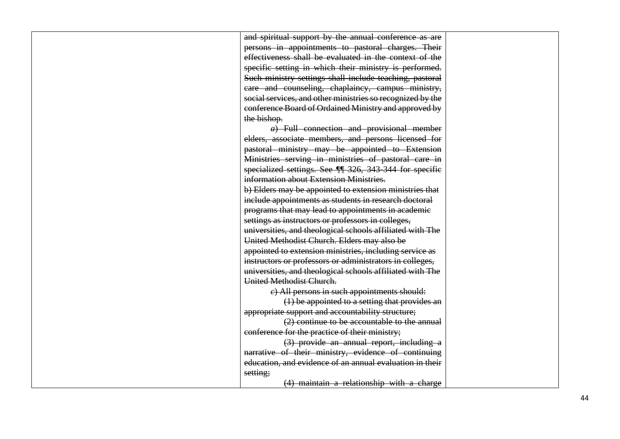and spiritual support by the annual conference as are persons in appointments to pastoral charges. Their effectiveness shall be evaluated in the context of the specific setting in which their ministry is performed. Such ministry settings shall include teaching, pastoral care and counseling, chaplaincy, campus ministry, social services, and other ministries so recognized by the conference Board of Ordained Ministry and approved by the bishop.

*a*) Full connection and provisional member elders, associate members, and persons licensed for pastoral ministry may be appointed to Extension Ministries serving in ministries of pastoral care in specialized settings. See 11 326, 343 344 for specific information about Extension Ministries. b) Elders may be appointed to extension ministries that

include appointments as students in research doctoral programs that may lead to appointments in academic settings as instructors or professors in colleges, universities, and theological schools affiliated with The United Methodist Church. Elders may also be appointed to extension ministries, including service as instructors or professors or administrators in colleges, universities, and theological schools affiliated with The United Methodist Church.

*c*) All persons in such appointments should:

(1) be appointed to a setting that provides an appropriate support and accountability structure;

(2) continue to be accountable to the annual conference for the practice of their ministry;

(3) provide an annual report, including a narrative of their ministry, evidence of continuing education, and evidence of an annual evaluation in their setting;

(4) maintain a relationship with a charge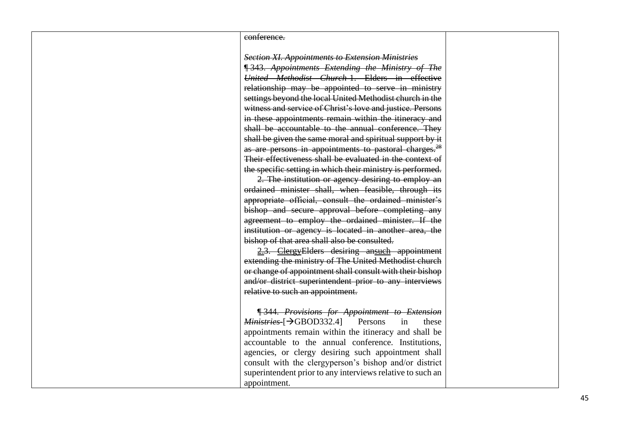## conference.

*Section XI. Appointments to Extension Ministries*

¶ 343. *Appointments Extending the Ministry of The United Methodist Church* -1. Elders in effective relationship may be appointed to serve in ministry settings beyond the local United Methodist church in the witness and service of Christ's love and justice. Persons in these appointments remain within the itineracy and shall be accountable to the annual conference. They shall be given the same moral and spiritual support by it as are persons in appointments to pastoral charges.<sup>28</sup> Their effectiveness shall be evaluated in the context of the specific setting in which their ministry is performed.

2. The institution or agency desiring to employ an ordained minister shall, when feasible, through its appropriate official, consult the ordained minister's bishop and secure approval before completing any agreement to employ the ordained minister. If the institution or agency is located in another area, the bishop of that area shall also be consulted.

2.3. ClergyElders desiring ansuch appointment extending the ministry of The United Methodist church or change of appointment shall consult with their bishop and/or district superintendent prior to any interviews relative to such an appointment.

¶ 344. *Provisions for Appointment to Extension Ministries*-[→GBOD332.4] Persons in these appointments remain within the itineracy and shall be accountable to the annual conference. Institutions, agencies, or clergy desiring such appointment shall consult with the clergyperson's bishop and/or district superintendent prior to any interviews relative to such an appointment .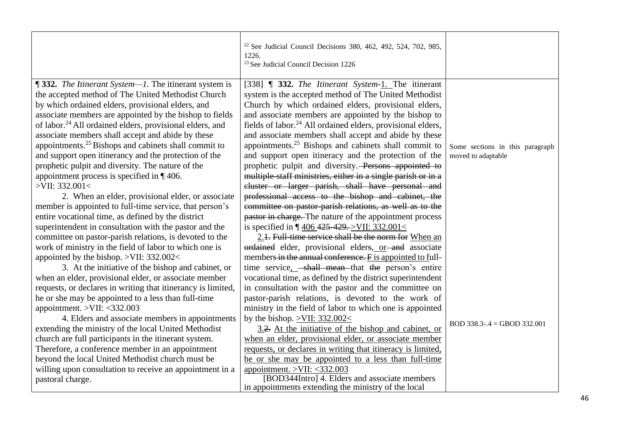|                                                                                                                                                                                                                                                                                                                                                                                                                                                                                                                                                                                                                                                                                                                                                                                                                                                                                                               | <sup>22</sup> See Judicial Council Decisions 380, 462, 492, 524, 702, 985,<br>1226.<br><sup>23</sup> See Judicial Council Decision 1226                                                                                                                                                                                                                                                                                                                                                                                                                                                                                                                                                                                                                                                                                                                                                                                                                                        |                                                       |
|---------------------------------------------------------------------------------------------------------------------------------------------------------------------------------------------------------------------------------------------------------------------------------------------------------------------------------------------------------------------------------------------------------------------------------------------------------------------------------------------------------------------------------------------------------------------------------------------------------------------------------------------------------------------------------------------------------------------------------------------------------------------------------------------------------------------------------------------------------------------------------------------------------------|--------------------------------------------------------------------------------------------------------------------------------------------------------------------------------------------------------------------------------------------------------------------------------------------------------------------------------------------------------------------------------------------------------------------------------------------------------------------------------------------------------------------------------------------------------------------------------------------------------------------------------------------------------------------------------------------------------------------------------------------------------------------------------------------------------------------------------------------------------------------------------------------------------------------------------------------------------------------------------|-------------------------------------------------------|
| ¶ 332. The Itinerant System--1. The itinerant system is<br>the accepted method of The United Methodist Church<br>by which ordained elders, provisional elders, and<br>associate members are appointed by the bishop to fields<br>of labor. <sup>24</sup> All ordained elders, provisional elders, and<br>associate members shall accept and abide by these<br>appointments. <sup>25</sup> Bishops and cabinets shall commit to<br>and support open itinerancy and the protection of the<br>prophetic pulpit and diversity. The nature of the<br>appointment process is specified in $\P$ 406.<br>$>$ VII: 332.001<<br>2. When an elder, provisional elder, or associate<br>member is appointed to full-time service, that person's<br>entire vocational time, as defined by the district<br>superintendent in consultation with the pastor and the<br>committee on pastor-parish relations, is devoted to the | [338] <b>[332.</b> <i>The Itinerant System-1.</i> The itinerant<br>system is the accepted method of The United Methodist<br>Church by which ordained elders, provisional elders,<br>and associate members are appointed by the bishop to<br>fields of labor. <sup>24</sup> All ordained elders, provisional elders,<br>and associate members shall accept and abide by these<br>appointments. <sup>25</sup> Bishops and cabinets shall commit to<br>and support open itineracy and the protection of the<br>prophetic pulpit and diversity. Persons appointed to<br>multiple staff ministries, either in a single parish or in a<br>cluster or larger parish, shall have personal and<br>professional access to the bishop and cabinet, the<br>committee on pastor parish relations, as well as to the<br>pastor in charge. The nature of the appointment process<br>is specified in $\P$ 406 425 429. > VII: 332.001<<br>2.1. Full-time service shall be the norm for When an | Some sections in this paragraph<br>moved to adaptable |
| work of ministry in the field of labor to which one is<br>appointed by the bishop. >VII: 332.002<<br>3. At the initiative of the bishop and cabinet, or<br>when an elder, provisional elder, or associate member<br>requests, or declares in writing that itinerancy is limited,<br>he or she may be appointed to a less than full-time<br>appointment. >VII: <332.003<br>4. Elders and associate members in appointments<br>extending the ministry of the local United Methodist<br>church are full participants in the itinerant system.<br>Therefore, a conference member in an appointment<br>beyond the local United Methodist church must be<br>willing upon consultation to receive an appointment in a<br>pastoral charge.                                                                                                                                                                            | ordained elder, provisional elders, or and associate<br>members in the annual conference. F is appointed to full-<br>time service, -shall mean that the person's entire<br>vocational time, as defined by the district superintendent<br>in consultation with the pastor and the committee on<br>pastor-parish relations, is devoted to the work of<br>ministry in the field of labor to which one is appointed<br>by the bishop. >VII: $332.002<$<br>3.2. At the initiative of the bishop and cabinet, or<br>when an elder, provisional elder, or associate member<br>requests, or declares in writing that itineracy is limited,<br>he or she may be appointed to a less than full-time<br>appointment. > VII: $\langle 332.003$<br>[BOD344Intro] 4. Elders and associate members<br>in appointments extending the ministry of the local                                                                                                                                     | BOD 338.3-.4 = GBOD 332.001                           |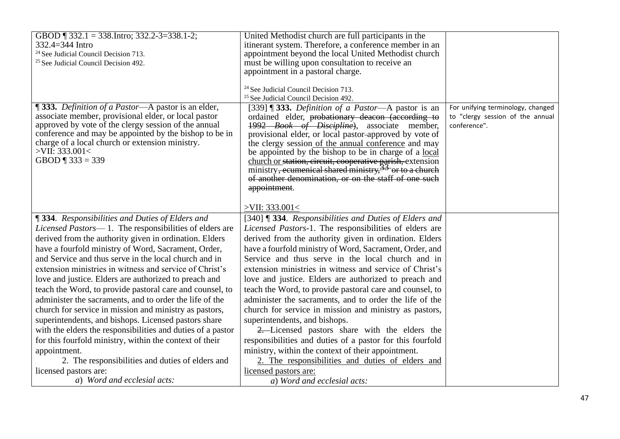| GBOD $\sqrt{332.1} = 338$ . Intro; 332.2-3=338.1-2;<br>332.4=344 Intro<br><sup>24</sup> See Judicial Council Decision 713.<br><sup>25</sup> See Judicial Council Decision 492.                                                                                                                                                     | United Methodist church are full participants in the<br>itinerant system. Therefore, a conference member in an<br>appointment beyond the local United Methodist church<br>must be willing upon consultation to receive an                                                                                                                                                                                                                                                                                                                                                                                                                                                       |                                                                                       |
|------------------------------------------------------------------------------------------------------------------------------------------------------------------------------------------------------------------------------------------------------------------------------------------------------------------------------------|---------------------------------------------------------------------------------------------------------------------------------------------------------------------------------------------------------------------------------------------------------------------------------------------------------------------------------------------------------------------------------------------------------------------------------------------------------------------------------------------------------------------------------------------------------------------------------------------------------------------------------------------------------------------------------|---------------------------------------------------------------------------------------|
| <b>1333.</b> Definition of a Pastor—A pastor is an elder,<br>associate member, provisional elder, or local pastor<br>approved by vote of the clergy session of the annual<br>conference and may be appointed by the bishop to be in<br>charge of a local church or extension ministry.<br>$>$ VII: 333.001<<br>GBOD $\P$ 333 = 339 | appointment in a pastoral charge.<br><sup>24</sup> See Judicial Council Decision 713.<br><sup>25</sup> See Judicial Council Decision 492.<br>[339] <b>[333.</b> Definition of a Pastor-A pastor is an<br>ordained elder, probationary deacon (according to<br>1992 Book of Discipline), associate member,<br>provisional elder, or local pastor-approved by vote of<br>the clergy session of the annual conference and may<br>be appointed by the bishop to be in charge of a local<br>church or station, circuit, cooperative parish, extension<br>ministry, ecumenical shared ministry, $\frac{33}{2}$ or to a church<br>of another denomination, or on the staff of one such | For unifying terminology, changed<br>to "clergy session of the annual<br>conference". |
|                                                                                                                                                                                                                                                                                                                                    | appointment.<br>$>$ VII: 333.001 $<$                                                                                                                                                                                                                                                                                                                                                                                                                                                                                                                                                                                                                                            |                                                                                       |
| ¶334. Responsibilities and Duties of Elders and                                                                                                                                                                                                                                                                                    | [340] <b>[334.</b> Responsibilities and Duties of Elders and                                                                                                                                                                                                                                                                                                                                                                                                                                                                                                                                                                                                                    |                                                                                       |
| <i>Licensed Pastors</i> —1. The responsibilities of elders are                                                                                                                                                                                                                                                                     | Licensed Pastors-1. The responsibilities of elders are                                                                                                                                                                                                                                                                                                                                                                                                                                                                                                                                                                                                                          |                                                                                       |
| derived from the authority given in ordination. Elders                                                                                                                                                                                                                                                                             | derived from the authority given in ordination. Elders                                                                                                                                                                                                                                                                                                                                                                                                                                                                                                                                                                                                                          |                                                                                       |
| have a fourfold ministry of Word, Sacrament, Order,                                                                                                                                                                                                                                                                                | have a fourfold ministry of Word, Sacrament, Order, and                                                                                                                                                                                                                                                                                                                                                                                                                                                                                                                                                                                                                         |                                                                                       |
| and Service and thus serve in the local church and in                                                                                                                                                                                                                                                                              | Service and thus serve in the local church and in                                                                                                                                                                                                                                                                                                                                                                                                                                                                                                                                                                                                                               |                                                                                       |
| extension ministries in witness and service of Christ's                                                                                                                                                                                                                                                                            | extension ministries in witness and service of Christ's                                                                                                                                                                                                                                                                                                                                                                                                                                                                                                                                                                                                                         |                                                                                       |
| love and justice. Elders are authorized to preach and                                                                                                                                                                                                                                                                              | love and justice. Elders are authorized to preach and                                                                                                                                                                                                                                                                                                                                                                                                                                                                                                                                                                                                                           |                                                                                       |
| teach the Word, to provide pastoral care and counsel, to                                                                                                                                                                                                                                                                           | teach the Word, to provide pastoral care and counsel, to                                                                                                                                                                                                                                                                                                                                                                                                                                                                                                                                                                                                                        |                                                                                       |
| administer the sacraments, and to order the life of the                                                                                                                                                                                                                                                                            | administer the sacraments, and to order the life of the                                                                                                                                                                                                                                                                                                                                                                                                                                                                                                                                                                                                                         |                                                                                       |
| church for service in mission and ministry as pastors,<br>superintendents, and bishops. Licensed pastors share                                                                                                                                                                                                                     | church for service in mission and ministry as pastors,<br>superintendents, and bishops.                                                                                                                                                                                                                                                                                                                                                                                                                                                                                                                                                                                         |                                                                                       |
| with the elders the responsibilities and duties of a pastor                                                                                                                                                                                                                                                                        | 2. Licensed pastors share with the elders the                                                                                                                                                                                                                                                                                                                                                                                                                                                                                                                                                                                                                                   |                                                                                       |
| for this fourfold ministry, within the context of their                                                                                                                                                                                                                                                                            | responsibilities and duties of a pastor for this fourfold                                                                                                                                                                                                                                                                                                                                                                                                                                                                                                                                                                                                                       |                                                                                       |
| appointment.                                                                                                                                                                                                                                                                                                                       | ministry, within the context of their appointment.                                                                                                                                                                                                                                                                                                                                                                                                                                                                                                                                                                                                                              |                                                                                       |
| 2. The responsibilities and duties of elders and                                                                                                                                                                                                                                                                                   | 2. The responsibilities and duties of elders and                                                                                                                                                                                                                                                                                                                                                                                                                                                                                                                                                                                                                                |                                                                                       |
| licensed pastors are:                                                                                                                                                                                                                                                                                                              | licensed pastors are:                                                                                                                                                                                                                                                                                                                                                                                                                                                                                                                                                                                                                                                           |                                                                                       |
| a) Word and ecclesial acts:                                                                                                                                                                                                                                                                                                        | a) Word and ecclesial acts:                                                                                                                                                                                                                                                                                                                                                                                                                                                                                                                                                                                                                                                     |                                                                                       |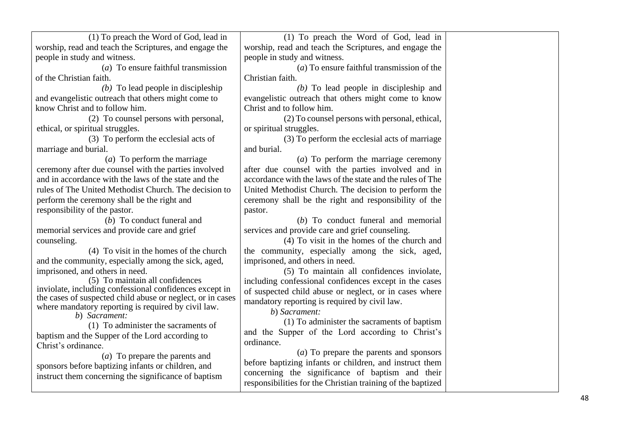(1) To preach the Word of God, lead in worship, read and teach the Scriptures, and engage the people in study and witness.

(*a*) To ensure faithful transmission of the Christian faith.

*(b)* To lead people in discipleship and evangelistic outreach that others might come to know Christ and to follow him.

(2) To counsel persons with personal, ethical, or spiritual struggles.

(3) To perform the ecclesial acts of marriage and burial.

*a* ) To perform the marriage ceremony after due counsel with the parties involved and in accordance with the laws of the state and the rules of The United Methodist Church. The decision to perform the ceremony shall be the right and responsibility of the pastor.

(*b*) To conduct funeral and memorial services and provide care and grief counseling.

(4) To visit in the homes of the church and the community, especially among the sick, aged, imprisoned, and others in need.

(5) To maintain all confidences inviolate, including confessional confidences except in the cases of suspected child abuse or neglect, or in cases where mandatory reporting is required by civil law.<br>*b*) *Sacrament*:

(1) To administer the sacraments of baptism and the Supper of the Lord according to Christ's ordinance.

*a* ) To prepare the parents and sponsors before baptizing infants or children, and instruct them concerning the significance of baptism

(1) To preach the Word of God, lead in worship, read and teach the Scriptures, and engage the people in study and witness.

(*a*) To ensure faithful transmission of the Christian faith.

*(b)* To lead people in discipleship and evangelistic outreach that others might come to know Christ and to follow him.

(2) To counsel persons with personal, ethical, or spiritual struggles.

(3) To perform the ecclesial acts of marriage and burial.

( *a*) To perform the marriage ceremony after due counsel with the parties involved and in accordance with the laws of the state and the rules of The United Methodist Church. The decision to perform the ceremony shall be the right and responsibility of the pastor.

( *b*) To conduct funeral and memorial services and provide care and grief counseling.

(4) To visit in the homes of the church and the community, especially among the sick, aged, imprisoned, and others in need.

(5) To maintain all confidences inviolate, including confessional confidences except in the cases of suspected child abuse or neglect, or in cases where mandatory reporting is required by civil law.

*b*) *Sacrament:*

(1) To administer the sacraments of baptism and the Supper of the Lord according to Christ's ordinance.

( *a*) To prepare the parents and sponsors before baptizing infants or children, and instruct them concerning the significance of baptism and their responsibilities for the Christian training of the baptized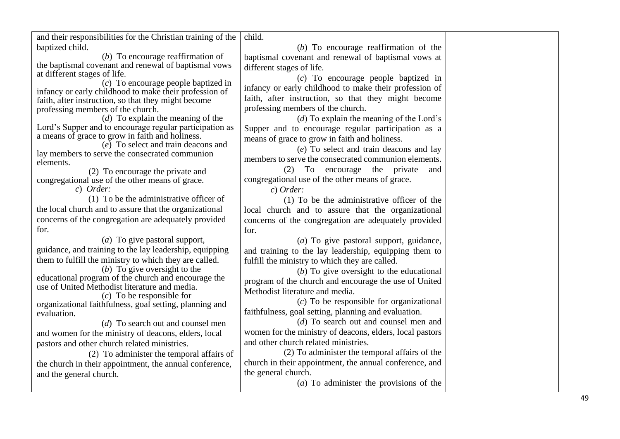| and their responsibilities for the Christian training of the $\vert$ child. |  |
|-----------------------------------------------------------------------------|--|
| baptized child.                                                             |  |

( *b* ) To encourage reaffirmation of the baptismal covenant and renewal of baptismal vows<br>at different stages of life.

 $\alpha$  To encourage people baptized in infancy or early childhood to make their profession of faith, after instruction, so that they might become

 $(d)$  To explain the meaning of the Lord's Supper and to encourage regular participation as a means of grace to grow in faith and holiness.

(*e*) To select and train deacons and lay members to serve the consecrated communion elements .

(2) To encourage the private and congregational use of the other means of grace. *<sup>c</sup>*) *Order:*

(1) To be the administrative officer of

the local church and to assure that the organizational concerns of the congregation are adequately provided for.

( *a* ) To give pastoral support, guidance, and training to the lay leadership, equipping them to fulfill the ministry to which they are called.

(*b*) To give oversight to the educational program of the church and encourage the use of United Methodist literature and media. (*c*) To be responsible for

organizational faithfulness, goal setting, planning and evaluation.

( *d* ) To search out and counsel men and women for the ministry of deacons, elders, local pastors and other church related ministries.

(2) To administer the temporal affairs of the church in their appointment, the annual conference, and the general church.

( *b*) To encourage reaffirmation of the baptismal covenant and renewal of baptismal vows at different stages of life.

(*c*) To encourage people baptized in infancy or early childhood to make their profession of faith, after instruction, so that they might become professing members of the church.

(*d*) To explain the meaning of the Lord's Supper and to encourage regular participation as a means of grace to grow in faith and holiness.

(*e*) To select and train deacons and lay members to serve the consecrated communion elements.

(2) To encourage the private and congregational use of the other means of grace.

*c*) *Order:*

(1) To be the administrative officer of the local church and to assure that the organizational concerns of the congregation are adequately provided for.

( *a*) To give pastoral support, guidance, and training to the lay leadership, equipping them to fulfill the ministry to which they are called.

(*b*) To give oversight to the educational program of the church and encourage the use of United Methodist literature and media.

(*c*) To be responsible for organizational faithfulness, goal setting, planning and evaluation.

(*d*) To search out and counsel men and women for the ministry of deacons, elders, local pastors and other church related ministries.

(2) To administer the temporal affairs of the church in their appointment, the annual conference, and the general church.

(*a*) To administer the provisions of the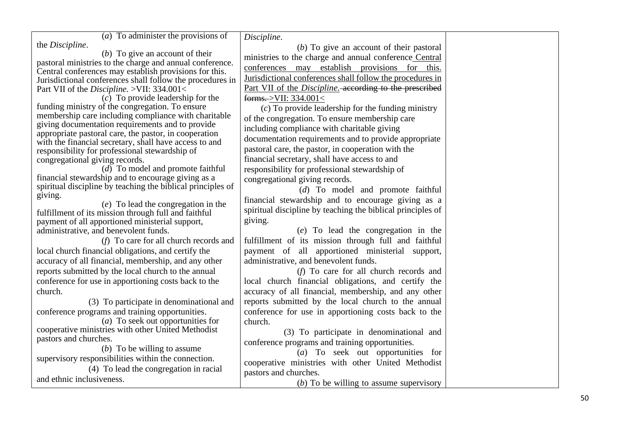| (a) To administer the provisions of                                                                                | Discipline.                                                 |  |
|--------------------------------------------------------------------------------------------------------------------|-------------------------------------------------------------|--|
| the Discipline.                                                                                                    | $(b)$ To give an account of their pastoral                  |  |
| (b) To give an account of their                                                                                    | ministries to the charge and annual conference Central      |  |
| pastoral ministries to the charge and annual conference.<br>Central conferences may establish provisions for this. | conferences may establish provisions for this.              |  |
| Jurisdictional conferences shall follow the procedures in                                                          | Jurisdictional conferences shall follow the procedures in   |  |
| Part VII of the <i>Discipline</i> . >VII: 334.001<                                                                 | Part VII of the Discipline. according to the prescribed     |  |
| $(c)$ To provide leadership for the                                                                                | $f \circ r ms. > VII: 334.001 <$                            |  |
| funding ministry of the congregation. To ensure                                                                    | $(c)$ To provide leadership for the funding ministry        |  |
| membership care including compliance with charitable                                                               | of the congregation. To ensure membership care              |  |
| giving documentation requirements and to provide                                                                   | including compliance with charitable giving                 |  |
| appropriate pastoral care, the pastor, in cooperation                                                              | documentation requirements and to provide appropriate       |  |
| with the financial secretary, shall have access to and                                                             | pastoral care, the pastor, in cooperation with the          |  |
| responsibility for professional stewardship of<br>congregational giving records.                                   | financial secretary, shall have access to and               |  |
| $(d)$ To model and promote faithful                                                                                | responsibility for professional stewardship of              |  |
| financial stewardship and to encourage giving as a                                                                 | congregational giving records.                              |  |
| spiritual discipline by teaching the biblical principles of                                                        | (d) To model and promote faithful                           |  |
| giving.                                                                                                            | financial stewardship and to encourage giving as a          |  |
| $(e)$ To lead the congregation in the                                                                              | spiritual discipline by teaching the biblical principles of |  |
| fulfillment of its mission through full and faithful                                                               | giving.                                                     |  |
| payment of all apportioned ministerial support,<br>administrative, and benevolent funds.                           | $(e)$ To lead the congregation in the                       |  |
| $(f)$ To care for all church records and                                                                           | fulfillment of its mission through full and faithful        |  |
|                                                                                                                    | payment of all apportioned ministerial support,             |  |
| local church financial obligations, and certify the                                                                | administrative, and benevolent funds.                       |  |
| accuracy of all financial, membership, and any other                                                               |                                                             |  |
| reports submitted by the local church to the annual                                                                | (f) To care for all church records and                      |  |
| conference for use in apportioning costs back to the                                                               | local church financial obligations, and certify the         |  |
| church.                                                                                                            | accuracy of all financial, membership, and any other        |  |
| (3) To participate in denominational and                                                                           | reports submitted by the local church to the annual         |  |
| conference programs and training opportunities.<br>( $a$ ) To seek out opportunities for                           | conference for use in apportioning costs back to the        |  |
| cooperative ministries with other United Methodist                                                                 | church.                                                     |  |
| pastors and churches.                                                                                              | (3) To participate in denominational and                    |  |
| (b) To be willing to assume                                                                                        | conference programs and training opportunities.             |  |
| supervisory responsibilities within the connection.                                                                | (a) To seek out opportunities for                           |  |
| (4) To lead the congregation in racial                                                                             | cooperative ministries with other United Methodist          |  |
| and ethnic inclusiveness.                                                                                          | pastors and churches.                                       |  |
|                                                                                                                    | $(b)$ To be willing to assume supervisory                   |  |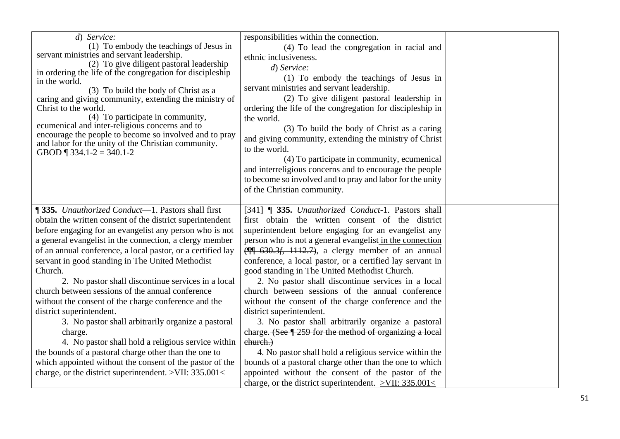| d) Service:<br>(1) To embody the teachings of Jesus in<br>servant ministries and servant leadership.<br>(2) To give diligent pastoral leadership<br>in ordering the life of the congregation for discipleship<br>in the world.<br>(3) To build the body of Christ as a<br>caring and giving community, extending the ministry of<br>Christ to the world.<br>(4) To participate in community,<br>ecumenical and inter-religious concerns and to<br>encourage the people to become so involved and to pray<br>and labor for the unity of the Christian community.<br>GBOD $\sqrt{334.1} - 2 = 340.1 - 2$                                                                                                                                                                                                                                                                    | responsibilities within the connection.<br>(4) To lead the congregation in racial and<br>ethnic inclusiveness.<br>d) Service:<br>(1) To embody the teachings of Jesus in<br>servant ministries and servant leadership.<br>(2) To give diligent pastoral leadership in<br>ordering the life of the congregation for discipleship in<br>the world.<br>(3) To build the body of Christ as a caring<br>and giving community, extending the ministry of Christ<br>to the world.<br>(4) To participate in community, ecumenical<br>and interreligious concerns and to encourage the people<br>to become so involved and to pray and labor for the unity<br>of the Christian community.                                                                                                                                                                                                                                                                                                                                                                                                                                                                                                                                                                                                                                                                            |  |
|---------------------------------------------------------------------------------------------------------------------------------------------------------------------------------------------------------------------------------------------------------------------------------------------------------------------------------------------------------------------------------------------------------------------------------------------------------------------------------------------------------------------------------------------------------------------------------------------------------------------------------------------------------------------------------------------------------------------------------------------------------------------------------------------------------------------------------------------------------------------------|-------------------------------------------------------------------------------------------------------------------------------------------------------------------------------------------------------------------------------------------------------------------------------------------------------------------------------------------------------------------------------------------------------------------------------------------------------------------------------------------------------------------------------------------------------------------------------------------------------------------------------------------------------------------------------------------------------------------------------------------------------------------------------------------------------------------------------------------------------------------------------------------------------------------------------------------------------------------------------------------------------------------------------------------------------------------------------------------------------------------------------------------------------------------------------------------------------------------------------------------------------------------------------------------------------------------------------------------------------------|--|
| ¶335. Unauthorized Conduct—1. Pastors shall first<br>obtain the written consent of the district superintendent<br>before engaging for an evangelist any person who is not<br>a general evangelist in the connection, a clergy member<br>of an annual conference, a local pastor, or a certified lay<br>servant in good standing in The United Methodist<br>Church.<br>2. No pastor shall discontinue services in a local<br>church between sessions of the annual conference<br>without the consent of the charge conference and the<br>district superintendent.<br>3. No pastor shall arbitrarily organize a pastoral<br>charge.<br>4. No pastor shall hold a religious service within<br>the bounds of a pastoral charge other than the one to<br>which appointed without the consent of the pastor of the<br>charge, or the district superintendent. $>$ VII: 335.001< | [341] <b>[355.</b> Unauthorized Conduct-1. Pastors shall<br>first obtain the written consent of the district<br>superintendent before engaging for an evangelist any<br>person who is not a general evangelist in the connection<br>$\left(\frac{1}{2}, \frac{1}{2}, \frac{1}{2}, \frac{1}{2}, \frac{1}{2}, \frac{1}{2}, \frac{1}{2}, \frac{1}{2}, \frac{1}{2}, \frac{1}{2}, \frac{1}{2}, \frac{1}{2}, \frac{1}{2}, \frac{1}{2}, \frac{1}{2}, \frac{1}{2}, \frac{1}{2}, \frac{1}{2}, \frac{1}{2}, \frac{1}{2}, \frac{1}{2}, \frac{1}{2}, \frac{1}{2}, \frac{1}{2}, \frac{1}{2}, \frac{1}{2}, \frac{1}{2}, \frac{1}{2}, \frac{1}{2}, \frac{1}{2}, \frac{1}{2}, \$<br>conference, a local pastor, or a certified lay servant in<br>good standing in The United Methodist Church.<br>2. No pastor shall discontinue services in a local<br>church between sessions of the annual conference<br>without the consent of the charge conference and the<br>district superintendent.<br>3. No pastor shall arbitrarily organize a pastoral<br>charge. (See $\sqrt{259}$ for the method of organizing a local<br>church.)<br>4. No pastor shall hold a religious service within the<br>bounds of a pastoral charge other than the one to which<br>appointed without the consent of the pastor of the<br>charge, or the district superintendent. $\geq$ VII: 335.001< |  |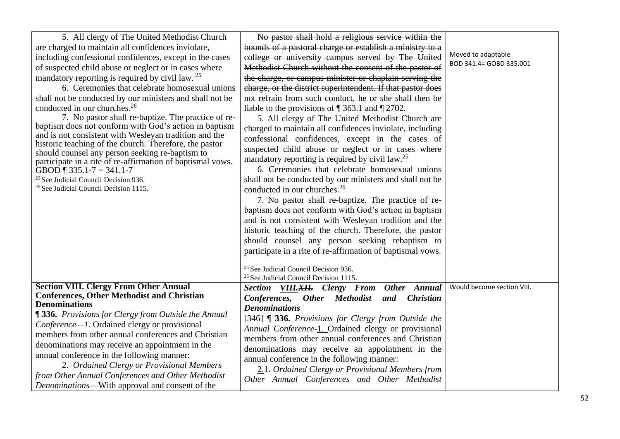| 5. All clergy of The United Methodist Church<br>are charged to maintain all confidences inviolate,<br>including confessional confidences, except in the cases<br>of suspected child abuse or neglect or in cases where<br>mandatory reporting is required by civil law. <sup>25</sup><br>6. Ceremonies that celebrate homosexual unions<br>shall not be conducted by our ministers and shall not be<br>conducted in our churches. <sup>26</sup><br>7. No pastor shall re-baptize. The practice of re-<br>baptism does not conform with God's action in baptism<br>and is not consistent with Wesleyan tradition and the<br>historic teaching of the church. Therefore, the pastor<br>should counsel any person seeking re-baptism to<br>participate in a rite of re-affirmation of baptismal vows.<br>GBOD $\sqrt{ }$ 335.1-7 = 341.1-7<br><sup>25</sup> See Judicial Council Decision 936.<br><sup>26</sup> See Judicial Council Decision 1115. | No pastor shall hold a religious service within the<br>bounds of a pastoral charge or establish a ministry to a<br>college or university campus served by The United<br>Methodist Church without the consent of the pastor of<br>the charge, or campus minister or chaplain serving the<br>charge, or the district superintendent. If that pastor does<br>not refrain from such conduct, he or she shall then be<br>liable to the provisions of $\P$ 363.1 and $\P$ 2702.<br>5. All clergy of The United Methodist Church are<br>charged to maintain all confidences inviolate, including<br>confessional confidences, except in the cases of<br>suspected child abuse or neglect or in cases where<br>mandatory reporting is required by civil law. <sup>25</sup><br>6. Ceremonies that celebrate homosexual unions<br>shall not be conducted by our ministers and shall not be<br>conducted in our churches. <sup>26</sup><br>7. No pastor shall re-baptize. The practice of re-<br>baptism does not conform with God's action in baptism<br>and is not consistent with Wesleyan tradition and the<br>historic teaching of the church. Therefore, the pastor<br>should counsel any person seeking rebaptism to<br>participate in a rite of re-affirmation of baptismal vows.<br><sup>25</sup> See Judicial Council Decision 936.<br><sup>26</sup> See Judicial Council Decision 1115. | Moved to adaptable<br>BOD 341.4= GOBD 335.001 |
|--------------------------------------------------------------------------------------------------------------------------------------------------------------------------------------------------------------------------------------------------------------------------------------------------------------------------------------------------------------------------------------------------------------------------------------------------------------------------------------------------------------------------------------------------------------------------------------------------------------------------------------------------------------------------------------------------------------------------------------------------------------------------------------------------------------------------------------------------------------------------------------------------------------------------------------------------|-----------------------------------------------------------------------------------------------------------------------------------------------------------------------------------------------------------------------------------------------------------------------------------------------------------------------------------------------------------------------------------------------------------------------------------------------------------------------------------------------------------------------------------------------------------------------------------------------------------------------------------------------------------------------------------------------------------------------------------------------------------------------------------------------------------------------------------------------------------------------------------------------------------------------------------------------------------------------------------------------------------------------------------------------------------------------------------------------------------------------------------------------------------------------------------------------------------------------------------------------------------------------------------------------------------------------------------------------------------------------------------------|-----------------------------------------------|
| <b>Section VIII. Clergy From Other Annual</b><br><b>Conferences, Other Methodist and Christian</b><br><b>Denominations</b><br><b>J336.</b> Provisions for Clergy from Outside the Annual<br>Conference—1. Ordained clergy or provisional<br>members from other annual conferences and Christian<br>denominations may receive an appointment in the<br>annual conference in the following manner:<br>2. Ordained Clergy or Provisional Members<br>from Other Annual Conferences and Other Methodist<br>Denominations—With approval and consent of the                                                                                                                                                                                                                                                                                                                                                                                             | Section VIII.XII. Clergy From Other Annual<br>Conferences, Other Methodist<br><b>Christian</b><br>and<br><b>Denominations</b><br>[346] <b>[336.</b> Provisions for Clergy from Outside the<br>Annual Conference-1. Ordained clergy or provisional<br>members from other annual conferences and Christian<br>denominations may receive an appointment in the<br>annual conference in the following manner:<br>2.1. Ordained Clergy or Provisional Members from<br>Other Annual Conferences and Other Methodist                                                                                                                                                                                                                                                                                                                                                                                                                                                                                                                                                                                                                                                                                                                                                                                                                                                                           | Would become section VIII.                    |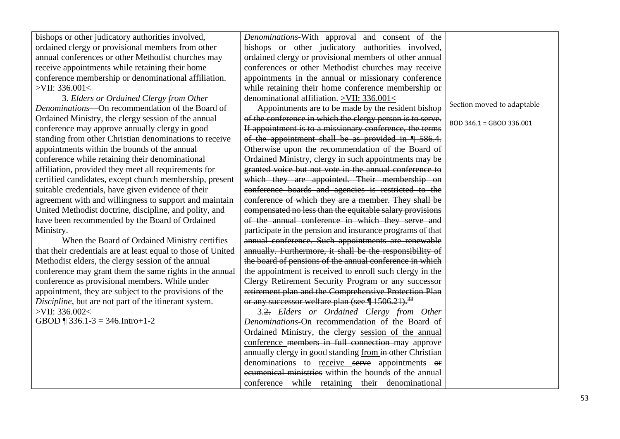| bishops or other judicatory authorities involved,            | Denominations-With approval and consent of the                  |                            |
|--------------------------------------------------------------|-----------------------------------------------------------------|----------------------------|
| ordained clergy or provisional members from other            | bishops or other judicatory authorities involved,               |                            |
| annual conferences or other Methodist churches may           | ordained clergy or provisional members of other annual          |                            |
| receive appointments while retaining their home              | conferences or other Methodist churches may receive             |                            |
| conference membership or denominational affiliation.         | appointments in the annual or missionary conference             |                            |
| $>$ VII: 336.001<                                            | while retaining their home conference membership or             |                            |
| 3. Elders or Ordained Clergy from Other                      | denominational affiliation. $>$ VII: 336.001<                   |                            |
| Denominations-On recommendation of the Board of              | Appointments are to be made by the resident bishop              | Section moved to adaptable |
| Ordained Ministry, the clergy session of the annual          | of the conference in which the clergy person is to serve.       | BOD 346.1 = GBOD 336.001   |
| conference may approve annually clergy in good               | If appointment is to a missionary conference, the terms         |                            |
| standing from other Christian denominations to receive       | of the appointment shall be as provided in ¶ 586.4.             |                            |
| appointments within the bounds of the annual                 | Otherwise upon the recommendation of the Board of               |                            |
| conference while retaining their denominational              | Ordained Ministry, clergy in such appointments may be           |                            |
| affiliation, provided they meet all requirements for         | granted voice but not vote in the annual conference to          |                            |
| certified candidates, except church membership, present      | which they are appointed. Their membership on                   |                            |
| suitable credentials, have given evidence of their           | conference boards and agencies is restricted to the             |                            |
| agreement with and willingness to support and maintain       | conference of which they are a member. They shall be            |                            |
| United Methodist doctrine, discipline, and polity, and       | compensated no less than the equitable salary provisions        |                            |
| have been recommended by the Board of Ordained               | of the annual conference in which they serve and                |                            |
| Ministry.                                                    | participate in the pension and insurance programs of that       |                            |
| When the Board of Ordained Ministry certifies                | annual conference. Such appointments are renewable              |                            |
| that their credentials are at least equal to those of United | annually. Furthermore, it shall be the responsibility of        |                            |
| Methodist elders, the clergy session of the annual           | the board of pensions of the annual conference in which         |                            |
| conference may grant them the same rights in the annual      | the appointment is received to enroll such clergy in the        |                            |
| conference as provisional members. While under               | Clergy Retirement Security Program or any successor             |                            |
| appointment, they are subject to the provisions of the       | retirement plan and the Comprehensive Protection Plan           |                            |
| Discipline, but are not part of the itinerant system.        | or any successor welfare plan (see $\P$ 1506.21). <sup>33</sup> |                            |
| >VII: 336.002<                                               | 3.2. Elders or Ordained Clergy from Other                       |                            |
| GBOD $\sqrt{ }$ 336.1-3 = 346.Intro+1-2                      | Denominations-On recommendation of the Board of                 |                            |
|                                                              | Ordained Ministry, the clergy session of the annual             |                            |
|                                                              | conference members in full connection may approve               |                            |
|                                                              | annually clergy in good standing from in-other Christian        |                            |
|                                                              | denominations to receive serve appointments or                  |                            |
|                                                              | ecumenical ministries within the bounds of the annual           |                            |
|                                                              | conference while retaining their denominational                 |                            |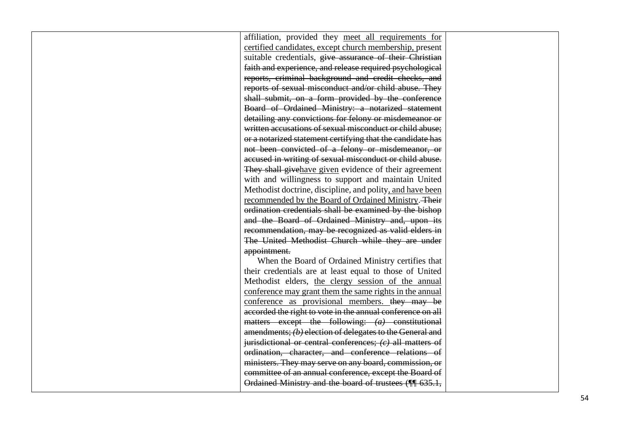affiliation, provided they meet all requirements for certified candidates, except church membership, present suitable credentials, give assurance of their Christian faith and experience, and release required psychological reports, criminal background and credit checks, and reports of sexual misconduct and/or child abuse. They shall submit, on a form provided by the conference Board of Ordained Ministry: a notarized statement detailing any convictions for felony or misdemeanor or written accusations of sexual misconduct or child abuse; or a notarized statement certifying that the candidate has not been convicted of a felony or misdemeanor, or accused in writing of sexual misconduct or child abuse. They shall givehave given evidence of their agreement with and willingness to support and maintain United Methodist doctrine, discipline, and polity, and have been recommended by the Board of Ordained Ministry . Their ordination credentials shall be examined by the bishop and the Board of Ordained Ministry and, upon its recommendation, may be recognized as valid elders in The United Methodist Church while they are under appointment.

When the Board of Ordained Ministry certifies that their credentials are at least equal to those of United Methodist elders, the clergy session of the annual conference may grant them the same rights in the annual conference as provisional members. they may be accorded the right to vote in the annual conference on all matters except the following: *(a)* constitutional amendments; *(b)* election of delegates to the General and jurisdictional or central conferences; *(c)* all matters of ordination, character, and conference relations of ministers. They may serve on any board, commission, or committee of an annual conference, except the Board of Ordained Ministry and the board of trustees (¶¶ 635.1,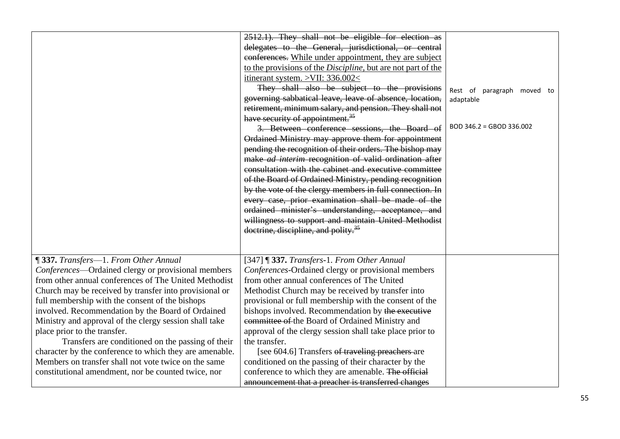|                                                                                                                                                                                                                                                                                                                                                                                                                                                                                                                                                                                                                                                 | 2512.1). They shall not be eligible for election as<br>delegates to the General, jurisdictional, or central<br>conferences. While under appointment, they are subject<br>to the provisions of the <i>Discipline</i> , but are not part of the<br>itinerant system. $>$ VII: 336.002<<br>They shall also be subject to the provisions<br>governing sabbatical leave, leave of absence, location,<br>retirement, minimum salary, and pension. They shall not<br>have security of appointment. <sup>35</sup><br>3. Between conference sessions, the Board of<br>Ordained Ministry may approve them for appointment<br>pending the recognition of their orders. The bishop may<br>make <i>ad interim</i> recognition of valid ordination after<br>consultation with the cabinet and executive committee<br>of the Board of Ordained Ministry, pending recognition<br>by the vote of the clergy members in full connection. In<br>every case, prior examination shall be made of the<br>ordained minister's understanding, acceptance, and<br>willingness to support and maintain United Methodist<br>doctrine, discipline, and polity. <sup>35</sup> | Rest of paragraph moved to<br>adaptable<br>BOD 346.2 = GBOD 336.002 |
|-------------------------------------------------------------------------------------------------------------------------------------------------------------------------------------------------------------------------------------------------------------------------------------------------------------------------------------------------------------------------------------------------------------------------------------------------------------------------------------------------------------------------------------------------------------------------------------------------------------------------------------------------|--------------------------------------------------------------------------------------------------------------------------------------------------------------------------------------------------------------------------------------------------------------------------------------------------------------------------------------------------------------------------------------------------------------------------------------------------------------------------------------------------------------------------------------------------------------------------------------------------------------------------------------------------------------------------------------------------------------------------------------------------------------------------------------------------------------------------------------------------------------------------------------------------------------------------------------------------------------------------------------------------------------------------------------------------------------------------------------------------------------------------------------------------|---------------------------------------------------------------------|
| ¶ 337. Transfers-1. From Other Annual<br>Conferences—Ordained clergy or provisional members<br>from other annual conferences of The United Methodist<br>Church may be received by transfer into provisional or<br>full membership with the consent of the bishops<br>involved. Recommendation by the Board of Ordained<br>Ministry and approval of the clergy session shall take<br>place prior to the transfer.<br>Transfers are conditioned on the passing of their<br>character by the conference to which they are amenable.<br>Members on transfer shall not vote twice on the same<br>constitutional amendment, nor be counted twice, nor | [347] ¶ 337. Transfers-1. From Other Annual<br>Conferences-Ordained clergy or provisional members<br>from other annual conferences of The United<br>Methodist Church may be received by transfer into<br>provisional or full membership with the consent of the<br>bishops involved. Recommendation by the executive<br>committee of the Board of Ordained Ministry and<br>approval of the clergy session shall take place prior to<br>the transfer.<br>[see 604.6] Transfers of traveling preachers are<br>conditioned on the passing of their character by the<br>conference to which they are amenable. The official<br>announcement that a preacher is transferred changes                                                                                                                                                                                                                                                                                                                                                                                                                                                                   |                                                                     |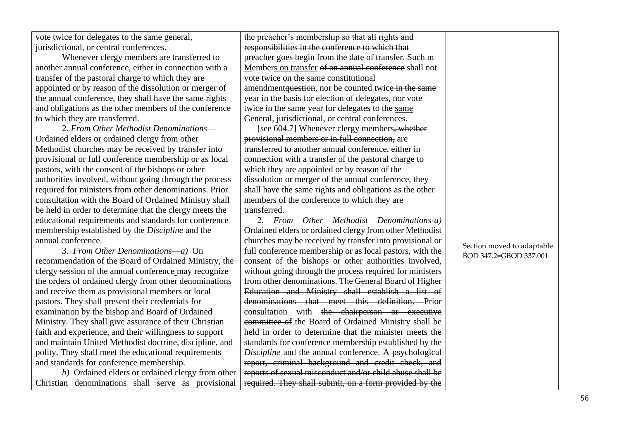vote twice for delegates to the same general, jurisdictional, or central conferences.

Whenever clergy members are transferred to another annual conference, either in connection with a transfer of the pastoral charge to which they are appointed or by reason of the dissolution or merger of the annual conference, they shall have the same rights and obligations as the other members of the conference to which they are transferred.

2. *From Other Methodist Denominations*— Ordained elders or ordained clergy from other Methodist churches may be received by transfer into provisional or full conference membership or as local pastors, with the consent of the bishops or other authorities involved, without going through the process required for ministers from other denominations. Prior consultation with the Board of Ordained Ministry shall be held in order to determine that the clergy meets the educational requirements and standards for conference membership established by the *Discipline* and the annual conference.

3. *From Other Denominations*—*a)* On recommendation of the Board of Ordained Ministry, the clergy session of the annual conference may recognize the orders of ordained clergy from other denominations and receive them as provisional members or local pastors. They shall present their credentials for examination by the bishop and Board of Ordained Ministry. They shall give assurance of their Christian faith and experience, and their willingness to support and maintain United Methodist doctrine, discipline, and polity. They shall meet the educational requirements and standards for conference membership.

*b)* Ordained elders or ordained clergy from other Christian denominations shall serve as provisional

the preacher's membership so that all rights and responsibilities in the conference to which that preacher goes begin from the date of transfer. Such m Members on transfer of an annual conference shall not vote twice on the same constitutional amendmentelestion, nor be counted twice in the same year in the basis for election of delegates, nor vote twice in the same year for delegates to the same General, jurisdictional, or central conferences.

[see 604.7] Whenever clergy members, whether provisional members or in full connection, are transferred to another annual conference, either in connection with a transfer of the pastoral charge to which they are appointed or by reason of the dissolution or merger of the annual conference, they shall have the same rights and obligations as the other members of the conference to which they are transferred.

2. *From Other Methodist Denominations*-*a)* Ordained elders or ordained clergy from other Methodist churches may be received by transfer into provisional or full conference membership or as local pastors, with the consent of the bishops or other authorities involved, without going through the process required for ministers from other denominations. The General Board of Higher Education and Ministry shall establish a list of denominations that meet this definition. Prior consultation with the chairperson or executive committee of the Board of Ordained Ministry shall be held in order to determine that the minister meets the standards for conference membership established by the *Discipline* and the annual conference. A psychological report, criminal background and credit check, and reports of sexual misconduct and/or child abuse shall be required. They shall submit, on a form provided by the

Section moved to adaptable BOD 347.2=GBOD 337.001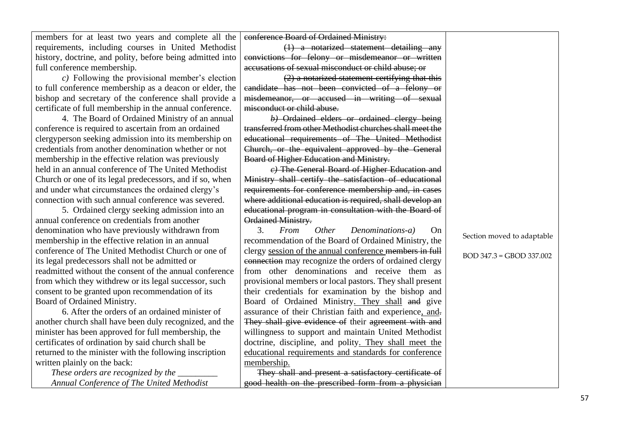members for at least two years and complete all the requirements, including courses in United Methodist history, doctrine, and polity, before being admitted into full conference membership.

*c)* Following the provisional member's election to full conference membership as a deacon or elder, the bishop and secretary of the conference shall provide a certificate of full membership in the annual conference.

4. The Board of Ordained Ministry of an annual conference is required to ascertain from an ordained clergyperson seeking admission into its membership on credentials from another denomination whether or not membership in the effective relation was previously held in an annual conference of The United Methodist Church or one of its legal predecessors, and if so, when and under what circumstances the ordained clergy's connection with such annual conference was severed.

5. Ordained clergy seeking admission into an annual conference on credentials from another denomination who have previously withdrawn from membership in the effective relation in an annual conference of The United Methodist Church or one of its legal predecessors shall not be admitted or readmitted without the consent of the annual conference from which they withdrew or its legal successor, such consent to be granted upon recommendation of its Board of Ordained Ministry.

6. After the orders of an ordained minister of another church shall have been duly recognized, and the minister has been approved for full membership, the certificates of ordination by said church shall be returned to the minister with the following inscription written plainly on the back:

*These orders are recognized by the Annual Conference of The United Methodist*  They shall and present a satisfactory certificate of good health on the prescribed form from a physician

conference Board of Ordained Ministry:

(1) a notarized statement detailing any convictions for felony or misdemeanor or written accusations of sexual misconduct or child abuse; or

(2) a notarized statement certifying that this candidate has not been convicted of a felony or misdemeanor, or accused in writing of sexual misconduct or child abuse.

*b)* Ordained elders or ordained clergy being transferred from other Methodist churches shall meet the educational requirements of The United Methodist Church, or the equivalent approved by the General Board of Higher Education and Ministry.

*c)* The General Board of Higher Education and Ministry shall certify the satisfaction of educational requirements for conference membership and, in cases where additional education is required, shall develop an educational program in consultation with the Board of Ordained Ministry.

3. *From Other Denominations*-*a)* On recommendation of the Board of Ordained Ministry, the clergy session of the annual conference members in full connection may recognize the orders of ordained clergy from other denominations and receive them as provisional members or local pastors. They shall present their credentials for examination by the bishop and Board of Ordained Ministry. They shall and give assurance of their Christian faith and experience, and. They shall give evidence of their agreement with and willingness to support and maintain United Methodist doctrine, discipline, and polity. They shall meet the educational requirements and standards for conference membership.

Section moved to adaptable

BOD 347.3 = GBOD 337.002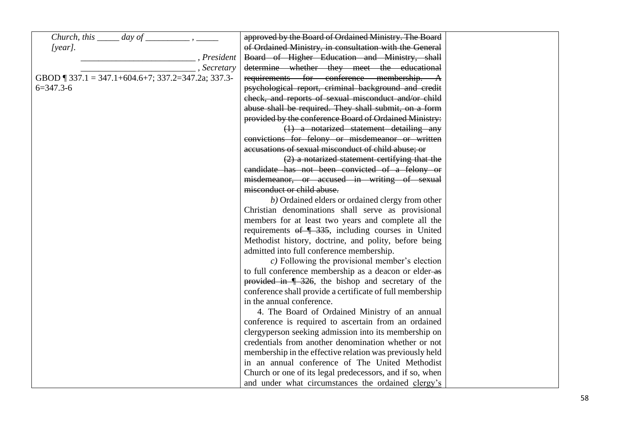| <i>Church</i> , this $\_\_\_day\$ of $\_\_\_\_\_\_y$ , $\_\_\_\_\_\_\_$ | approved by the Board of Ordained Ministry. The Board      |
|-------------------------------------------------------------------------|------------------------------------------------------------|
| [ $year$ ].                                                             | of Ordained Ministry, in consultation with the General     |
| , President                                                             | Board of Higher Education and Ministry, shall              |
| , Secretary                                                             | determine whether they meet the educational                |
| GBOD $\sqrt{337.1} = 347.1 + 604.6 + 7$ ; 337.2=347.2a; 337.3-          | requirements for conference membership. A                  |
| 6=347.3-6                                                               | psychological report, criminal background and credit       |
|                                                                         | check, and reports of sexual misconduct and/or child       |
|                                                                         | abuse shall be required. They shall submit, on a form      |
|                                                                         | provided by the conference Board of Ordained Ministry:     |
|                                                                         | $(1)$ a notarized statement detailing any                  |
|                                                                         | convictions for felony or misdemeanor or written           |
|                                                                         | accusations of sexual misconduct of child abuse; or        |
|                                                                         | $(2)$ a notarized statement certifying that the            |
|                                                                         | candidate has not been convicted of a felony or            |
|                                                                         | misdemeanor, or accused in writing of sexual               |
|                                                                         | misconduct or child abuse.                                 |
|                                                                         | b) Ordained elders or ordained clergy from other           |
|                                                                         | Christian denominations shall serve as provisional         |
|                                                                         | members for at least two years and complete all the        |
|                                                                         | requirements of $\sqrt{335}$ , including courses in United |
|                                                                         | Methodist history, doctrine, and polity, before being      |
|                                                                         | admitted into full conference membership.                  |
|                                                                         | $c$ ) Following the provisional member's election          |
|                                                                         | to full conference membership as a deacon or elder-as      |
|                                                                         | provided in $\sqrt{326}$ , the bishop and secretary of the |
|                                                                         | conference shall provide a certificate of full membership  |
|                                                                         | in the annual conference.                                  |
|                                                                         | 4. The Board of Ordained Ministry of an annual             |
|                                                                         | conference is required to ascertain from an ordained       |
|                                                                         | clergyperson seeking admission into its membership on      |
|                                                                         | credentials from another denomination whether or not       |
|                                                                         | membership in the effective relation was previously held   |
|                                                                         | in an annual conference of The United Methodist            |
|                                                                         | Church or one of its legal predecessors, and if so, when   |
|                                                                         | and under what circumstances the ordained clergy's         |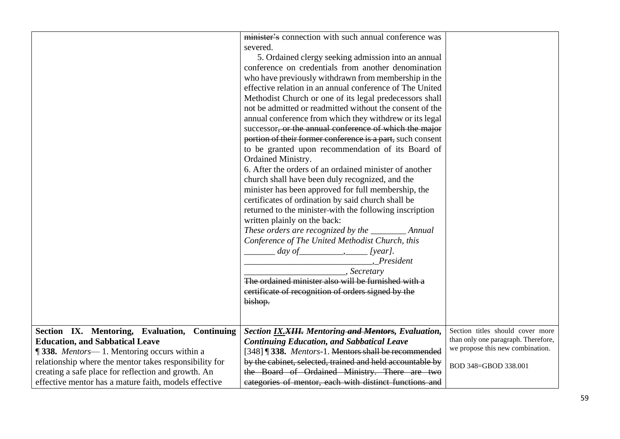| minister's connection with such annual conference was<br>severed.<br>5. Ordained clergy seeking admission into an annual<br>conference on credentials from another denomination<br>who have previously withdrawn from membership in the<br>effective relation in an annual conference of The United<br>Methodist Church or one of its legal predecessors shall<br>not be admitted or readmitted without the consent of the<br>annual conference from which they withdrew or its legal<br>successor, or the annual conference of which the major<br>portion of their former conference is a part, such consent<br>to be granted upon recommendation of its Board of<br>Ordained Ministry.<br>6. After the orders of an ordained minister of another<br>church shall have been duly recognized, and the<br>minister has been approved for full membership, the<br>certificates of ordination by said church shall be<br>returned to the minister-with the following inscription<br>written plainly on the back:<br>These orders are recognized by the ____________ Annual<br>Conference of The United Methodist Church, this<br>$\frac{day \ of$ [year].<br>$P$ resident $P$<br>$S$ ecretary<br>The ordained minister also will be furnished with a<br>certificate of recognition of orders signed by the<br>bishop.<br>Section titles should cover more<br>Section IX. Mentoring, Evaluation, Continuing<br>Section <b>IX.XIII.</b> Mentoring and Mentors, Evaluation,<br>than only one paragraph. Therefore,<br><b>Education, and Sabbatical Leave</b><br><b>Continuing Education, and Sabbatical Leave</b><br>we propose this new combination.<br><b>[338.</b> Mentors—1. Mentoring occurs within a<br>[348] [338. Mentors-1. Mentors shall be recommended<br>by the cabinet, selected, trained and held accountable by<br>relationship where the mentor takes responsibility for<br>BOD 348=GBOD 338.001<br>the Board of Ordained Ministry. There are two<br>creating a safe place for reflection and growth. An<br>effective mentor has a mature faith, models effective<br>categories of mentor, each with distinct functions and |  |  |
|---------------------------------------------------------------------------------------------------------------------------------------------------------------------------------------------------------------------------------------------------------------------------------------------------------------------------------------------------------------------------------------------------------------------------------------------------------------------------------------------------------------------------------------------------------------------------------------------------------------------------------------------------------------------------------------------------------------------------------------------------------------------------------------------------------------------------------------------------------------------------------------------------------------------------------------------------------------------------------------------------------------------------------------------------------------------------------------------------------------------------------------------------------------------------------------------------------------------------------------------------------------------------------------------------------------------------------------------------------------------------------------------------------------------------------------------------------------------------------------------------------------------------------------------------------------------------------------------------------------------------------------------------------------------------------------------------------------------------------------------------------------------------------------------------------------------------------------------------------------------------------------------------------------------------------------------------------------------------------------------------------------------------------------------------------------------------------------------------------------------------------------|--|--|
|                                                                                                                                                                                                                                                                                                                                                                                                                                                                                                                                                                                                                                                                                                                                                                                                                                                                                                                                                                                                                                                                                                                                                                                                                                                                                                                                                                                                                                                                                                                                                                                                                                                                                                                                                                                                                                                                                                                                                                                                                                                                                                                                       |  |  |
|                                                                                                                                                                                                                                                                                                                                                                                                                                                                                                                                                                                                                                                                                                                                                                                                                                                                                                                                                                                                                                                                                                                                                                                                                                                                                                                                                                                                                                                                                                                                                                                                                                                                                                                                                                                                                                                                                                                                                                                                                                                                                                                                       |  |  |
|                                                                                                                                                                                                                                                                                                                                                                                                                                                                                                                                                                                                                                                                                                                                                                                                                                                                                                                                                                                                                                                                                                                                                                                                                                                                                                                                                                                                                                                                                                                                                                                                                                                                                                                                                                                                                                                                                                                                                                                                                                                                                                                                       |  |  |
|                                                                                                                                                                                                                                                                                                                                                                                                                                                                                                                                                                                                                                                                                                                                                                                                                                                                                                                                                                                                                                                                                                                                                                                                                                                                                                                                                                                                                                                                                                                                                                                                                                                                                                                                                                                                                                                                                                                                                                                                                                                                                                                                       |  |  |
|                                                                                                                                                                                                                                                                                                                                                                                                                                                                                                                                                                                                                                                                                                                                                                                                                                                                                                                                                                                                                                                                                                                                                                                                                                                                                                                                                                                                                                                                                                                                                                                                                                                                                                                                                                                                                                                                                                                                                                                                                                                                                                                                       |  |  |
|                                                                                                                                                                                                                                                                                                                                                                                                                                                                                                                                                                                                                                                                                                                                                                                                                                                                                                                                                                                                                                                                                                                                                                                                                                                                                                                                                                                                                                                                                                                                                                                                                                                                                                                                                                                                                                                                                                                                                                                                                                                                                                                                       |  |  |
|                                                                                                                                                                                                                                                                                                                                                                                                                                                                                                                                                                                                                                                                                                                                                                                                                                                                                                                                                                                                                                                                                                                                                                                                                                                                                                                                                                                                                                                                                                                                                                                                                                                                                                                                                                                                                                                                                                                                                                                                                                                                                                                                       |  |  |
|                                                                                                                                                                                                                                                                                                                                                                                                                                                                                                                                                                                                                                                                                                                                                                                                                                                                                                                                                                                                                                                                                                                                                                                                                                                                                                                                                                                                                                                                                                                                                                                                                                                                                                                                                                                                                                                                                                                                                                                                                                                                                                                                       |  |  |
|                                                                                                                                                                                                                                                                                                                                                                                                                                                                                                                                                                                                                                                                                                                                                                                                                                                                                                                                                                                                                                                                                                                                                                                                                                                                                                                                                                                                                                                                                                                                                                                                                                                                                                                                                                                                                                                                                                                                                                                                                                                                                                                                       |  |  |
|                                                                                                                                                                                                                                                                                                                                                                                                                                                                                                                                                                                                                                                                                                                                                                                                                                                                                                                                                                                                                                                                                                                                                                                                                                                                                                                                                                                                                                                                                                                                                                                                                                                                                                                                                                                                                                                                                                                                                                                                                                                                                                                                       |  |  |
|                                                                                                                                                                                                                                                                                                                                                                                                                                                                                                                                                                                                                                                                                                                                                                                                                                                                                                                                                                                                                                                                                                                                                                                                                                                                                                                                                                                                                                                                                                                                                                                                                                                                                                                                                                                                                                                                                                                                                                                                                                                                                                                                       |  |  |
|                                                                                                                                                                                                                                                                                                                                                                                                                                                                                                                                                                                                                                                                                                                                                                                                                                                                                                                                                                                                                                                                                                                                                                                                                                                                                                                                                                                                                                                                                                                                                                                                                                                                                                                                                                                                                                                                                                                                                                                                                                                                                                                                       |  |  |
|                                                                                                                                                                                                                                                                                                                                                                                                                                                                                                                                                                                                                                                                                                                                                                                                                                                                                                                                                                                                                                                                                                                                                                                                                                                                                                                                                                                                                                                                                                                                                                                                                                                                                                                                                                                                                                                                                                                                                                                                                                                                                                                                       |  |  |
|                                                                                                                                                                                                                                                                                                                                                                                                                                                                                                                                                                                                                                                                                                                                                                                                                                                                                                                                                                                                                                                                                                                                                                                                                                                                                                                                                                                                                                                                                                                                                                                                                                                                                                                                                                                                                                                                                                                                                                                                                                                                                                                                       |  |  |
|                                                                                                                                                                                                                                                                                                                                                                                                                                                                                                                                                                                                                                                                                                                                                                                                                                                                                                                                                                                                                                                                                                                                                                                                                                                                                                                                                                                                                                                                                                                                                                                                                                                                                                                                                                                                                                                                                                                                                                                                                                                                                                                                       |  |  |
|                                                                                                                                                                                                                                                                                                                                                                                                                                                                                                                                                                                                                                                                                                                                                                                                                                                                                                                                                                                                                                                                                                                                                                                                                                                                                                                                                                                                                                                                                                                                                                                                                                                                                                                                                                                                                                                                                                                                                                                                                                                                                                                                       |  |  |
|                                                                                                                                                                                                                                                                                                                                                                                                                                                                                                                                                                                                                                                                                                                                                                                                                                                                                                                                                                                                                                                                                                                                                                                                                                                                                                                                                                                                                                                                                                                                                                                                                                                                                                                                                                                                                                                                                                                                                                                                                                                                                                                                       |  |  |
|                                                                                                                                                                                                                                                                                                                                                                                                                                                                                                                                                                                                                                                                                                                                                                                                                                                                                                                                                                                                                                                                                                                                                                                                                                                                                                                                                                                                                                                                                                                                                                                                                                                                                                                                                                                                                                                                                                                                                                                                                                                                                                                                       |  |  |
|                                                                                                                                                                                                                                                                                                                                                                                                                                                                                                                                                                                                                                                                                                                                                                                                                                                                                                                                                                                                                                                                                                                                                                                                                                                                                                                                                                                                                                                                                                                                                                                                                                                                                                                                                                                                                                                                                                                                                                                                                                                                                                                                       |  |  |
|                                                                                                                                                                                                                                                                                                                                                                                                                                                                                                                                                                                                                                                                                                                                                                                                                                                                                                                                                                                                                                                                                                                                                                                                                                                                                                                                                                                                                                                                                                                                                                                                                                                                                                                                                                                                                                                                                                                                                                                                                                                                                                                                       |  |  |
|                                                                                                                                                                                                                                                                                                                                                                                                                                                                                                                                                                                                                                                                                                                                                                                                                                                                                                                                                                                                                                                                                                                                                                                                                                                                                                                                                                                                                                                                                                                                                                                                                                                                                                                                                                                                                                                                                                                                                                                                                                                                                                                                       |  |  |
|                                                                                                                                                                                                                                                                                                                                                                                                                                                                                                                                                                                                                                                                                                                                                                                                                                                                                                                                                                                                                                                                                                                                                                                                                                                                                                                                                                                                                                                                                                                                                                                                                                                                                                                                                                                                                                                                                                                                                                                                                                                                                                                                       |  |  |
|                                                                                                                                                                                                                                                                                                                                                                                                                                                                                                                                                                                                                                                                                                                                                                                                                                                                                                                                                                                                                                                                                                                                                                                                                                                                                                                                                                                                                                                                                                                                                                                                                                                                                                                                                                                                                                                                                                                                                                                                                                                                                                                                       |  |  |
|                                                                                                                                                                                                                                                                                                                                                                                                                                                                                                                                                                                                                                                                                                                                                                                                                                                                                                                                                                                                                                                                                                                                                                                                                                                                                                                                                                                                                                                                                                                                                                                                                                                                                                                                                                                                                                                                                                                                                                                                                                                                                                                                       |  |  |
|                                                                                                                                                                                                                                                                                                                                                                                                                                                                                                                                                                                                                                                                                                                                                                                                                                                                                                                                                                                                                                                                                                                                                                                                                                                                                                                                                                                                                                                                                                                                                                                                                                                                                                                                                                                                                                                                                                                                                                                                                                                                                                                                       |  |  |
|                                                                                                                                                                                                                                                                                                                                                                                                                                                                                                                                                                                                                                                                                                                                                                                                                                                                                                                                                                                                                                                                                                                                                                                                                                                                                                                                                                                                                                                                                                                                                                                                                                                                                                                                                                                                                                                                                                                                                                                                                                                                                                                                       |  |  |
|                                                                                                                                                                                                                                                                                                                                                                                                                                                                                                                                                                                                                                                                                                                                                                                                                                                                                                                                                                                                                                                                                                                                                                                                                                                                                                                                                                                                                                                                                                                                                                                                                                                                                                                                                                                                                                                                                                                                                                                                                                                                                                                                       |  |  |
|                                                                                                                                                                                                                                                                                                                                                                                                                                                                                                                                                                                                                                                                                                                                                                                                                                                                                                                                                                                                                                                                                                                                                                                                                                                                                                                                                                                                                                                                                                                                                                                                                                                                                                                                                                                                                                                                                                                                                                                                                                                                                                                                       |  |  |
|                                                                                                                                                                                                                                                                                                                                                                                                                                                                                                                                                                                                                                                                                                                                                                                                                                                                                                                                                                                                                                                                                                                                                                                                                                                                                                                                                                                                                                                                                                                                                                                                                                                                                                                                                                                                                                                                                                                                                                                                                                                                                                                                       |  |  |
|                                                                                                                                                                                                                                                                                                                                                                                                                                                                                                                                                                                                                                                                                                                                                                                                                                                                                                                                                                                                                                                                                                                                                                                                                                                                                                                                                                                                                                                                                                                                                                                                                                                                                                                                                                                                                                                                                                                                                                                                                                                                                                                                       |  |  |
|                                                                                                                                                                                                                                                                                                                                                                                                                                                                                                                                                                                                                                                                                                                                                                                                                                                                                                                                                                                                                                                                                                                                                                                                                                                                                                                                                                                                                                                                                                                                                                                                                                                                                                                                                                                                                                                                                                                                                                                                                                                                                                                                       |  |  |
|                                                                                                                                                                                                                                                                                                                                                                                                                                                                                                                                                                                                                                                                                                                                                                                                                                                                                                                                                                                                                                                                                                                                                                                                                                                                                                                                                                                                                                                                                                                                                                                                                                                                                                                                                                                                                                                                                                                                                                                                                                                                                                                                       |  |  |
|                                                                                                                                                                                                                                                                                                                                                                                                                                                                                                                                                                                                                                                                                                                                                                                                                                                                                                                                                                                                                                                                                                                                                                                                                                                                                                                                                                                                                                                                                                                                                                                                                                                                                                                                                                                                                                                                                                                                                                                                                                                                                                                                       |  |  |
|                                                                                                                                                                                                                                                                                                                                                                                                                                                                                                                                                                                                                                                                                                                                                                                                                                                                                                                                                                                                                                                                                                                                                                                                                                                                                                                                                                                                                                                                                                                                                                                                                                                                                                                                                                                                                                                                                                                                                                                                                                                                                                                                       |  |  |
|                                                                                                                                                                                                                                                                                                                                                                                                                                                                                                                                                                                                                                                                                                                                                                                                                                                                                                                                                                                                                                                                                                                                                                                                                                                                                                                                                                                                                                                                                                                                                                                                                                                                                                                                                                                                                                                                                                                                                                                                                                                                                                                                       |  |  |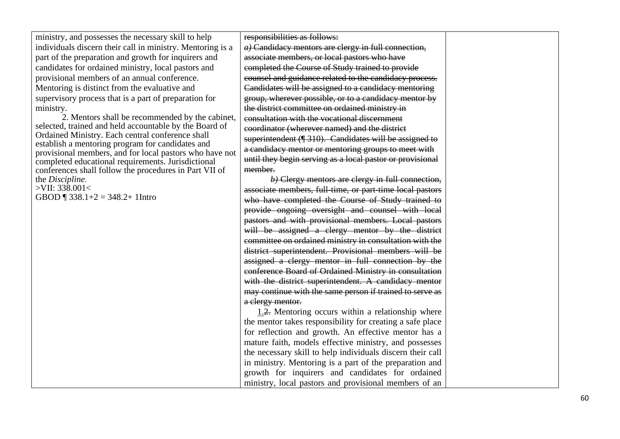ministry, and possesses the necessary skill to help individuals discern their call in ministry. Mentoring is a part of the preparation and growth for inquirers and candidates for ordained ministry, local pastors and provisional members of an annual conference. Mentoring is distinct from the evaluative and supervisory process that is a part of preparation for ministry.

2. Mentors shall be recommended by the cabinet, selected, trained and held accountable by the Board of Ordained Ministry. Each central conference shall establish a mentoring program for candidates and provisional members, and for local pastors who have not completed educational requirements. Jurisdictional conferences shall follow the procedures in Part VII of the *Discipline .*

>VII: 338.001< GBOD  $\sqrt{ }$  338.1+2 = 348.2+ 1Intro responsibilities as follows: *a)* Candidacy mentors are clergy in full connection, associate members, or local pastors who have completed the Course of Study trained to provide counsel and guidance related to the candidacy process. Candidates will be assigned to a candidacy mentoring group, wherever possible, or to a candidacy mentor by the district committee on ordained ministry in consultation with the vocational discernment coordinator (wherever named) and the district superintendent (¶ 310). Candidates will be assigned to a candidacy mentor or mentoring groups to meet with until they begin serving as a local pastor or provisional member.

*b)* Clergy mentors are clergy in full connection, associate members, full -time, or part -time local pastors who have completed the Course of Study trained to provide ongoing oversight and counsel with local pastors and with provisional members. Local pastors will be assigned a clergy mentor by the district committee on ordained ministry in consultation with the district superintendent. Provisional members will be assigned a clergy mentor in full connection by the conference Board of Ordained Ministry in consultation with the district superintendent. A candidacy mentor may continue with the same person if trained to serve as a clergy mentor.

1.2. Mentoring occurs within a relationship where the mentor takes responsibility for creating a safe place for reflection and growth. An effective mentor has a mature faith, models effective ministry, and possesses the necessary skill to help individuals discern their call in ministry. Mentoring is a part of the preparation and growth for inquirers and candidates for ordained ministry, local pastors and provisional members of an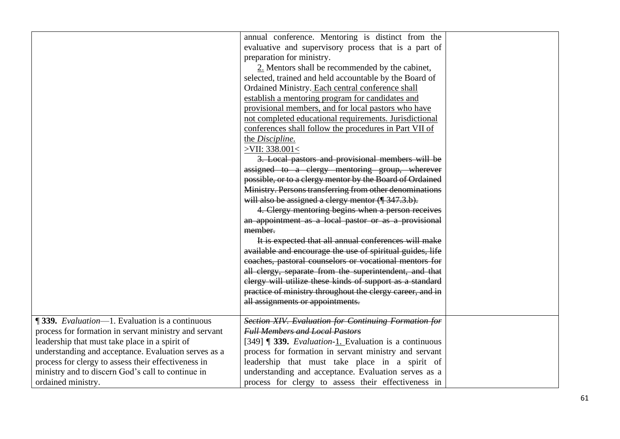|                                                       | annual conference. Mentoring is distinct from the                        |  |
|-------------------------------------------------------|--------------------------------------------------------------------------|--|
|                                                       | evaluative and supervisory process that is a part of                     |  |
|                                                       | preparation for ministry.                                                |  |
|                                                       | 2. Mentors shall be recommended by the cabinet,                          |  |
|                                                       | selected, trained and held accountable by the Board of                   |  |
|                                                       | Ordained Ministry. Each central conference shall                         |  |
|                                                       | establish a mentoring program for candidates and                         |  |
|                                                       | provisional members, and for local pastors who have                      |  |
|                                                       | not completed educational requirements. Jurisdictional                   |  |
|                                                       | conferences shall follow the procedures in Part VII of                   |  |
|                                                       | the Discipline.                                                          |  |
|                                                       | $>$ VII: 338.001<                                                        |  |
|                                                       | 3. Local pastors and provisional members will be                         |  |
|                                                       | assigned to a clergy mentoring group, wherever                           |  |
|                                                       | possible, or to a clergy mentor by the Board of Ordained                 |  |
|                                                       | Ministry. Persons transferring from other denominations                  |  |
|                                                       | will also be assigned a clergy mentor $(\frac{1}{2}347.3.b)$ .           |  |
|                                                       | 4. Clergy mentoring begins when a person receives                        |  |
|                                                       | an appointment as a local pastor or as a provisional                     |  |
|                                                       | member.                                                                  |  |
|                                                       | It is expected that all annual conferences will make                     |  |
|                                                       | available and encourage the use of spiritual guides, life                |  |
|                                                       | coaches, pastoral counselors or vocational mentors for                   |  |
|                                                       | all clergy, separate from the superintendent, and that                   |  |
|                                                       | clergy will utilize these kinds of support as a standard                 |  |
|                                                       | practice of ministry throughout the clergy career, and in                |  |
|                                                       | all assignments or appointments.                                         |  |
|                                                       |                                                                          |  |
| <b>1339.</b> Evaluation-1. Evaluation is a continuous | Section XIV. Evaluation for Continuing Formation for                     |  |
| process for formation in servant ministry and servant | <b>Full Members and Local Pastors</b>                                    |  |
| leadership that must take place in a spirit of        | [349] $\llbracket$ 339. <i>Evaluation</i> -1. Evaluation is a continuous |  |
| understanding and acceptance. Evaluation serves as a  | process for formation in servant ministry and servant                    |  |
| process for clergy to assess their effectiveness in   | leadership that must take place in a spirit of                           |  |
| ministry and to discern God's call to continue in     | understanding and acceptance. Evaluation serves as a                     |  |
| ordained ministry.                                    | process for clergy to assess their effectiveness in                      |  |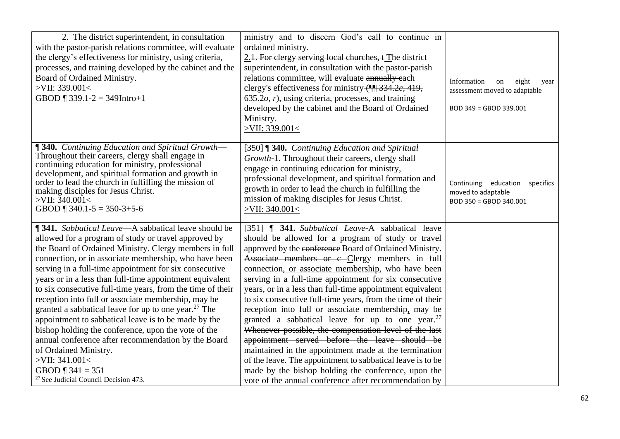| 2. The district superintendent, in consultation<br>with the pastor-parish relations committee, will evaluate<br>the clergy's effectiveness for ministry, using criteria,<br>processes, and training developed by the cabinet and the<br>Board of Ordained Ministry.<br>$>$ VII: 339.001<<br>GBOD $\sqrt{ }$ 339.1-2 = 349Intro+1                                                                                                                                                                                                                                                                                                                                                                                                                                                                                                                    | ministry and to discern God's call to continue in<br>ordained ministry.<br>2.1. For clergy serving local churches, t The district<br>superintendent, in consultation with the pastor-parish<br>relations committee, will evaluate annually each<br>clergy's effectiveness for ministry $(\sqrt{\sqrt{2}}334.2c, 419,$<br>$635.20, r$ , using criteria, processes, and training<br>developed by the cabinet and the Board of Ordained<br>Ministry.<br>$>$ VII: 339.001<                                                                                                                                                                                                                                                                                                                                                                                                                                                            | Information<br>eight<br>on<br>year<br>assessment moved to adaptable<br>BOD 349 = GBOD 339.001 |
|-----------------------------------------------------------------------------------------------------------------------------------------------------------------------------------------------------------------------------------------------------------------------------------------------------------------------------------------------------------------------------------------------------------------------------------------------------------------------------------------------------------------------------------------------------------------------------------------------------------------------------------------------------------------------------------------------------------------------------------------------------------------------------------------------------------------------------------------------------|-----------------------------------------------------------------------------------------------------------------------------------------------------------------------------------------------------------------------------------------------------------------------------------------------------------------------------------------------------------------------------------------------------------------------------------------------------------------------------------------------------------------------------------------------------------------------------------------------------------------------------------------------------------------------------------------------------------------------------------------------------------------------------------------------------------------------------------------------------------------------------------------------------------------------------------|-----------------------------------------------------------------------------------------------|
| 340. Continuing Education and Spiritual Growth-<br>Throughout their careers, clergy shall engage in<br>continuing education for ministry, professional<br>development, and spiritual formation and growth in<br>order to lead the church in fulfilling the mission of<br>making disciples for Jesus Christ.<br>$>$ VII: 340.001<<br>GBOD $\P$ 340.1-5 = 350-3+5-6                                                                                                                                                                                                                                                                                                                                                                                                                                                                                   | [350] <b>[340.</b> Continuing Education and Spiritual<br>Growth-1. Throughout their careers, clergy shall<br>engage in continuing education for ministry,<br>professional development, and spiritual formation and<br>growth in order to lead the church in fulfilling the<br>mission of making disciples for Jesus Christ.<br>$>$ VII: 340.001 $<$                                                                                                                                                                                                                                                                                                                                                                                                                                                                                                                                                                               | Continuing<br>education<br>specifics<br>moved to adaptable<br>BOD 350 = GBOD 340.001          |
| <b>1941.</b> Sabbatical Leave—A sabbatical leave should be<br>allowed for a program of study or travel approved by<br>the Board of Ordained Ministry. Clergy members in full<br>connection, or in associate membership, who have been<br>serving in a full-time appointment for six consecutive<br>years or in a less than full-time appointment equivalent<br>to six consecutive full-time years, from the time of their<br>reception into full or associate membership, may be<br>granted a sabbatical leave for up to one year. <sup>27</sup> The<br>appointment to sabbatical leave is to be made by the<br>bishop holding the conference, upon the vote of the<br>annual conference after recommendation by the Board<br>of Ordained Ministry.<br>$>$ VII: 341.001<<br>GBOD $\P$ 341 = 351<br><sup>27</sup> See Judicial Council Decision 473. | [351] <b>[341.</b> Sabbatical Leave-A sabbatical leave<br>should be allowed for a program of study or travel<br>approved by the conference Board of Ordained Ministry.<br>Associate members or c-Clergy members in full<br>connection, or associate membership, who have been<br>serving in a full-time appointment for six consecutive<br>years, or in a less than full-time appointment equivalent<br>to six consecutive full-time years, from the time of their<br>reception into full or associate membership, may be<br>granted a sabbatical leave for up to one year. $27$<br>Whenever possible, the compensation level of the last<br>appointment served before the leave should be<br>maintained in the appointment made at the termination<br>of the leave. The appointment to sabbatical leave is to be<br>made by the bishop holding the conference, upon the<br>vote of the annual conference after recommendation by |                                                                                               |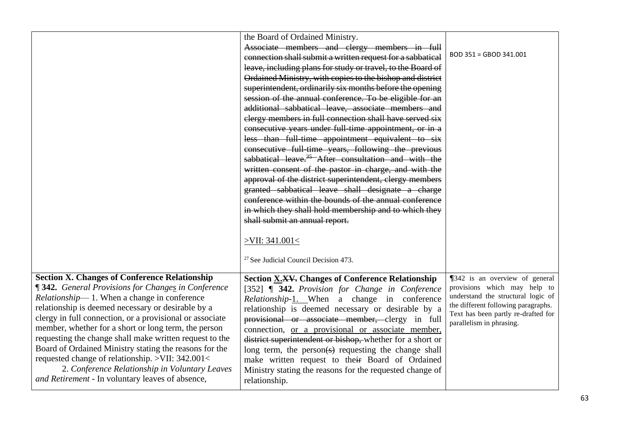|                                                                                                                                                                                                                                                                                                                                                                                                                                                                                                                                                                                                                                    | the Board of Ordained Ministry.<br>Associate members and clergy members in full<br>connection shall submit a written request for a sabbatical<br>leave, including plans for study or travel, to the Board of<br>Ordained Ministry, with copies to the bishop and district<br>superintendent, ordinarily six months before the opening<br>session of the annual conference. To be eligible for an<br>additional sabbatical leave, associate members and<br>clergy members in full connection shall have served six<br>consecutive years under full time appointment, or in a<br>less than full-time appointment equivalent to six<br>consecutive full-time years, following the previous<br>sabbatical leave. <sup>35</sup> After consultation and with the<br>written consent of the pastor in charge, and with the<br>approval of the district superintendent, clergy members<br>granted sabbatical leave shall designate a charge<br>conference within the bounds of the annual conference<br>in which they shall hold membership and to which they<br>shall submit an annual report. | BOD 351 = GBOD 341.001                                                                                                                                                                                         |
|------------------------------------------------------------------------------------------------------------------------------------------------------------------------------------------------------------------------------------------------------------------------------------------------------------------------------------------------------------------------------------------------------------------------------------------------------------------------------------------------------------------------------------------------------------------------------------------------------------------------------------|-----------------------------------------------------------------------------------------------------------------------------------------------------------------------------------------------------------------------------------------------------------------------------------------------------------------------------------------------------------------------------------------------------------------------------------------------------------------------------------------------------------------------------------------------------------------------------------------------------------------------------------------------------------------------------------------------------------------------------------------------------------------------------------------------------------------------------------------------------------------------------------------------------------------------------------------------------------------------------------------------------------------------------------------------------------------------------------------|----------------------------------------------------------------------------------------------------------------------------------------------------------------------------------------------------------------|
|                                                                                                                                                                                                                                                                                                                                                                                                                                                                                                                                                                                                                                    | $>$ VII: 341.001 $<$<br><sup>27</sup> See Judicial Council Decision 473.                                                                                                                                                                                                                                                                                                                                                                                                                                                                                                                                                                                                                                                                                                                                                                                                                                                                                                                                                                                                                |                                                                                                                                                                                                                |
| <b>Section X. Changes of Conference Relationship</b><br><b>J342.</b> General Provisions for Changes in Conference<br><i>Relationship</i> — 1. When a change in conference<br>relationship is deemed necessary or desirable by a<br>clergy in full connection, or a provisional or associate<br>member, whether for a short or long term, the person<br>requesting the change shall make written request to the<br>Board of Ordained Ministry stating the reasons for the<br>requested change of relationship. >VII: 342.001<<br>2. Conference Relationship in Voluntary Leaves<br>and Retirement - In voluntary leaves of absence, | <b>Section XXV. Changes of Conference Relationship</b><br>[352] <b>[342.</b> Provision for Change in Conference<br>Relationship-1. When a change in conference<br>relationship is deemed necessary or desirable by a<br>provisional or associate member, clergy in full<br>connection, or a provisional or associate member,<br>district superintendent or bishop, whether for a short or<br>long term, the person( $\frac{s}{s}$ ) requesting the change shall<br>make written request to their Board of Ordained<br>Ministry stating the reasons for the requested change of<br>relationship.                                                                                                                                                                                                                                                                                                                                                                                                                                                                                         | ¶342 is an overview of general<br>provisions which may help to<br>understand the structural logic of<br>the different following paragraphs.<br>Text has been partly re-drafted for<br>parallelism in phrasing. |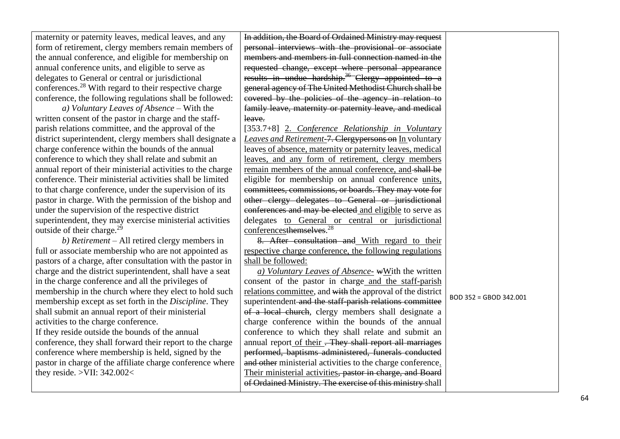maternity or paternity leaves, medical leaves, and any form of retirement, clergy members remain members of the annual conference, and eligible for membership on annual conference units, and eligible to serve as delegates to General or central or jurisdictional conferences.<sup>28</sup> With regard to their respective charge conference, the following regulations shall be followed:

*a) Voluntary Leaves of Absence* – With the written consent of the pastor in charge and the staffparish relations committee, and the approval of the district superintendent, clergy members shall designate a charge conference within the bounds of the annual conference to which they shall relate and submit an annual report of their ministerial activities to the charge conference. Their ministerial activities shall be limited to that charge conference, under the supervision of its pastor in charge. With the permission of the bishop and under the supervision of the respective district superintendent, they may exercise ministerial activities outside of their charge. $2<sup>9</sup>$ 

*b) Retirement* – All retired clergy members in full or associate membership who are not appointed as pastors of a charge, after consultation with the pastor in charge and the district superintendent, shall have a seat in the charge conference and all the privileges of membership in the church where they elect to hold such membership except as set forth in the *Discipline*. They shall submit an annual report of their ministerial activities to the charge conference. If they reside outside the bounds of the annual

conference, they shall forward their report to the charge conference where membership is held, signed by the pastor in charge of the affiliate charge conference where they reside. >VII: 342.002<

In addition, the Board of Ordained Ministry may request personal interviews with the provisional or associate members and members in full connection named in the requested change, except where personal appearance results in undue hardship.<sup>36</sup> Clergy appointed to a general agency of The United Methodist Church shall be covered by the policies of the agency in relation to family leave, maternity or paternity leave, and medical leave.

[353.7+8] 2. *Conference Relationship in Voluntary Leaves and Retirement-*7. Clergypersons on In voluntary leaves of absence, maternity or paternity leaves, medical leaves, and any form of retirement, clergy members remain members of the annual conference, and shall be eligible for membership on annual conference units, committees, commissions, or boards. They may vote for other clergy delegates to General or jurisdictional conferences and may be elected and eligible to serve as delegates to General or central or jurisdictional conferencesthemselves. 28

8. After consultation and With regard to their respective charge conference, the following regulations shall be followed:

*a) Voluntary Leaves of Absence-* wWith the written consent of the pastor in charge and the staff-parish relations committee, and with the approval of the district superintendent and the staff-parish relations committee of a local church, clergy members shall designate a charge conference within the bounds of the annual conference to which they shall relate and submit an annual report of their . They shall report all marriages performed, baptisms administered, funerals conducted and other ministerial activities to the charge conference. Their ministerial activities, pastor in charge, and Board of Ordained Ministry. The exercise of this ministry shall

BOD 352 = GBOD 342.001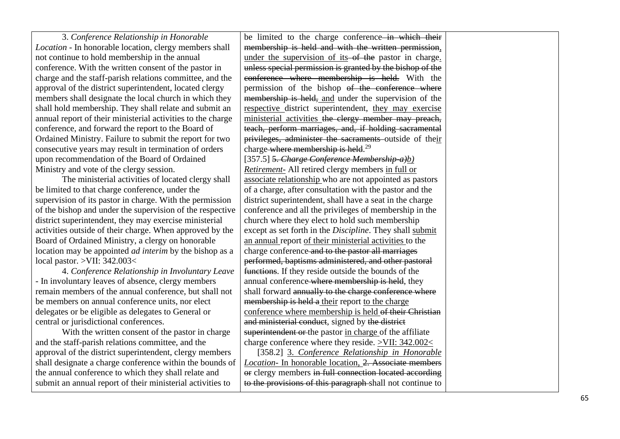3. *Conference Relationship in Honorable Location -* In honorable location, clergy members shall not continue to hold membership in the annual conference. With the written consent of the pastor in charge and the staff-parish relations committee, and the approval of the district superintendent, located clergy members shall designate the local church in which they shall hold membership. They shall relate and submit an annual report of their ministerial activities to the charge conference, and forward the report to the Board of Ordained Ministry. Failure to submit the report for two consecutive years may result in termination of orders upon recommendation of the Board of Ordained Ministry and vote of the clergy session.

The ministerial activities of located clergy shall be limited to that charge conference, under the supervision of its pastor in charge. With the permission of the bishop and under the supervision of the respective district superintendent, they may exercise ministerial activities outside of their charge. When approved by the Board of Ordained Ministry, a clergy on honorable location may be appointed *ad interim* by the bishop as a local pastor. >VII: 342.003<

4. *Conference Relationship in Involuntary Leave -* In involuntary leaves of absence, clergy members remain members of the annual conference, but shall not be members on annual conference units, nor elect delegates or be eligible as delegates to General or central or jurisdictional conferences.

With the written consent of the pastor in charge and the staff-parish relations committee, and the approval of the district superintendent, clergy members shall designate a charge conference within the bounds of the annual conference to which they shall relate and submit an annual report of their ministerial activities to

be limited to the charge conference in which their membership is held and with the written permission. under the supervision of its-of the pastor in charge. unless special permission is granted by the bishop of the conference where membership is held. With the permission of the bishop of the conference where membership is held, and under the supervision of the respective district superintendent, they may exercise ministerial activities the clergy member may preach. teach, perform marriages, and, if holding sacramental privileges, administer the sacraments outside of their charge where membership is held.<sup>29</sup>

[357.5] 5. *Charge Conference Membership* -*a)b) Retirement -* All retired clergy members in full or associate relationship who are not appointed as pastors of a charge, after consultation with the pastor and the district superintendent, shall have a seat in the charge conference and all the privileges of membership in the church where they elect to hold such membership except as set forth in the *Discipline*. They shall submit an annual report of their ministerial activities to the charge conference and to the pastor all marriages performed, baptisms administered, and other pastoral functions. If they reside outside the bounds of the annual conference where membership is held, they shall forward annually to the charge conference where membership is held a their report to the charge conference where membership is held of their Christian and ministerial conduct, signed by the district superintendent or the pastor in charge of the affiliate charge conference where they reside. >VII: 342.002<

[358.2] 3. *Conference Relationship in Honorable Location -* In honorable location, 2. Associate members or clergy members in full connection located according to the provisions of this paragraph shall not continue to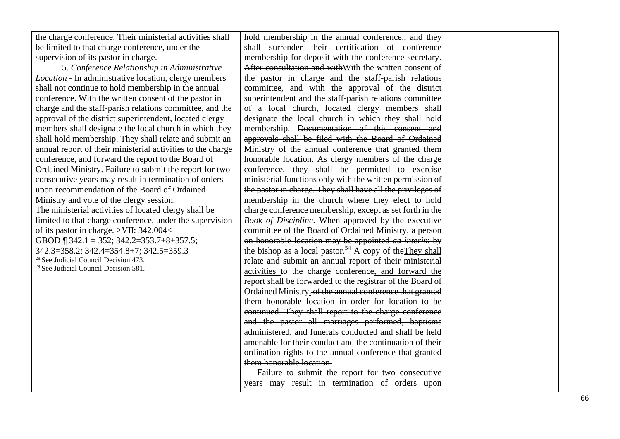the charge conference. Their ministerial activities shall be limited to that charge conference, under the supervision of its pastor in charge.

5. *Conference Relationship in Administrative Location -* In administrative location, clergy members shall not continue to hold membership in the annual conference. With the written consent of the pastor in charge and the staff-parish relations committee, and the approval of the district superintendent, located clergy members shall designate the local church in which they shall hold membership. They shall relate and submit an annual report of their ministerial activities to the charge conference, and forward the report to the Board of Ordained Ministry. Failure to submit the report for two consecutive years may result in termination of orders upon recommendation of the Board of Ordained Ministry and vote of the clergy session. The ministerial activities of located clergy shall be limited to that charge conference, under the supervision of its pastor in charge. >VII: 342.004< GBOD ¶ 342.1 = 352; 342.2=353.7+8+357.5; 342.3=358.2; 342.4=354.8+7; 342.5=359.3 <sup>28</sup> See Judicial Council Decision 473. <sup>29</sup> See Judicial Council Decision 581 .

hold membership in the annual conference., and they shall surrender their certification of conference membership for deposit with the conference secretary. After consultation and withWith the written consent of the pastor in charge and the staff-parish relations committee, and with the approval of the district superintendent and the staff-parish relations committee of a local church, located clergy members shall designate the local church in which they shall hold membership. Documentation of this consent and approvals shall be filed with the Board of Ordained Ministry of the annual conference that granted them honorable location. As clergy members of the charge conference, they shall be permitted to exercise ministerial functions only with the written permission of the pastor in charge. They shall have all the privileges of membership in the church where they elect to hold charge conference membership, except as set forth in the *Book of Discipline*. When approved by the executive committee of the Board of Ordained Ministry, a person on honorable location may be appointed *ad interim* by the bishop as a local pastor.<sup>54</sup> A copy of the They shall relate and submit an annual report of their ministerial activities to the charge conference, and forward the report shall be forwarded to the registrar of the Board of Ordained Ministry. of the annual conference that granted them honorable location in order for location to be continued. They shall report to the charge conference and the pastor all marriages performed, baptisms administered, and funerals conducted and shall be held amenable for their conduct and the continuation of their ordination rights to the annual conference that granted them honorable location.

Failure to submit the report for two consecutive years may result in termination of orders upon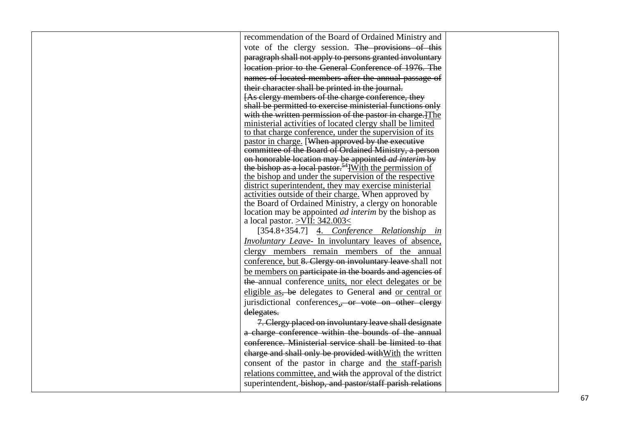recommendation of the Board of Ordained Ministry and vote of the clergy session. The provisions of this paragraph shall not apply to persons granted involuntary location prior to the General Conference of 1976. The names of located members after the annual passage of their character shall be printed in the journal. [As clergy members of the charge conference, they shall be permitted to exercise ministerial functions only with the written permission of the pastor in charge. The ministerial activities of located clergy shall be limited to that charge conference, under the supervision of its pastor in charge. [When approved by the executive committee of the Board of Ordained Ministry, a person on honorable location may be appointed *ad interim* by the bishop as a local pastor.<sup>54</sup> With the permission of the bishop and under the supervision of the respective district superintendent, they may exercise ministerial activities outside of their charge. When approved by the Board of Ordained Ministry, a clergy on honorable location may be appointed *ad interim* by the bishop as a local pastor. >VII: 342.003<

[354.8+354.7] 4. *Conference Relationship in Involuntary Leave -* In involuntary leaves of absence, clergy members remain members of the annual conference, but 8. Clergy on involuntary leave shall not be members on participate in the boards and agencies of the annual conference units, nor elect delegates or be eligible as, be delegates to General and or central or jurisdictional conferences<sub>s</sub>, or vote on other clergy delegates.

7. Clergy placed on involuntary leave shall designate a charge conference within the bounds of the annual conference. Ministerial service shall be limited to that charge and shall only be provided withWith the written consent of the pastor in charge and the staff-parish relations committee, and with the approval of the district superintendent, bishop, and pastor/staff parish relations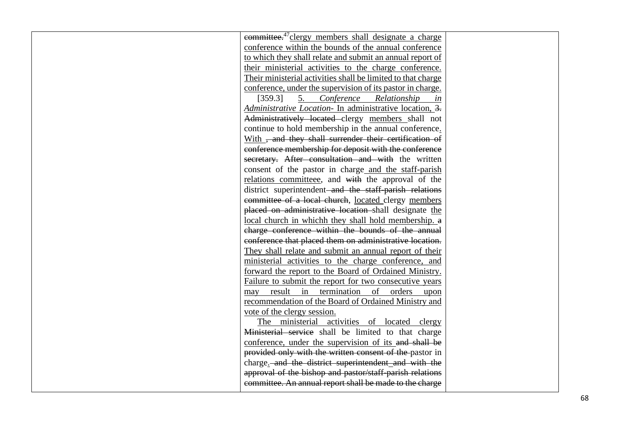committee.<sup>47</sup>clergy members shall designate a charge conference within the bounds of the annual conference to which they shall relate and submit an annual report of their ministerial activities to the charge conference. Their ministerial activities shall be limited to that charge conference, under the supervision of its pastor in charge. [359.3] 5. *Conference Relationship in*  Administrative Location - In administrative location, 3. Administratively located clergy members shall not continue to hold membership in the annual conference. With <del>, and they shall surrender their certification of</del> conference membership for deposit with the conference secretary. After consultation and with the written consent of the pastor in charge and the staff-parish relations committeee, and with the approval of the district superintendent and the staff-parish relations committee of a local church, located clergy members placed on administrative location shall designate the local church in whichh they shall hold membership. a charge conference within the bounds of the annual conference that placed them on administrative location. They shall relate and submit an annual report of their ministerial activities to the charge conference, and forward the report to the Board of Ordained Ministry. Failure to submit the report for two consecutive years may result in termination of orders upon recommendation of the Board of Ordained Ministry and vote of the clergy session.

The ministerial activities of located clergy Ministerial service shall be limited to that charge conference, under the supervision of its and shall be provided only with the written consent of the pastor in charge and the district superintendent and with the approval of the bishop and pastor/staff-parish relations committee. An annual report shall be made to the charge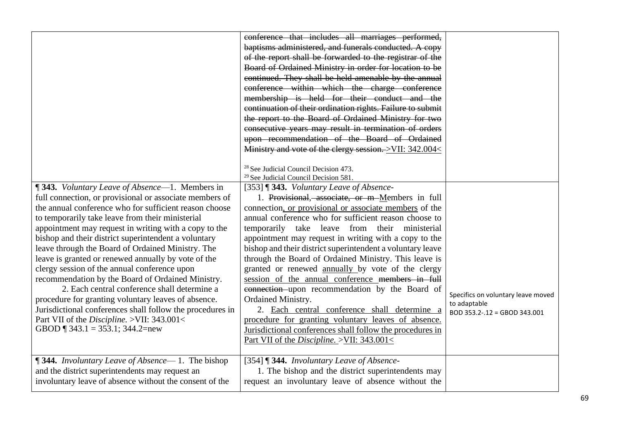|                                                                                                                                                                                                                                                                                                                                                                                                                                                                                                                                                                                                                                                                                                                                                                                                                                      | conference that includes all marriages performed,<br>baptisms administered, and funerals conducted. A copy<br>of the report shall be forwarded to the registrar of the<br>Board of Ordained Ministry in order for location to be<br>continued. They shall be held amenable by the annual<br>conference within which the charge conference<br>membership is held for their conduct and the<br>continuation of their ordination rights. Failure to submit<br>the report to the Board of Ordained Ministry for two<br>consecutive years may result in termination of orders<br>upon recommendation of the Board of Ordained<br>Ministry and vote of the clergy session. > VII: 342.004<<br><sup>28</sup> See Judicial Council Decision 473.<br><sup>29</sup> See Judicial Council Decision 581.                                                               |                                                                                    |
|--------------------------------------------------------------------------------------------------------------------------------------------------------------------------------------------------------------------------------------------------------------------------------------------------------------------------------------------------------------------------------------------------------------------------------------------------------------------------------------------------------------------------------------------------------------------------------------------------------------------------------------------------------------------------------------------------------------------------------------------------------------------------------------------------------------------------------------|------------------------------------------------------------------------------------------------------------------------------------------------------------------------------------------------------------------------------------------------------------------------------------------------------------------------------------------------------------------------------------------------------------------------------------------------------------------------------------------------------------------------------------------------------------------------------------------------------------------------------------------------------------------------------------------------------------------------------------------------------------------------------------------------------------------------------------------------------------|------------------------------------------------------------------------------------|
| <b>[343.</b> Voluntary Leave of Absence-1. Members in<br>full connection, or provisional or associate members of<br>the annual conference who for sufficient reason choose<br>to temporarily take leave from their ministerial<br>appointment may request in writing with a copy to the<br>bishop and their district superintendent a voluntary<br>leave through the Board of Ordained Ministry. The<br>leave is granted or renewed annually by vote of the<br>clergy session of the annual conference upon<br>recommendation by the Board of Ordained Ministry.<br>2. Each central conference shall determine a<br>procedure for granting voluntary leaves of absence.<br>Jurisdictional conferences shall follow the procedures in<br>Part VII of the <i>Discipline</i> . >VII: 343.001<<br>GBOD $\sqrt{343.1}$ = 353.1; 344.2=new | [353] ¶ 343. Voluntary Leave of Absence-<br>1. Provisional, associate, or m-Members in full<br>connection, or provisional or associate members of the<br>annual conference who for sufficient reason choose to<br>temporarily take leave from their ministerial<br>appointment may request in writing with a copy to the<br>bishop and their district superintendent a voluntary leave<br>through the Board of Ordained Ministry. This leave is<br>granted or renewed annually by vote of the clergy<br>session of the annual conference members in full<br>connection upon recommendation by the Board of<br>Ordained Ministry.<br>2. Each central conference shall determine a<br>procedure for granting voluntary leaves of absence.<br>Jurisdictional conferences shall follow the procedures in<br>Part VII of the <i>Discipline</i> . >VII: 343.001< | Specifics on voluntary leave moved<br>to adaptable<br>BOD 353.2-.12 = GBOD 343.001 |
| <b>January 18</b> <i>S44. Involuntary Leave of Absence</i> —1. The bishop<br>and the district superintendents may request an<br>involuntary leave of absence without the consent of the                                                                                                                                                                                                                                                                                                                                                                                                                                                                                                                                                                                                                                              | [354] ¶ 344. Involuntary Leave of Absence-<br>1. The bishop and the district superintendents may<br>request an involuntary leave of absence without the                                                                                                                                                                                                                                                                                                                                                                                                                                                                                                                                                                                                                                                                                                    |                                                                                    |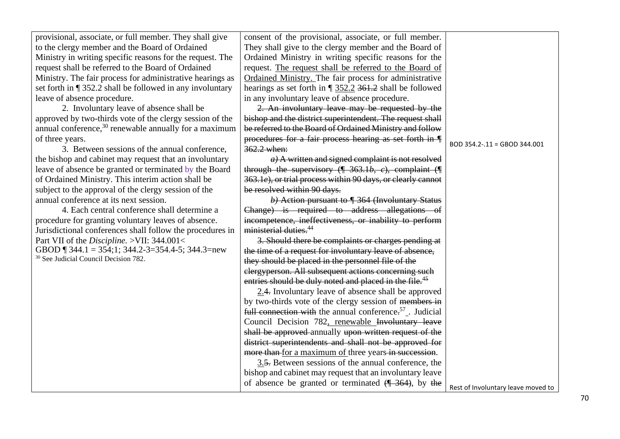| consent of the provisional, associate, or full member.<br>to the clergy member and the Board of Ordained<br>They shall give to the clergy member and the Board of<br>Ordained Ministry in writing specific reasons for the<br>request. The request shall be referred to the Board of<br>Ordained Ministry. The fair process for administrative<br>hearings as set forth in $\sqrt{\frac{352.2}{10}}$ 361.2 shall be followed<br>in any involuntary leave of absence procedure.<br>2. Involuntary leave of absence shall be<br>2. An involuntary leave may be requested by the<br>bishop and the district superintendent. The request shall<br>be referred to the Board of Ordained Ministry and follow<br>procedures for a fair process hearing as set forth in ¶<br>of three years.<br>BOD 354.2-.11 = GBOD 344.001<br>362.2 when:<br>3. Between sessions of the annual conference,<br>the bishop and cabinet may request that an involuntary<br>$a)$ A written and signed complaint is not resolved<br>through the supervisory ( $\sqrt{q}$ 363.1b, c), complaint ( $\sqrt{q}$<br>leave of absence be granted or terminated by the Board<br>363.1e), or trial process within 90 days, or clearly cannot<br>of Ordained Ministry. This interim action shall be<br>be resolved within 90 days.<br>subject to the approval of the clergy session of the<br>annual conference at its next session.<br>b) Action pursuant to $\P$ 364 (Involuntary Status<br>4. Each central conference shall determine a<br>Change) is required to address allegations of<br>incompetence, ineffectiveness, or inability to perform<br>procedure for granting voluntary leaves of absence.<br>ministerial duties. <sup>44</sup><br>Jurisdictional conferences shall follow the procedures in<br>Part VII of the <i>Discipline</i> . >VII: 344.001<<br>3. Should there be complaints or charges pending at<br>GBOD $\text{T}$ 344.1 = 354;1; 344.2-3=354.4-5; 344.3=new<br>the time of a request for involuntary leave of absence,<br>they should be placed in the personnel file of the<br>elergyperson. All subsequent actions concerning such<br>entries should be duly noted and placed in the file. <sup>45</sup><br>$2.4$ . Involuntary leave of absence shall be approved<br>by two-thirds vote of the clergy session of members in<br>full connection with the annual conference. <sup>57</sup> . Judicial<br>Council Decision 782, renewable Involuntary leave<br>shall be approved annually upon written request of the<br>district superintendents and shall not be approved for<br>more than for a maximum of three years in succession.<br>$3.5$ . Between sessions of the annual conference, the<br>bishop and cabinet may request that an involuntary leave<br>of absence be granted or terminated $(4, 364)$ , by the<br>Rest of Involuntary leave moved to |                                                           |  |
|----------------------------------------------------------------------------------------------------------------------------------------------------------------------------------------------------------------------------------------------------------------------------------------------------------------------------------------------------------------------------------------------------------------------------------------------------------------------------------------------------------------------------------------------------------------------------------------------------------------------------------------------------------------------------------------------------------------------------------------------------------------------------------------------------------------------------------------------------------------------------------------------------------------------------------------------------------------------------------------------------------------------------------------------------------------------------------------------------------------------------------------------------------------------------------------------------------------------------------------------------------------------------------------------------------------------------------------------------------------------------------------------------------------------------------------------------------------------------------------------------------------------------------------------------------------------------------------------------------------------------------------------------------------------------------------------------------------------------------------------------------------------------------------------------------------------------------------------------------------------------------------------------------------------------------------------------------------------------------------------------------------------------------------------------------------------------------------------------------------------------------------------------------------------------------------------------------------------------------------------------------------------------------------------------------------------------------------------------------------------------------------------------------------------------------------------------------------------------------------------------------------------------------------------------------------------------------------------------------------------------------------------------------------------------------------------------------------------------------------------------------------------------------------------------------------------------------------------------------|-----------------------------------------------------------|--|
|                                                                                                                                                                                                                                                                                                                                                                                                                                                                                                                                                                                                                                                                                                                                                                                                                                                                                                                                                                                                                                                                                                                                                                                                                                                                                                                                                                                                                                                                                                                                                                                                                                                                                                                                                                                                                                                                                                                                                                                                                                                                                                                                                                                                                                                                                                                                                                                                                                                                                                                                                                                                                                                                                                                                                                                                                                                          | provisional, associate, or full member. They shall give   |  |
|                                                                                                                                                                                                                                                                                                                                                                                                                                                                                                                                                                                                                                                                                                                                                                                                                                                                                                                                                                                                                                                                                                                                                                                                                                                                                                                                                                                                                                                                                                                                                                                                                                                                                                                                                                                                                                                                                                                                                                                                                                                                                                                                                                                                                                                                                                                                                                                                                                                                                                                                                                                                                                                                                                                                                                                                                                                          |                                                           |  |
|                                                                                                                                                                                                                                                                                                                                                                                                                                                                                                                                                                                                                                                                                                                                                                                                                                                                                                                                                                                                                                                                                                                                                                                                                                                                                                                                                                                                                                                                                                                                                                                                                                                                                                                                                                                                                                                                                                                                                                                                                                                                                                                                                                                                                                                                                                                                                                                                                                                                                                                                                                                                                                                                                                                                                                                                                                                          | Ministry in writing specific reasons for the request. The |  |
|                                                                                                                                                                                                                                                                                                                                                                                                                                                                                                                                                                                                                                                                                                                                                                                                                                                                                                                                                                                                                                                                                                                                                                                                                                                                                                                                                                                                                                                                                                                                                                                                                                                                                                                                                                                                                                                                                                                                                                                                                                                                                                                                                                                                                                                                                                                                                                                                                                                                                                                                                                                                                                                                                                                                                                                                                                                          | request shall be referred to the Board of Ordained        |  |
|                                                                                                                                                                                                                                                                                                                                                                                                                                                                                                                                                                                                                                                                                                                                                                                                                                                                                                                                                                                                                                                                                                                                                                                                                                                                                                                                                                                                                                                                                                                                                                                                                                                                                                                                                                                                                                                                                                                                                                                                                                                                                                                                                                                                                                                                                                                                                                                                                                                                                                                                                                                                                                                                                                                                                                                                                                                          | Ministry. The fair process for administrative hearings as |  |
|                                                                                                                                                                                                                                                                                                                                                                                                                                                                                                                                                                                                                                                                                                                                                                                                                                                                                                                                                                                                                                                                                                                                                                                                                                                                                                                                                                                                                                                                                                                                                                                                                                                                                                                                                                                                                                                                                                                                                                                                                                                                                                                                                                                                                                                                                                                                                                                                                                                                                                                                                                                                                                                                                                                                                                                                                                                          | set forth in ¶352.2 shall be followed in any involuntary  |  |
|                                                                                                                                                                                                                                                                                                                                                                                                                                                                                                                                                                                                                                                                                                                                                                                                                                                                                                                                                                                                                                                                                                                                                                                                                                                                                                                                                                                                                                                                                                                                                                                                                                                                                                                                                                                                                                                                                                                                                                                                                                                                                                                                                                                                                                                                                                                                                                                                                                                                                                                                                                                                                                                                                                                                                                                                                                                          | leave of absence procedure.                               |  |
|                                                                                                                                                                                                                                                                                                                                                                                                                                                                                                                                                                                                                                                                                                                                                                                                                                                                                                                                                                                                                                                                                                                                                                                                                                                                                                                                                                                                                                                                                                                                                                                                                                                                                                                                                                                                                                                                                                                                                                                                                                                                                                                                                                                                                                                                                                                                                                                                                                                                                                                                                                                                                                                                                                                                                                                                                                                          |                                                           |  |
|                                                                                                                                                                                                                                                                                                                                                                                                                                                                                                                                                                                                                                                                                                                                                                                                                                                                                                                                                                                                                                                                                                                                                                                                                                                                                                                                                                                                                                                                                                                                                                                                                                                                                                                                                                                                                                                                                                                                                                                                                                                                                                                                                                                                                                                                                                                                                                                                                                                                                                                                                                                                                                                                                                                                                                                                                                                          | approved by two-thirds vote of the clergy session of the  |  |
|                                                                                                                                                                                                                                                                                                                                                                                                                                                                                                                                                                                                                                                                                                                                                                                                                                                                                                                                                                                                                                                                                                                                                                                                                                                                                                                                                                                                                                                                                                                                                                                                                                                                                                                                                                                                                                                                                                                                                                                                                                                                                                                                                                                                                                                                                                                                                                                                                                                                                                                                                                                                                                                                                                                                                                                                                                                          | annual conference, $30$ renewable annually for a maximum  |  |
|                                                                                                                                                                                                                                                                                                                                                                                                                                                                                                                                                                                                                                                                                                                                                                                                                                                                                                                                                                                                                                                                                                                                                                                                                                                                                                                                                                                                                                                                                                                                                                                                                                                                                                                                                                                                                                                                                                                                                                                                                                                                                                                                                                                                                                                                                                                                                                                                                                                                                                                                                                                                                                                                                                                                                                                                                                                          |                                                           |  |
|                                                                                                                                                                                                                                                                                                                                                                                                                                                                                                                                                                                                                                                                                                                                                                                                                                                                                                                                                                                                                                                                                                                                                                                                                                                                                                                                                                                                                                                                                                                                                                                                                                                                                                                                                                                                                                                                                                                                                                                                                                                                                                                                                                                                                                                                                                                                                                                                                                                                                                                                                                                                                                                                                                                                                                                                                                                          |                                                           |  |
|                                                                                                                                                                                                                                                                                                                                                                                                                                                                                                                                                                                                                                                                                                                                                                                                                                                                                                                                                                                                                                                                                                                                                                                                                                                                                                                                                                                                                                                                                                                                                                                                                                                                                                                                                                                                                                                                                                                                                                                                                                                                                                                                                                                                                                                                                                                                                                                                                                                                                                                                                                                                                                                                                                                                                                                                                                                          |                                                           |  |
|                                                                                                                                                                                                                                                                                                                                                                                                                                                                                                                                                                                                                                                                                                                                                                                                                                                                                                                                                                                                                                                                                                                                                                                                                                                                                                                                                                                                                                                                                                                                                                                                                                                                                                                                                                                                                                                                                                                                                                                                                                                                                                                                                                                                                                                                                                                                                                                                                                                                                                                                                                                                                                                                                                                                                                                                                                                          |                                                           |  |
|                                                                                                                                                                                                                                                                                                                                                                                                                                                                                                                                                                                                                                                                                                                                                                                                                                                                                                                                                                                                                                                                                                                                                                                                                                                                                                                                                                                                                                                                                                                                                                                                                                                                                                                                                                                                                                                                                                                                                                                                                                                                                                                                                                                                                                                                                                                                                                                                                                                                                                                                                                                                                                                                                                                                                                                                                                                          |                                                           |  |
|                                                                                                                                                                                                                                                                                                                                                                                                                                                                                                                                                                                                                                                                                                                                                                                                                                                                                                                                                                                                                                                                                                                                                                                                                                                                                                                                                                                                                                                                                                                                                                                                                                                                                                                                                                                                                                                                                                                                                                                                                                                                                                                                                                                                                                                                                                                                                                                                                                                                                                                                                                                                                                                                                                                                                                                                                                                          |                                                           |  |
|                                                                                                                                                                                                                                                                                                                                                                                                                                                                                                                                                                                                                                                                                                                                                                                                                                                                                                                                                                                                                                                                                                                                                                                                                                                                                                                                                                                                                                                                                                                                                                                                                                                                                                                                                                                                                                                                                                                                                                                                                                                                                                                                                                                                                                                                                                                                                                                                                                                                                                                                                                                                                                                                                                                                                                                                                                                          |                                                           |  |
|                                                                                                                                                                                                                                                                                                                                                                                                                                                                                                                                                                                                                                                                                                                                                                                                                                                                                                                                                                                                                                                                                                                                                                                                                                                                                                                                                                                                                                                                                                                                                                                                                                                                                                                                                                                                                                                                                                                                                                                                                                                                                                                                                                                                                                                                                                                                                                                                                                                                                                                                                                                                                                                                                                                                                                                                                                                          |                                                           |  |
|                                                                                                                                                                                                                                                                                                                                                                                                                                                                                                                                                                                                                                                                                                                                                                                                                                                                                                                                                                                                                                                                                                                                                                                                                                                                                                                                                                                                                                                                                                                                                                                                                                                                                                                                                                                                                                                                                                                                                                                                                                                                                                                                                                                                                                                                                                                                                                                                                                                                                                                                                                                                                                                                                                                                                                                                                                                          |                                                           |  |
|                                                                                                                                                                                                                                                                                                                                                                                                                                                                                                                                                                                                                                                                                                                                                                                                                                                                                                                                                                                                                                                                                                                                                                                                                                                                                                                                                                                                                                                                                                                                                                                                                                                                                                                                                                                                                                                                                                                                                                                                                                                                                                                                                                                                                                                                                                                                                                                                                                                                                                                                                                                                                                                                                                                                                                                                                                                          |                                                           |  |
|                                                                                                                                                                                                                                                                                                                                                                                                                                                                                                                                                                                                                                                                                                                                                                                                                                                                                                                                                                                                                                                                                                                                                                                                                                                                                                                                                                                                                                                                                                                                                                                                                                                                                                                                                                                                                                                                                                                                                                                                                                                                                                                                                                                                                                                                                                                                                                                                                                                                                                                                                                                                                                                                                                                                                                                                                                                          |                                                           |  |
|                                                                                                                                                                                                                                                                                                                                                                                                                                                                                                                                                                                                                                                                                                                                                                                                                                                                                                                                                                                                                                                                                                                                                                                                                                                                                                                                                                                                                                                                                                                                                                                                                                                                                                                                                                                                                                                                                                                                                                                                                                                                                                                                                                                                                                                                                                                                                                                                                                                                                                                                                                                                                                                                                                                                                                                                                                                          |                                                           |  |
|                                                                                                                                                                                                                                                                                                                                                                                                                                                                                                                                                                                                                                                                                                                                                                                                                                                                                                                                                                                                                                                                                                                                                                                                                                                                                                                                                                                                                                                                                                                                                                                                                                                                                                                                                                                                                                                                                                                                                                                                                                                                                                                                                                                                                                                                                                                                                                                                                                                                                                                                                                                                                                                                                                                                                                                                                                                          | <sup>30</sup> See Judicial Council Decision 782.          |  |
|                                                                                                                                                                                                                                                                                                                                                                                                                                                                                                                                                                                                                                                                                                                                                                                                                                                                                                                                                                                                                                                                                                                                                                                                                                                                                                                                                                                                                                                                                                                                                                                                                                                                                                                                                                                                                                                                                                                                                                                                                                                                                                                                                                                                                                                                                                                                                                                                                                                                                                                                                                                                                                                                                                                                                                                                                                                          |                                                           |  |
|                                                                                                                                                                                                                                                                                                                                                                                                                                                                                                                                                                                                                                                                                                                                                                                                                                                                                                                                                                                                                                                                                                                                                                                                                                                                                                                                                                                                                                                                                                                                                                                                                                                                                                                                                                                                                                                                                                                                                                                                                                                                                                                                                                                                                                                                                                                                                                                                                                                                                                                                                                                                                                                                                                                                                                                                                                                          |                                                           |  |
|                                                                                                                                                                                                                                                                                                                                                                                                                                                                                                                                                                                                                                                                                                                                                                                                                                                                                                                                                                                                                                                                                                                                                                                                                                                                                                                                                                                                                                                                                                                                                                                                                                                                                                                                                                                                                                                                                                                                                                                                                                                                                                                                                                                                                                                                                                                                                                                                                                                                                                                                                                                                                                                                                                                                                                                                                                                          |                                                           |  |
|                                                                                                                                                                                                                                                                                                                                                                                                                                                                                                                                                                                                                                                                                                                                                                                                                                                                                                                                                                                                                                                                                                                                                                                                                                                                                                                                                                                                                                                                                                                                                                                                                                                                                                                                                                                                                                                                                                                                                                                                                                                                                                                                                                                                                                                                                                                                                                                                                                                                                                                                                                                                                                                                                                                                                                                                                                                          |                                                           |  |
|                                                                                                                                                                                                                                                                                                                                                                                                                                                                                                                                                                                                                                                                                                                                                                                                                                                                                                                                                                                                                                                                                                                                                                                                                                                                                                                                                                                                                                                                                                                                                                                                                                                                                                                                                                                                                                                                                                                                                                                                                                                                                                                                                                                                                                                                                                                                                                                                                                                                                                                                                                                                                                                                                                                                                                                                                                                          |                                                           |  |
|                                                                                                                                                                                                                                                                                                                                                                                                                                                                                                                                                                                                                                                                                                                                                                                                                                                                                                                                                                                                                                                                                                                                                                                                                                                                                                                                                                                                                                                                                                                                                                                                                                                                                                                                                                                                                                                                                                                                                                                                                                                                                                                                                                                                                                                                                                                                                                                                                                                                                                                                                                                                                                                                                                                                                                                                                                                          |                                                           |  |
|                                                                                                                                                                                                                                                                                                                                                                                                                                                                                                                                                                                                                                                                                                                                                                                                                                                                                                                                                                                                                                                                                                                                                                                                                                                                                                                                                                                                                                                                                                                                                                                                                                                                                                                                                                                                                                                                                                                                                                                                                                                                                                                                                                                                                                                                                                                                                                                                                                                                                                                                                                                                                                                                                                                                                                                                                                                          |                                                           |  |
|                                                                                                                                                                                                                                                                                                                                                                                                                                                                                                                                                                                                                                                                                                                                                                                                                                                                                                                                                                                                                                                                                                                                                                                                                                                                                                                                                                                                                                                                                                                                                                                                                                                                                                                                                                                                                                                                                                                                                                                                                                                                                                                                                                                                                                                                                                                                                                                                                                                                                                                                                                                                                                                                                                                                                                                                                                                          |                                                           |  |
|                                                                                                                                                                                                                                                                                                                                                                                                                                                                                                                                                                                                                                                                                                                                                                                                                                                                                                                                                                                                                                                                                                                                                                                                                                                                                                                                                                                                                                                                                                                                                                                                                                                                                                                                                                                                                                                                                                                                                                                                                                                                                                                                                                                                                                                                                                                                                                                                                                                                                                                                                                                                                                                                                                                                                                                                                                                          |                                                           |  |
|                                                                                                                                                                                                                                                                                                                                                                                                                                                                                                                                                                                                                                                                                                                                                                                                                                                                                                                                                                                                                                                                                                                                                                                                                                                                                                                                                                                                                                                                                                                                                                                                                                                                                                                                                                                                                                                                                                                                                                                                                                                                                                                                                                                                                                                                                                                                                                                                                                                                                                                                                                                                                                                                                                                                                                                                                                                          |                                                           |  |
|                                                                                                                                                                                                                                                                                                                                                                                                                                                                                                                                                                                                                                                                                                                                                                                                                                                                                                                                                                                                                                                                                                                                                                                                                                                                                                                                                                                                                                                                                                                                                                                                                                                                                                                                                                                                                                                                                                                                                                                                                                                                                                                                                                                                                                                                                                                                                                                                                                                                                                                                                                                                                                                                                                                                                                                                                                                          |                                                           |  |
|                                                                                                                                                                                                                                                                                                                                                                                                                                                                                                                                                                                                                                                                                                                                                                                                                                                                                                                                                                                                                                                                                                                                                                                                                                                                                                                                                                                                                                                                                                                                                                                                                                                                                                                                                                                                                                                                                                                                                                                                                                                                                                                                                                                                                                                                                                                                                                                                                                                                                                                                                                                                                                                                                                                                                                                                                                                          |                                                           |  |
|                                                                                                                                                                                                                                                                                                                                                                                                                                                                                                                                                                                                                                                                                                                                                                                                                                                                                                                                                                                                                                                                                                                                                                                                                                                                                                                                                                                                                                                                                                                                                                                                                                                                                                                                                                                                                                                                                                                                                                                                                                                                                                                                                                                                                                                                                                                                                                                                                                                                                                                                                                                                                                                                                                                                                                                                                                                          |                                                           |  |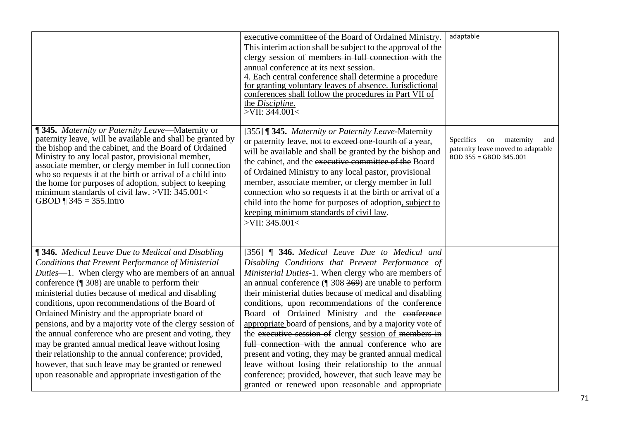|                                                                                                                                                                                                                                                                                                                                                                                                                                                                                                                                                                                                                                                                                                                                     | executive committee of the Board of Ordained Ministry.<br>This interim action shall be subject to the approval of the<br>clergy session of members in full connection with the<br>annual conference at its next session.<br>4. Each central conference shall determine a procedure<br>for granting voluntary leaves of absence. Jurisdictional<br>conferences shall follow the procedures in Part VII of<br>the Discipline.<br>$>$ VII: 344.001<                                                                                                                                                                                                                                                                                                                                                                    | adaptable                                                                                           |
|-------------------------------------------------------------------------------------------------------------------------------------------------------------------------------------------------------------------------------------------------------------------------------------------------------------------------------------------------------------------------------------------------------------------------------------------------------------------------------------------------------------------------------------------------------------------------------------------------------------------------------------------------------------------------------------------------------------------------------------|---------------------------------------------------------------------------------------------------------------------------------------------------------------------------------------------------------------------------------------------------------------------------------------------------------------------------------------------------------------------------------------------------------------------------------------------------------------------------------------------------------------------------------------------------------------------------------------------------------------------------------------------------------------------------------------------------------------------------------------------------------------------------------------------------------------------|-----------------------------------------------------------------------------------------------------|
| ¶ 345. Maternity or Paternity Leave-Maternity or<br>paternity leave, will be available and shall be granted by<br>the bishop and the cabinet, and the Board of Ordained<br>Ministry to any local pastor, provisional member,<br>associate member, or clergy member in full connection<br>who so requests it at the birth or arrival of a child into<br>the home for purposes of adoption, subject to keeping<br>minimum standards of civil law. >VII: $345.001<$<br>GBOD $\P$ 345 = 355. Intro                                                                                                                                                                                                                                      | [355] ¶ 345. Maternity or Paternity Leave-Maternity<br>or paternity leave, not to exceed one-fourth of a year,<br>will be available and shall be granted by the bishop and<br>the cabinet, and the executive committee of the Board<br>of Ordained Ministry to any local pastor, provisional<br>member, associate member, or clergy member in full<br>connection who so requests it at the birth or arrival of a<br>child into the home for purposes of adoption, subject to<br>keeping minimum standards of civil law.<br>>VII: 345.001<                                                                                                                                                                                                                                                                           | Specifics<br>maternity<br>on<br>and<br>paternity leave moved to adaptable<br>BOD 355 = GBOD 345.001 |
| ¶346. Medical Leave Due to Medical and Disabling<br>Conditions that Prevent Performance of Ministerial<br>Duties—1. When clergy who are members of an annual<br>conference $(\P 308)$ are unable to perform their<br>ministerial duties because of medical and disabling<br>conditions, upon recommendations of the Board of<br>Ordained Ministry and the appropriate board of<br>pensions, and by a majority vote of the clergy session of<br>the annual conference who are present and voting, they<br>may be granted annual medical leave without losing<br>their relationship to the annual conference; provided,<br>however, that such leave may be granted or renewed<br>upon reasonable and appropriate investigation of the | [356] <b>[ 346.</b> Medical Leave Due to Medical and<br>Disabling Conditions that Prevent Performance of<br>Ministerial Duties-1. When clergy who are members of<br>an annual conference ( $\sqrt{308}$ 369) are unable to perform<br>their ministerial duties because of medical and disabling<br>conditions, upon recommendations of the conference<br>Board of Ordained Ministry and the conference<br>appropriate board of pensions, and by a majority vote of<br>the executive session of clergy session of members in<br>full connection with the annual conference who are<br>present and voting, they may be granted annual medical<br>leave without losing their relationship to the annual<br>conference; provided, however, that such leave may be<br>granted or renewed upon reasonable and appropriate |                                                                                                     |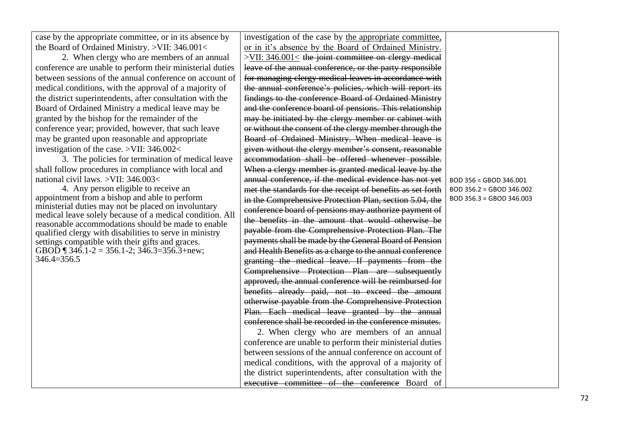case by the appropriate committee, or in its absence by the Board of Ordained Ministry. >VII: 346.001<

2. When clergy who are members of an annual conference are unable to perform their ministerial duties between sessions of the annual conference on account of medical conditions, with the approval of a majority of the district superintendents, after consultation with the Board of Ordained Ministry a medical leave may be granted by the bishop for the remainder of the conference year; provided, however, that such leave may be granted upon reasonable and appropriate investigation of the case. >VII: 346.002<

3. The policies for termination of medical leave shall follow procedures in compliance with local and national civil laws. >VII: 346.003<

4. Any person eligible to receive an appointment from a bishop and able to perform ministerial duties may not be placed on involuntary medical leave solely because of a medical condition. All reasonable accommodations should be made to enable qualified clergy with disabilities to serve in ministry settings compatible with their gifts and graces. GBOD **¶** 346.1-2 = 356.1-2; 346.3=356.3+new;  $346.4=356.5$ 

investigation of the case by the appropriate committee, or in it's absence by the Board of Ordained Ministry. >VII: 346.001< the joint committee on clergy medical leave of the annual conference, or the party responsible for managing clergy medical leaves in accordance with the annual conference's policies, which will report its findings to the conference Board of Ordained Ministry and the conference board of pensions. This relationship may be initiated by the clergy member or cabinet with or without the consent of the clergy member through the Board of Ordained Ministry. When medical leave is given without the clergy member's consent, reasonable accommodation shall be offered whenever possible. When a clergy member is granted medical leave by the annual conference, if the medical evidence has not yet met the standards for the receipt of benefits as set forth in the Comprehensive Protection Plan, section 5.04, the conference board of pensions may authorize payment of the benefits in the amount that would otherwise be payable from the Comprehensive Protection Plan. The payments shall be made by the General Board of Pension and Health Benefits as a charge to the annual conference granting the medical leave. If payments from the Comprehensive Protection Plan are subsequently approved, the annual conference will be reimbursed for benefits already paid, not to exceed the amount otherwise payable from the Comprehensive Protection Plan. Each medical leave granted by the annual conference shall be recorded in the conference minutes.

2. When clergy who are members of an annual conference are unable to perform their ministerial duties between sessions of the annual conference on account of medical conditions, with the approval of a majority of the district superintendents, after consultation with the executive committee of the conference Board of

BOD 356 = GBOD 346.001 BOD 356.2 = GBOD 346.002 BOD 356.3 = GBOD 346.003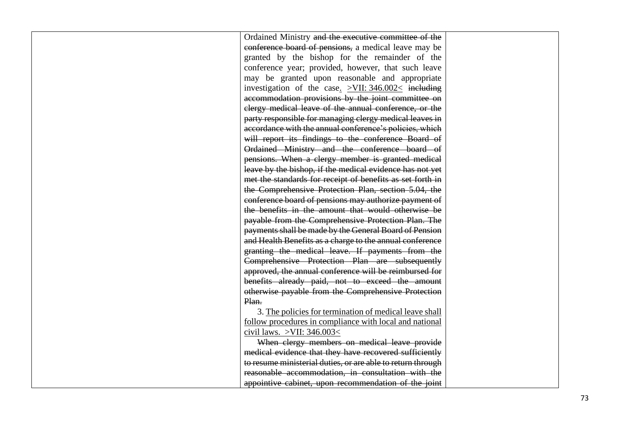Ordained Ministry and the executive committee of the conference board of pensions, a medical leave may be granted by the bishop for the remainder of the conference year; provided, however, that such leave may be granted upon reasonable and appropriate investigation of the case.  $\geq$ VII: 346.002 $\leq$  including accommodation provisions by the joint committee on clergy medical leave of the annual conference, or the party responsible for managing clergy medical leaves in accordance with the annual conference's policies, which will report its findings to the conference Board of Ordained Ministry and the conference board of pensions. When a clergy member is granted medical leave by the bishop, if the medical evidence has not yet met the standards for receipt of benefits as set forth in the Comprehensive Protection Plan, section 5.04, the conference board of pensions may authorize payment of the benefits in the amount that would otherwise be payable from the Comprehensive Protection Plan. The payments shall be made by the General Board of Pension and Health Benefits as a charge to the annual conference granting the medical leave. If payments from the Comprehensive Protection Plan are subsequently approved, the annual conference will be reimbursed for benefits already paid, not to exceed the amount otherwise payable from the Comprehensive Protection Plan.

3. The policies for termination of medical leave shall follow procedures in compliance with local and national civil laws. >VII: 346.003<

When clergy members on medical leave provide medical evidence that they have recovered sufficiently to resume ministerial duties, or are able to return through reasonable accommodation, in consultation with the appointive cabinet, upon recommendation of the joint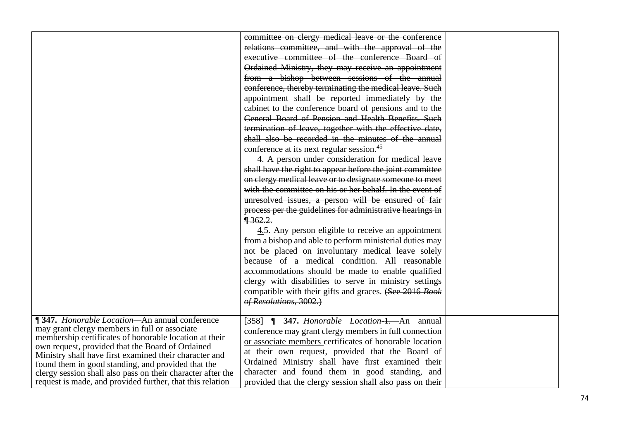|                                                                                                                                                                                                                                                                                                                                                                                                                                                           | committee on clergy medical leave or the conference<br>relations committee, and with the approval of the<br>executive committee of the conference Board of<br>Ordained Ministry, they may receive an appointment<br>from a bishop between sessions of the annual<br>conference, thereby terminating the medical leave. Such<br>appointment shall be reported immediately by the<br>cabinet to the conference board of pensions and to the<br>General Board of Pension and Health Benefits. Such<br>termination of leave, together with the effective date,<br>shall also be recorded in the minutes of the annual<br>conference at its next regular session. <sup>45</sup><br>4. A person under consideration for medical leave<br>shall have the right to appear before the joint committee<br>on clergy medical leave or to designate someone to meet<br>with the committee on his or her behalf. In the event of<br>unresolved issues, a person will be ensured of fair<br>process per the guidelines for administrative hearings in<br>\$362.2.<br>4.5. Any person eligible to receive an appointment<br>from a bishop and able to perform ministerial duties may<br>not be placed on involuntary medical leave solely<br>because of a medical condition. All reasonable<br>accommodations should be made to enable qualified<br>clergy with disabilities to serve in ministry settings<br>compatible with their gifts and graces. (See 2016 Book<br>of Resolutions, 3002.) |  |
|-----------------------------------------------------------------------------------------------------------------------------------------------------------------------------------------------------------------------------------------------------------------------------------------------------------------------------------------------------------------------------------------------------------------------------------------------------------|---------------------------------------------------------------------------------------------------------------------------------------------------------------------------------------------------------------------------------------------------------------------------------------------------------------------------------------------------------------------------------------------------------------------------------------------------------------------------------------------------------------------------------------------------------------------------------------------------------------------------------------------------------------------------------------------------------------------------------------------------------------------------------------------------------------------------------------------------------------------------------------------------------------------------------------------------------------------------------------------------------------------------------------------------------------------------------------------------------------------------------------------------------------------------------------------------------------------------------------------------------------------------------------------------------------------------------------------------------------------------------------------------------------------------------------------------------------------------------|--|
| ¶ 347. Honorable Location—An annual conference<br>may grant clergy members in full or associate<br>membership certificates of honorable location at their<br>own request, provided that the Board of Ordained<br>Ministry shall have first examined their character and<br>found them in good standing, and provided that the<br>clergy session shall also pass on their character after the<br>request is made, and provided further, that this relation | [358] <b>[ 347.</b> <i>Honorable Location-1</i> . An annual<br>conference may grant clergy members in full connection<br>or associate members certificates of honorable location<br>at their own request, provided that the Board of<br>Ordained Ministry shall have first examined their<br>character and found them in good standing, and<br>provided that the clergy session shall also pass on their                                                                                                                                                                                                                                                                                                                                                                                                                                                                                                                                                                                                                                                                                                                                                                                                                                                                                                                                                                                                                                                                        |  |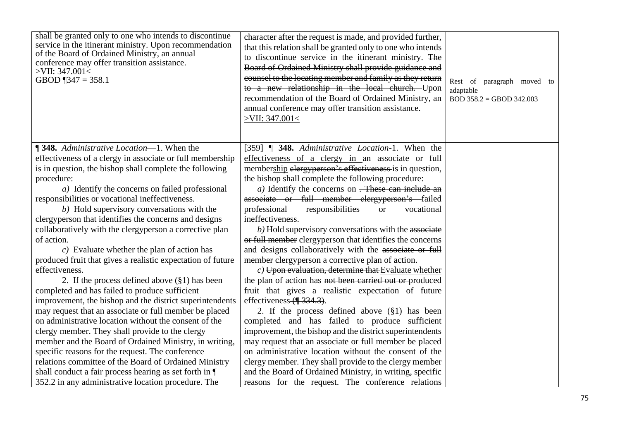| shall be granted only to one who intends to discontinue<br>service in the itinerant ministry. Upon recommendation<br>of the Board of Ordained Ministry, an annual<br>conference may offer transition assistance.<br>$>$ VII: 347.001 $<$<br>GBOD $\P$ 347 = 358.1 | character after the request is made, and provided further,<br>that this relation shall be granted only to one who intends<br>to discontinue service in the itinerant ministry. The<br>Board of Ordained Ministry shall provide guidance and<br>counsel to the locating member and family as they return<br>to a new relationship in the local church. Upon<br>recommendation of the Board of Ordained Ministry, an<br>annual conference may offer transition assistance.<br>$>$ VII: 347.001 $<$ | Rest of<br>paragraph moved to<br>adaptable<br>$BOD$ 358.2 = GBOD 342.003 |
|-------------------------------------------------------------------------------------------------------------------------------------------------------------------------------------------------------------------------------------------------------------------|--------------------------------------------------------------------------------------------------------------------------------------------------------------------------------------------------------------------------------------------------------------------------------------------------------------------------------------------------------------------------------------------------------------------------------------------------------------------------------------------------|--------------------------------------------------------------------------|
| ¶ 348. Administrative Location-1. When the                                                                                                                                                                                                                        | [359] <b>[348.</b> Administrative Location-1. When the                                                                                                                                                                                                                                                                                                                                                                                                                                           |                                                                          |
| effectiveness of a clergy in associate or full membership                                                                                                                                                                                                         | effectiveness of a clergy in an associate or full                                                                                                                                                                                                                                                                                                                                                                                                                                                |                                                                          |
| is in question, the bishop shall complete the following                                                                                                                                                                                                           | membership elergyperson's effectiveness is in question,                                                                                                                                                                                                                                                                                                                                                                                                                                          |                                                                          |
| procedure:                                                                                                                                                                                                                                                        | the bishop shall complete the following procedure:                                                                                                                                                                                                                                                                                                                                                                                                                                               |                                                                          |
| a) Identify the concerns on failed professional                                                                                                                                                                                                                   | $a)$ Identify the concerns on $\overline{a}$ . These can include an                                                                                                                                                                                                                                                                                                                                                                                                                              |                                                                          |
| responsibilities or vocational ineffectiveness.                                                                                                                                                                                                                   | associate or full member clergyperson's failed                                                                                                                                                                                                                                                                                                                                                                                                                                                   |                                                                          |
| $b)$ Hold supervisory conversations with the                                                                                                                                                                                                                      | responsibilities<br>professional<br>vocational<br><b>or</b>                                                                                                                                                                                                                                                                                                                                                                                                                                      |                                                                          |
| clergyperson that identifies the concerns and designs                                                                                                                                                                                                             | ineffectiveness.                                                                                                                                                                                                                                                                                                                                                                                                                                                                                 |                                                                          |
| collaboratively with the clergyperson a corrective plan                                                                                                                                                                                                           | $b)$ Hold supervisory conversations with the associate                                                                                                                                                                                                                                                                                                                                                                                                                                           |                                                                          |
| of action.                                                                                                                                                                                                                                                        | or full member clergyperson that identifies the concerns                                                                                                                                                                                                                                                                                                                                                                                                                                         |                                                                          |
| $c)$ Evaluate whether the plan of action has                                                                                                                                                                                                                      | and designs collaboratively with the associate or full                                                                                                                                                                                                                                                                                                                                                                                                                                           |                                                                          |
| produced fruit that gives a realistic expectation of future                                                                                                                                                                                                       | member clergyperson a corrective plan of action.                                                                                                                                                                                                                                                                                                                                                                                                                                                 |                                                                          |
| effectiveness.                                                                                                                                                                                                                                                    | $c)$ Upon evaluation, determine that Evaluate whether                                                                                                                                                                                                                                                                                                                                                                                                                                            |                                                                          |
| 2. If the process defined above $(\S1)$ has been                                                                                                                                                                                                                  | the plan of action has not been carried out or produced                                                                                                                                                                                                                                                                                                                                                                                                                                          |                                                                          |
| completed and has failed to produce sufficient                                                                                                                                                                                                                    | fruit that gives a realistic expectation of future                                                                                                                                                                                                                                                                                                                                                                                                                                               |                                                                          |
| improvement, the bishop and the district superintendents                                                                                                                                                                                                          | effectiveness $($ 4 334.3).                                                                                                                                                                                                                                                                                                                                                                                                                                                                      |                                                                          |
| may request that an associate or full member be placed                                                                                                                                                                                                            | 2. If the process defined above $(\S1)$ has been                                                                                                                                                                                                                                                                                                                                                                                                                                                 |                                                                          |
| on administrative location without the consent of the                                                                                                                                                                                                             | completed and has failed to produce sufficient                                                                                                                                                                                                                                                                                                                                                                                                                                                   |                                                                          |
| clergy member. They shall provide to the clergy                                                                                                                                                                                                                   | improvement, the bishop and the district superintendents                                                                                                                                                                                                                                                                                                                                                                                                                                         |                                                                          |
| member and the Board of Ordained Ministry, in writing,                                                                                                                                                                                                            | may request that an associate or full member be placed                                                                                                                                                                                                                                                                                                                                                                                                                                           |                                                                          |
| specific reasons for the request. The conference                                                                                                                                                                                                                  | on administrative location without the consent of the                                                                                                                                                                                                                                                                                                                                                                                                                                            |                                                                          |
| relations committee of the Board of Ordained Ministry                                                                                                                                                                                                             | clergy member. They shall provide to the clergy member                                                                                                                                                                                                                                                                                                                                                                                                                                           |                                                                          |
| shall conduct a fair process hearing as set forth in \[                                                                                                                                                                                                           | and the Board of Ordained Ministry, in writing, specific                                                                                                                                                                                                                                                                                                                                                                                                                                         |                                                                          |
| 352.2 in any administrative location procedure. The                                                                                                                                                                                                               | reasons for the request. The conference relations                                                                                                                                                                                                                                                                                                                                                                                                                                                |                                                                          |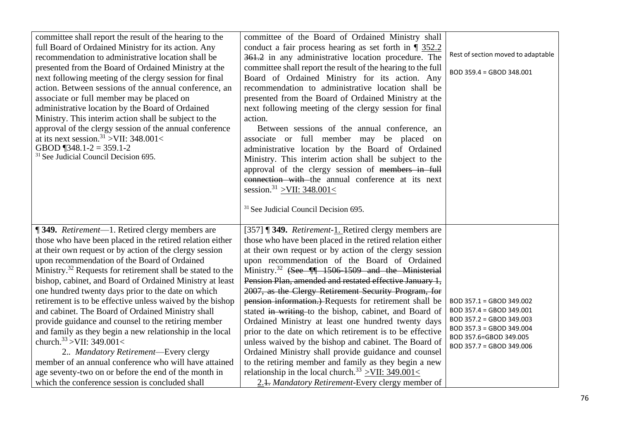| committee shall report the result of the hearing to the<br>full Board of Ordained Ministry for its action. Any<br>recommendation to administrative location shall be<br>presented from the Board of Ordained Ministry at the<br>next following meeting of the clergy session for final<br>action. Between sessions of the annual conference, an<br>associate or full member may be placed on<br>administrative location by the Board of Ordained<br>Ministry. This interim action shall be subject to the<br>approval of the clergy session of the annual conference<br>at its next session. <sup>31</sup> >VII: 348.001<<br>GBOD $$348.1-2 = 359.1-2$<br><sup>31</sup> See Judicial Council Decision 695.                                                                                                                                                                                           | committee of the Board of Ordained Ministry shall<br>conduct a fair process hearing as set forth in $\P$ 352.2<br>361.2 in any administrative location procedure. The<br>committee shall report the result of the hearing to the full<br>Board of Ordained Ministry for its action. Any<br>recommendation to administrative location shall be<br>presented from the Board of Ordained Ministry at the<br>next following meeting of the clergy session for final<br>action.<br>Between sessions of the annual conference, an<br>associate or full member may be placed on<br>administrative location by the Board of Ordained<br>Ministry. This interim action shall be subject to the<br>approval of the clergy session of members in full<br>connection with the annual conference at its next<br>session. <sup>31</sup> > VII: 348.001<<br><sup>31</sup> See Judicial Council Decision 695.                                                                               | Rest of section moved to adaptable<br>BOD 359.4 = GBOD 348.001                                                                                                     |
|------------------------------------------------------------------------------------------------------------------------------------------------------------------------------------------------------------------------------------------------------------------------------------------------------------------------------------------------------------------------------------------------------------------------------------------------------------------------------------------------------------------------------------------------------------------------------------------------------------------------------------------------------------------------------------------------------------------------------------------------------------------------------------------------------------------------------------------------------------------------------------------------------|-----------------------------------------------------------------------------------------------------------------------------------------------------------------------------------------------------------------------------------------------------------------------------------------------------------------------------------------------------------------------------------------------------------------------------------------------------------------------------------------------------------------------------------------------------------------------------------------------------------------------------------------------------------------------------------------------------------------------------------------------------------------------------------------------------------------------------------------------------------------------------------------------------------------------------------------------------------------------------|--------------------------------------------------------------------------------------------------------------------------------------------------------------------|
| ¶ 349. Retirement-1. Retired clergy members are<br>those who have been placed in the retired relation either<br>at their own request or by action of the clergy session<br>upon recommendation of the Board of Ordained<br>Ministry. <sup>32</sup> Requests for retirement shall be stated to the<br>bishop, cabinet, and Board of Ordained Ministry at least<br>one hundred twenty days prior to the date on which<br>retirement is to be effective unless waived by the bishop<br>and cabinet. The Board of Ordained Ministry shall<br>provide guidance and counsel to the retiring member<br>and family as they begin a new relationship in the local<br>church. $33 > VII$ : 349.001<<br>2 Mandatory Retirement-Every clergy<br>member of an annual conference who will have attained<br>age seventy-two on or before the end of the month in<br>which the conference session is concluded shall | [357] ¶ 349. Retirement-1. Retired clergy members are<br>those who have been placed in the retired relation either<br>at their own request or by action of the clergy session<br>upon recommendation of the Board of Ordained<br>Ministry. <sup>32</sup> (See $\P$ 1506-1509 and the Ministerial<br>Pension Plan, amended and restated effective January 1,<br>2007, as the Clergy Retirement Security Program, for<br>pension information.) Requests for retirement shall be<br>stated in writing to the bishop, cabinet, and Board of<br>Ordained Ministry at least one hundred twenty days<br>prior to the date on which retirement is to be effective<br>unless waived by the bishop and cabinet. The Board of<br>Ordained Ministry shall provide guidance and counsel<br>to the retiring member and family as they begin a new<br>relationship in the local church. <sup>33</sup> $\geq$ VII: 349.001<<br>2. <del>1.</del> Mandatory Retirement-Every clergy member of | BOD 357.1 = GBOD 349.002<br>BOD 357.4 = GBOD 349.001<br>BOD 357.2 = GBOD 349.003<br>BOD 357.3 = GBOD 349.004<br>BOD 357.6=GBOD 349.005<br>BOD 357.7 = GBOD 349.006 |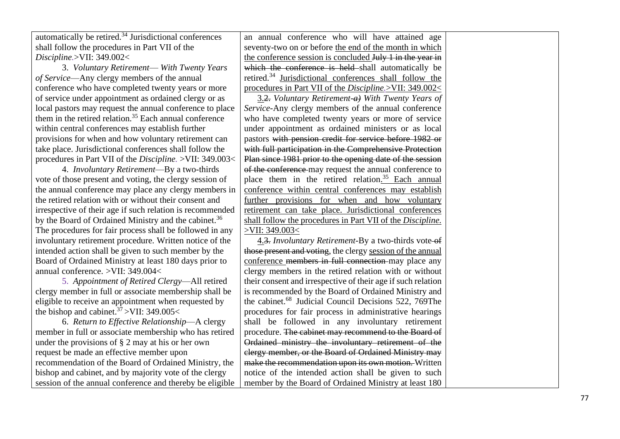automatically be retired. 3 4 Jurisdictional conferences shall follow the procedures in Part VII of the *Discipline .*>VII: 349.002<

3. *Voluntary Retirement*— *With Twenty Years of Service* —Any clergy members of the annual conference who have completed twenty years or more of service under appointment as ordained clergy or as local pastors may request the annual conference to place them in the retired relation.<sup>35</sup> Each annual conference within central conferences may establish further provisions for when and how voluntary retirement can take place. Jurisdictional conferences shall follow the procedures in Part VII of the *Discipline .* >VII: 349.003<

4. *Involuntary Retirement*—By a two -thirds vote of those present and voting, the clergy session of the annual conference may place any clergy members in the retired relation with or without their consent and irrespective of their age if such relation is recommended by the Board of Ordained Ministry and the cabinet.<sup>36</sup> The procedures for fair process shall be followed in any involuntary retirement procedure. Written notice of the intended action shall be given to such member by the Board of Ordained Ministry at least 180 days prior to annual conference. >VII: 349.004<

5. *Appointment of Retired Clergy* —All retired clergy member in full or associate membership shall be eligible to receive an appointment when requested by the bishop and cabinet.<sup>37</sup>>VII: 349.005<

6. *Return to Effective Relationship* —A clergy member in full or associate membership who has retired under the provisions of § 2 may at his or her own request be made an effective member upon recommendation of the Board of Ordained Ministry, the bishop and cabinet, and by majority vote of the clergy session of the annual conference and thereby be eligible

an annual conference who will have attained age seventy-two on or before the end of the month in which the conference session is concluded July 1 in the year in which the conference is held shall automatically be retired. $34$  Jurisdictional conferences shall follow the procedures in Part VII of the *Discipline .*>VII: 349.002<

3.2. *Voluntary Retirement* -*a) With Twenty Years of Service* -Any clergy members of the annual conference who have completed twenty years or more of service under appointment as ordained ministers or as local pastors with pension credit for service before 1982 or with full participation in the Comprehensive Protection Plan since 1981 prior to the opening date of the session of the conference may request the annual conference to place them in the retired relation.<sup>35</sup> Each annual conference within central conferences may establish further provisions for when and how voluntary retirement can take place. Jurisdictional conferences shall follow the procedures in Part VII of the *Discipline.* >VII: 349.003<

4.3. *Involuntary Retirement* -By a two -thirds vote of those present and voting, the clergy session of the annual conference members in full connection may place any clergy members in the retired relation with or without their consent and irrespective of their age if such relation is recommended by the Board of Ordained Ministry and the cabinet.<sup>68</sup> Judicial Council Decisions 522, 769The procedures for fair process in administrative hearings shall be followed in any involuntary retirement procedure. The cabinet may recommend to the Board of Ordained ministry the involuntary retirement of the clergy member, or the Board of Ordained Ministry may make the recommendation upon its own motion. Written notice of the intended action shall be given to such member by the Board of Ordained Ministry at least 180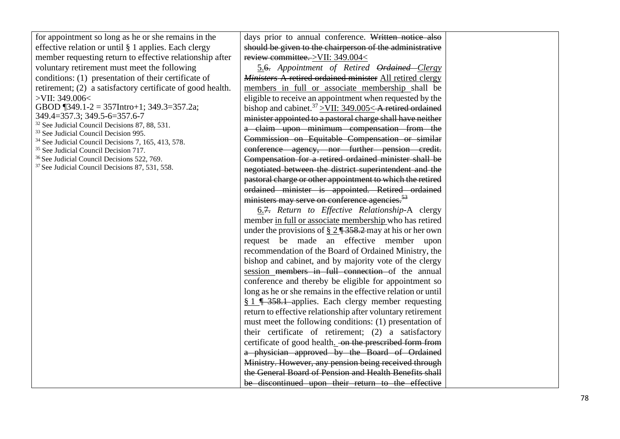for appointment so long as he or she remains in the effective relation or until § 1 applies. Each clergy member requesting return to effective relationship after voluntary retirement must meet the following conditions: (1) presentation of their certificate of retirement; (2) a satisfactory certificate of good health. >VII: 349.006< GBOD ¶349.1 - 2 = 357Intro+1; 349.3=357.2a; 349.4=357.3; 349.5 -6=357.6 -7

- <sup>32</sup> See Judicial Council Decisions 87, 88, 531.
- 3 <sup>3</sup> See Judicial Council Decision 995 .
- <sup>34</sup> See Judicial Council Decisions 7, 165, 413, 578.
- 3 <sup>5</sup> See Judicial Council Decision 717.
- 3 <sup>6</sup> See Judicial Council Decisions 522, 769 .
- 3 <sup>7</sup> See Judicial Council Decisions 87, 531, 558.

days prior to annual conference. Written notice also should be given to the chairperson of the administrative review committee. >VII: 349.004<

5.6. *Appointment of Retired Ordained Clergy Ministers* -A retired ordained minister All retired clergy members in full or associate membership shall be eligible to receive an appointment when requested by the bishop and cabinet.<sup>37</sup>>VII: 349.005< $\overline{A}$  retired ordained minister appointed to a pastoral charge shall have neither a claim upon minimum compensation from the Commission on Equitable Compensation or similar conference agency, nor further pension credit. Compensation for a retired ordained minister shall be negotiated between the district superintendent and the pastoral charge or other appointment to which the retired ordained minister is appointed. Retired ordained ministers may serve on conference agencies.<sup>53</sup>

6.7. *Return to Effective Relationship* -A clergy member in full or associate membership who has retired under the provisions of  $\S 2$  ,  $358.2$  may at his or her own request be made an effective member upon recommendation of the Board of Ordained Ministry, the bishop and cabinet, and by majority vote of the clergy session <del>members in full connection of</del> the annual conference and thereby be eligible for appointment so long as he or she remains in the effective relation or until § 1 ¶ 358.1 applies. Each clergy member requesting return to effective relationship after voluntary retirement must meet the following conditions: (1) presentation of their certificate of retirement; (2) a satisfactory certificate of good health. <del>on the prescribed form from</del> a physician approved by the Board of Ordained Ministry. However, any pension being received through the General Board of Pension and Health Benefits shall be discontinued upon their return to the effective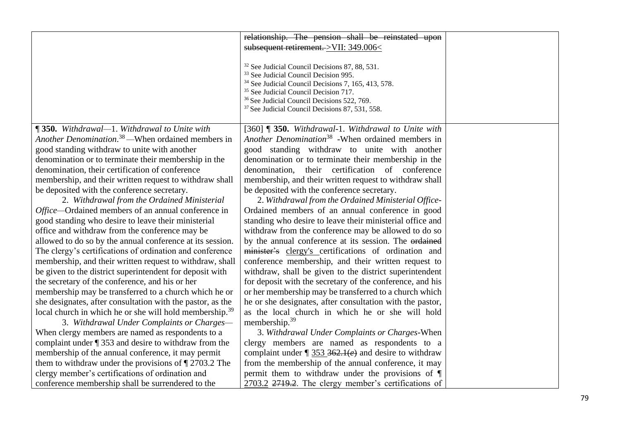|                                                                     | relationship. The pension shall be reinstated upon             |  |
|---------------------------------------------------------------------|----------------------------------------------------------------|--|
|                                                                     | subsequent retirement. > VII: 349.006<                         |  |
|                                                                     |                                                                |  |
|                                                                     | <sup>32</sup> See Judicial Council Decisions 87, 88, 531.      |  |
|                                                                     | <sup>33</sup> See Judicial Council Decision 995.               |  |
|                                                                     | <sup>34</sup> See Judicial Council Decisions 7, 165, 413, 578. |  |
|                                                                     | <sup>35</sup> See Judicial Council Decision 717.               |  |
|                                                                     | <sup>36</sup> See Judicial Council Decisions 522, 769.         |  |
|                                                                     | <sup>37</sup> See Judicial Council Decisions 87, 531, 558.     |  |
|                                                                     |                                                                |  |
| ¶ 350. Withdrawal-1. Withdrawal to Unite with                       | [360] <b>[350.</b> Withdrawal-1. Withdrawal to Unite with      |  |
| Another Denomination. <sup>38</sup> —When ordained members in       | Another Denomination <sup>38</sup> -When ordained members in   |  |
| good standing withdraw to unite with another                        | good standing withdraw to unite with another                   |  |
| denomination or to terminate their membership in the                | denomination or to terminate their membership in the           |  |
| denomination, their certification of conference                     | denomination, their certification of conference                |  |
| membership, and their written request to withdraw shall             | membership, and their written request to withdraw shall        |  |
| be deposited with the conference secretary.                         | be deposited with the conference secretary.                    |  |
| 2. Withdrawal from the Ordained Ministerial                         | 2. Withdrawal from the Ordained Ministerial Office-            |  |
| Office—Ordained members of an annual conference in                  | Ordained members of an annual conference in good               |  |
| good standing who desire to leave their ministerial                 | standing who desire to leave their ministerial office and      |  |
| office and withdraw from the conference may be                      | withdraw from the conference may be allowed to do so           |  |
| allowed to do so by the annual conference at its session.           | by the annual conference at its session. The ordained          |  |
| The clergy's certifications of ordination and conference            | minister's clergy's certifications of ordination and           |  |
| membership, and their written request to withdraw, shall            | conference membership, and their written request to            |  |
| be given to the district superintendent for deposit with            | withdraw, shall be given to the district superintendent        |  |
| the secretary of the conference, and his or her                     | for deposit with the secretary of the conference, and his      |  |
| membership may be transferred to a church which he or               | or her membership may be transferred to a church which         |  |
| she designates, after consultation with the pastor, as the          | he or she designates, after consultation with the pastor,      |  |
| local church in which he or she will hold membership. <sup>39</sup> | as the local church in which he or she will hold               |  |
| 3. Withdrawal Under Complaints or Charges-                          | membership. $39$                                               |  |
| When clergy members are named as respondents to a                   | 3. Withdrawal Under Complaints or Charges-When                 |  |
| complaint under $\P$ 353 and desire to withdraw from the            | clergy members are named as respondents to a                   |  |
| membership of the annual conference, it may permit                  | complaint under $\sqrt{353.362.1(e)}$ and desire to withdraw   |  |
| them to withdraw under the provisions of $\S$ 2703.2 The            | from the membership of the annual conference, it may           |  |
|                                                                     |                                                                |  |
| clergy member's certifications of ordination and                    | permit them to withdraw under the provisions of $\P$           |  |
| conference membership shall be surrendered to the                   | $2703.2$ $2719.2$ . The clergy member's certifications of      |  |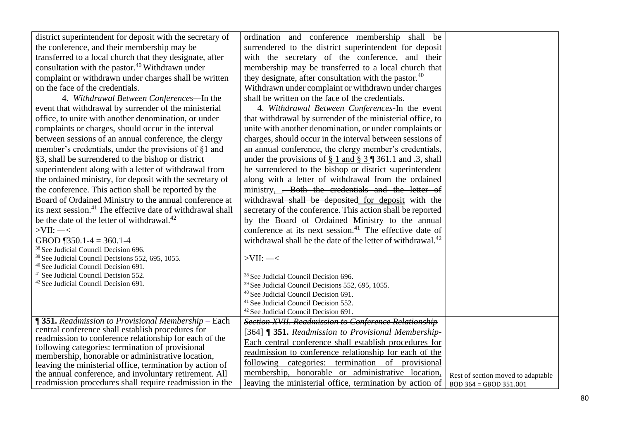| district superintendent for deposit with the secretary of              | ordination and conference membership shall be                                                                   |                                    |
|------------------------------------------------------------------------|-----------------------------------------------------------------------------------------------------------------|------------------------------------|
| the conference, and their membership may be                            | surrendered to the district superintendent for deposit                                                          |                                    |
| transferred to a local church that they designate, after               | with the secretary of the conference, and their                                                                 |                                    |
| consultation with the pastor. <sup>40</sup> Withdrawn under            | membership may be transferred to a local church that                                                            |                                    |
| complaint or withdrawn under charges shall be written                  | they designate, after consultation with the pastor. <sup>40</sup>                                               |                                    |
| on the face of the credentials.                                        | Withdrawn under complaint or withdrawn under charges                                                            |                                    |
| 4. Withdrawal Between Conferences-In the                               | shall be written on the face of the credentials.                                                                |                                    |
| event that withdrawal by surrender of the ministerial                  | 4. Withdrawal Between Conferences-In the event                                                                  |                                    |
| office, to unite with another denomination, or under                   | that withdrawal by surrender of the ministerial office, to                                                      |                                    |
| complaints or charges, should occur in the interval                    | unite with another denomination, or under complaints or                                                         |                                    |
| between sessions of an annual conference, the clergy                   | charges, should occur in the interval between sessions of                                                       |                                    |
| member's credentials, under the provisions of §1 and                   | an annual conference, the clergy member's credentials,                                                          |                                    |
| §3, shall be surrendered to the bishop or district                     | under the provisions of $\S 1$ and $\S 3$ $\P 361.1$ and .3, shall                                              |                                    |
| superintendent along with a letter of withdrawal from                  | be surrendered to the bishop or district superintendent                                                         |                                    |
| the ordained ministry, for deposit with the secretary of               | along with a letter of withdrawal from the ordained                                                             |                                    |
| the conference. This action shall be reported by the                   | ministry, Both the credentials and the letter of                                                                |                                    |
| Board of Ordained Ministry to the annual conference at                 | withdrawal shall be deposited for deposit with the                                                              |                                    |
| its next session. <sup>41</sup> The effective date of withdrawal shall | secretary of the conference. This action shall be reported                                                      |                                    |
| be the date of the letter of withdrawal. <sup>42</sup>                 | by the Board of Ordained Ministry to the annual                                                                 |                                    |
| $>$ VII: $-$ <                                                         | conference at its next session. <sup>41</sup> The effective date of                                             |                                    |
| GBOD $$350.1-4 = 360.1-4$                                              | withdrawal shall be the date of the letter of withdrawal. <sup>42</sup>                                         |                                    |
| <sup>38</sup> See Judicial Council Decision 696.                       |                                                                                                                 |                                    |
| <sup>39</sup> See Judicial Council Decisions 552, 695, 1055.           | $>$ VII: $-$ <                                                                                                  |                                    |
| <sup>40</sup> See Judicial Council Decision 691.                       |                                                                                                                 |                                    |
| <sup>41</sup> See Judicial Council Decision 552.                       | <sup>38</sup> See Judicial Council Decision 696.                                                                |                                    |
| <sup>42</sup> See Judicial Council Decision 691.                       | <sup>39</sup> See Judicial Council Decisions 552, 695, 1055.                                                    |                                    |
|                                                                        | <sup>40</sup> See Judicial Council Decision 691.                                                                |                                    |
|                                                                        | <sup>41</sup> See Judicial Council Decision 552.                                                                |                                    |
| <b>1 351.</b> Readmission to Provisional Membership $-$ Each           | <sup>42</sup> See Judicial Council Decision 691.<br><b>Section XVII. Readmission to Conference Relationship</b> |                                    |
| central conference shall establish procedures for                      |                                                                                                                 |                                    |
| readmission to conference relationship for each of the                 | [364] ¶ 351. Readmission to Provisional Membership-                                                             |                                    |
| following categories: termination of provisional                       | Each central conference shall establish procedures for                                                          |                                    |
| membership, honorable or administrative location,                      | readmission to conference relationship for each of the                                                          |                                    |
| leaving the ministerial office, termination by action of               | following categories: termination of provisional                                                                |                                    |
| the annual conference, and involuntary retirement. All                 | membership, honorable or administrative location,                                                               | Rest of section moved to adaptable |
| readmission procedures shall require readmission in the                | leaving the ministerial office, termination by action of                                                        | BOD 364 = GBOD 351.001             |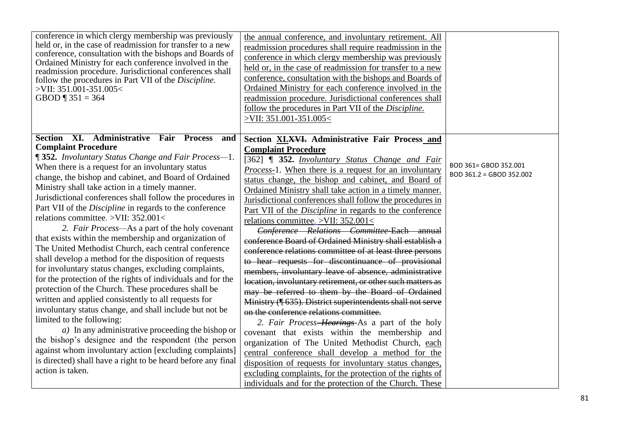| conference in which clergy membership was previously<br>held or, in the case of readmission for transfer to a new<br>conference, consultation with the bishops and Boards of<br>Ordained Ministry for each conference involved in the<br>readmission procedure. Jurisdictional conferences shall<br>follow the procedures in Part VII of the Discipline.<br>$>$ VII: 351.001-351.005 $<$<br>GBOD $\sqrt{351} = 364$                                                                                                                                                                                                                                                                                                                                                                                                                                                                                                                                                                                                                                                                                                                                                                                                                                                                                       | the annual conference, and involuntary retirement. All<br>readmission procedures shall require readmission in the<br>conference in which clergy membership was previously<br>held or, in the case of readmission for transfer to a new<br>conference, consultation with the bishops and Boards of<br>Ordained Ministry for each conference involved in the<br>readmission procedure. Jurisdictional conferences shall<br>follow the procedures in Part VII of the Discipline.<br>>VII: 351.001-351.005<                                                                                                                                                                                                                                                                                                                                                                                                                                                                                                                                                                                                                                                                                                                                                                                                                                                                                                         |                                                   |
|-----------------------------------------------------------------------------------------------------------------------------------------------------------------------------------------------------------------------------------------------------------------------------------------------------------------------------------------------------------------------------------------------------------------------------------------------------------------------------------------------------------------------------------------------------------------------------------------------------------------------------------------------------------------------------------------------------------------------------------------------------------------------------------------------------------------------------------------------------------------------------------------------------------------------------------------------------------------------------------------------------------------------------------------------------------------------------------------------------------------------------------------------------------------------------------------------------------------------------------------------------------------------------------------------------------|-----------------------------------------------------------------------------------------------------------------------------------------------------------------------------------------------------------------------------------------------------------------------------------------------------------------------------------------------------------------------------------------------------------------------------------------------------------------------------------------------------------------------------------------------------------------------------------------------------------------------------------------------------------------------------------------------------------------------------------------------------------------------------------------------------------------------------------------------------------------------------------------------------------------------------------------------------------------------------------------------------------------------------------------------------------------------------------------------------------------------------------------------------------------------------------------------------------------------------------------------------------------------------------------------------------------------------------------------------------------------------------------------------------------|---------------------------------------------------|
| Section XI. Administrative Fair Process<br>and<br><b>Complaint Procedure</b><br><b>[352.</b> Involuntary Status Change and Fair Process-1.<br>When there is a request for an involuntary status<br>change, the bishop and cabinet, and Board of Ordained<br>Ministry shall take action in a timely manner.<br>Jurisdictional conferences shall follow the procedures in<br>Part VII of the <i>Discipline</i> in regards to the conference<br>relations committee. >VII: 352.001<<br>2. Fair Process—As a part of the holy covenant<br>that exists within the membership and organization of<br>The United Methodist Church, each central conference<br>shall develop a method for the disposition of requests<br>for involuntary status changes, excluding complaints,<br>for the protection of the rights of individuals and for the<br>protection of the Church. These procedures shall be<br>written and applied consistently to all requests for<br>involuntary status change, and shall include but not be<br>limited to the following:<br>$a)$ In any administrative proceeding the bishop or<br>the bishop's designee and the respondent (the person<br>against whom involuntary action [excluding complaints]<br>is directed) shall have a right to be heard before any final<br>action is taken. | Section XI.XVI. Administrative Fair Process_and<br><b>Complaint Procedure</b><br>[362] ¶ 352. <i>Involuntary Status Change and Fair</i><br><i>Process</i> -1. When there is a request for an involuntary<br>status change, the bishop and cabinet, and Board of<br>Ordained Ministry shall take action in a timely manner.<br>Jurisdictional conferences shall follow the procedures in<br>Part VII of the <i>Discipline</i> in regards to the conference<br>relations committee. >VII: 352.001<<br>Conference Relations Committee-Each annual<br>conference Board of Ordained Ministry shall establish a<br>conference relations committee of at least three persons<br>to hear requests for discontinuance of provisional<br>members, involuntary leave of absence, administrative<br>location, involuntary retirement, or other such matters as<br>may be referred to them by the Board of Ordained<br>Ministry (¶ 635). District superintendents shall not serve<br>on the conference relations committee.<br>2. Fair Process–Hearings-As a part of the holy<br>covenant that exists within the membership and<br>organization of The United Methodist Church, each<br>central conference shall develop a method for the<br>disposition of requests for involuntary status changes,<br>excluding complaints, for the protection of the rights of<br>individuals and for the protection of the Church. These | BOD 361= GBOD 352.001<br>BOD 361.2 = GBOD 352.002 |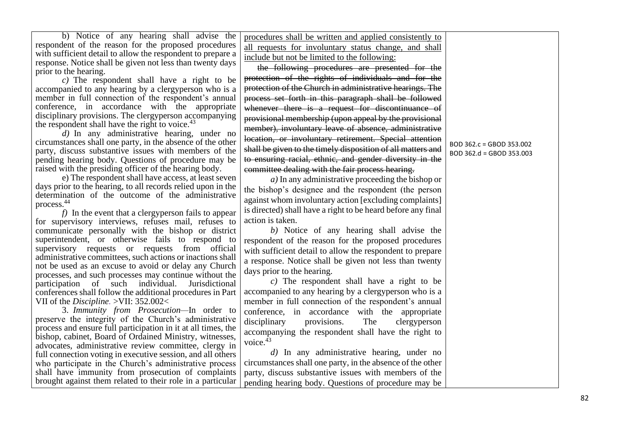b) Notice of any hearing shall advise the respondent of the reason for the proposed procedures with sufficient detail to allow the respondent to prepare a response. Notice shall be given not less than twenty days prior to the hearing.

*c)* The respondent shall have a right to be accompanied to any hearing by a clergyperson who is a member in full connection of the respondent's annual conference, in accordance with the appropriate disciplinary provisions. The clergyperson accompanying the respondent shall have the right to voice.  $43$ 

*d)* In any administrative hearing, under no circumstances shall one party, in the absence of the other party, discuss substantive issues with members of the pending hearing body. Questions of procedure may be raised with the presiding officer of the hearing body.

e) The respondent shall have access, at least seven days prior to the hearing, to all records relied upon in the determination of the outcome of the administrative process.<sup>44</sup>

*f*) In the event that a clergy person fails to appear for supervisory interviews, refuses mail, refuses to communicate personally with the bishop or district superintendent, or otherwise fails to respond to supervisory requests or requests from official administrative committees, such actions or inactions shall not be used as an excuse to avoid or delay any Church processes, and such processes may continue without the participation of such individual. Jurisdictional conferences shall follow the additional procedures in Part VII of the *Discipline.* >VII: 352.002<

3. *Immunity from Prosecution—*In order to preserve the integrity of the Church's administrative process and ensure full participation in it at all times, the bishop, cabinet, Board of Ordained Ministry, witnesses, advocates, administrative review committee, clergy in full connection voting in executive session, and all others who participate in the Church's administrative process shall have immunity from prosecution of complaints brought against them related to their role in a particular

procedures shall be written and applied consistently to all requests for involuntary status change, and shall include but not be limited to the following:

the following procedures are presented for the protection of the rights of individuals and for the protection of the Church in administrative hearings. The process set forth in this paragraph shall be followed whenever there is a request for discontinuance of provisional membership (upon appeal by the provisional member), involuntary leave of absence, administrative location, or involuntary retirement. Special attention shall be given to the timely disposition of all matters and to ensuring racial, ethnic, and gender diversity in the committee dealing with the fair process hearing.

*a)* In any administrative proceeding the bishop or the bishop's designee and the respondent (the person against whom involuntary action [excluding complaints] is directed) shall have a right to be heard before any final action is taken.

*b)* Notice of any hearing shall advise the respondent of the reason for the proposed procedures with sufficient detail to allow the respondent to prepare a response. Notice shall be given not less than twenty days prior to the hearing.

*c)* The respondent shall have a right to be accompanied to any hearing by a clergyperson who is a member in full connection of the respondent's annual conference, in accordance with the appropriate disciplinary provisions. The clergyperson accompanying the respondent shall have the right to voice  $43$ 

*d)* In any administrative hearing, under no circumstances shall one party, in the absence of the other party, discuss substantive issues with members of the pending hearing body. Questions of procedure may be

BOD 362.c = GBOD 353.002 BOD 362.d = GBOD 353.003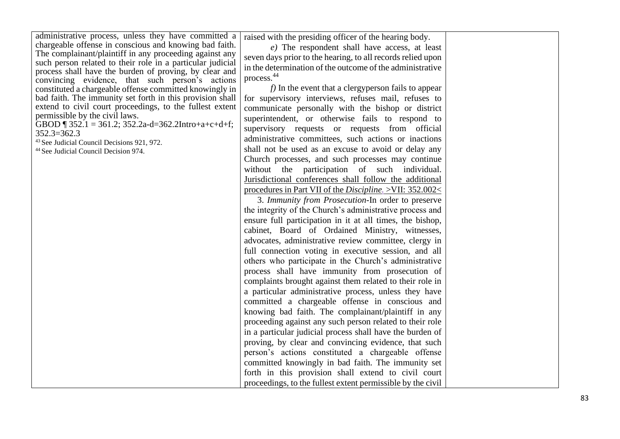administrative process, unless they have committed a chargeable offense in conscious and knowing bad faith. The complainant/plaintiff in any proceeding against any such person related to their role in a particular judicial process shall have the burden of proving, by clear and convincing evidence, that such person's actions constituted a chargeable offense committed knowingly in bad faith. The immunity set forth in this provision shall extend to civil court proceedings, to the fullest extent permissible by the civil laws.

GBOD  $\sqrt{352.1} = 361.2$ ; 352.2a-d=362.2Intro+a+c+d+f; 352.3=362.3

<sup>43</sup>See Judicial Council Decisions 921, 972.

<sup>44</sup>See Judicial Council Decision 974.

raised with the presiding officer of the hearing body.

*e)* The respondent shall have access, at least seven days prior to the hearing, to all records relied upon in the determination of the outcome of the administrative process.<sup>44</sup>

*f)* In the event that a clergyperson fails to appear for supervisory interviews, refuses mail, refuses to communicate personally with the bishop or district superintendent, or otherwise fails to respond to supervisory requests or requests from official administrative committees, such actions or inactions shall not be used as an excuse to avoid or delay any Church processes, and such processes may continue without the participation of such individual. Jurisdictional conferences shall follow the additional procedures in Part VII of the *Discipline .* >VII: 352.002<

3. *Immunity from Prosecution -*In order to preserve the integrity of the Church's administrative process and ensure full participation in it at all times, the bishop, cabinet, Board of Ordained Ministry, witnesses, advocates, administrative review committee, clergy in full connection voting in executive session, and all others who participate in the Church's administrative process shall have immunity from prosecution of complaints brought against them related to their role in a particular administrative process, unless they have committed a chargeable offense in conscious and knowing bad faith. The complainant/plaintiff in any proceeding against any such person related to their role in a particular judicial process shall have the burden of proving, by clear and convincing evidence, that such person's actions constituted a chargeable offense committed knowingly in bad faith. The immunity set forth in this provision shall extend to civil court proceedings, to the fullest extent permissible by the civil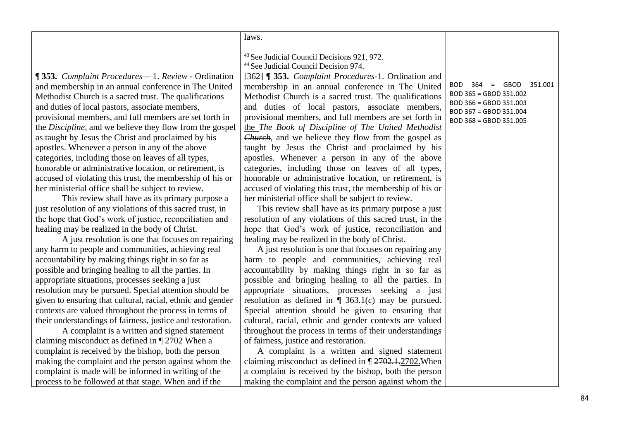|                                                                                                                                                                                                                                                                                                                                                                                                                                                                                                                                                                                                                                                                                                                                                                                                                                                                                                                                                                                                                                                                                                                                                                                                                                                                                                                                                                                                                                                                                                                                                                                                                                                                                                                                                                                                          | <sup>43</sup> See Judicial Council Decisions 921, 972.<br><sup>44</sup> See Judicial Council Decision 974.                                                                                                                                                                                                                                                                                                                                                                                                                                                                                                                                                                                                                                                                                                                                                                                                                                                                                                                                                                                                                                                                                                                                                                                                                                                                                                                                                                                                                                                                                                                                                                                                                                                                                        |                                                                                                                                    |         |
|----------------------------------------------------------------------------------------------------------------------------------------------------------------------------------------------------------------------------------------------------------------------------------------------------------------------------------------------------------------------------------------------------------------------------------------------------------------------------------------------------------------------------------------------------------------------------------------------------------------------------------------------------------------------------------------------------------------------------------------------------------------------------------------------------------------------------------------------------------------------------------------------------------------------------------------------------------------------------------------------------------------------------------------------------------------------------------------------------------------------------------------------------------------------------------------------------------------------------------------------------------------------------------------------------------------------------------------------------------------------------------------------------------------------------------------------------------------------------------------------------------------------------------------------------------------------------------------------------------------------------------------------------------------------------------------------------------------------------------------------------------------------------------------------------------|---------------------------------------------------------------------------------------------------------------------------------------------------------------------------------------------------------------------------------------------------------------------------------------------------------------------------------------------------------------------------------------------------------------------------------------------------------------------------------------------------------------------------------------------------------------------------------------------------------------------------------------------------------------------------------------------------------------------------------------------------------------------------------------------------------------------------------------------------------------------------------------------------------------------------------------------------------------------------------------------------------------------------------------------------------------------------------------------------------------------------------------------------------------------------------------------------------------------------------------------------------------------------------------------------------------------------------------------------------------------------------------------------------------------------------------------------------------------------------------------------------------------------------------------------------------------------------------------------------------------------------------------------------------------------------------------------------------------------------------------------------------------------------------------------|------------------------------------------------------------------------------------------------------------------------------------|---------|
| ¶ 353. Complaint Procedures-1. Review - Ordination<br>and membership in an annual conference in The United<br>Methodist Church is a sacred trust. The qualifications<br>and duties of local pastors, associate members,<br>provisional members, and full members are set forth in<br>the <i>Discipline</i> , and we believe they flow from the gospel<br>as taught by Jesus the Christ and proclaimed by his<br>apostles. Whenever a person in any of the above<br>categories, including those on leaves of all types,<br>honorable or administrative location, or retirement, is<br>accused of violating this trust, the membership of his or<br>her ministerial office shall be subject to review.<br>This review shall have as its primary purpose a<br>just resolution of any violations of this sacred trust, in<br>the hope that God's work of justice, reconciliation and<br>healing may be realized in the body of Christ.<br>A just resolution is one that focuses on repairing<br>any harm to people and communities, achieving real<br>accountability by making things right in so far as<br>possible and bringing healing to all the parties. In<br>appropriate situations, processes seeking a just<br>resolution may be pursued. Special attention should be<br>given to ensuring that cultural, racial, ethnic and gender<br>contexts are valued throughout the process in terms of<br>their understandings of fairness, justice and restoration.<br>A complaint is a written and signed statement<br>claiming misconduct as defined in $\P$ 2702 When a<br>complaint is received by the bishop, both the person<br>making the complaint and the person against whom the<br>complaint is made will be informed in writing of the<br>process to be followed at that stage. When and if the | [362] ¶ 353. Complaint Procedures-1. Ordination and<br>membership in an annual conference in The United<br>Methodist Church is a sacred trust. The qualifications<br>and duties of local pastors, associate members,<br>provisional members, and full members are set forth in<br>the <i>The Book of Discipline of The United Methodist</i><br><i>Church</i> , and we believe they flow from the gospel as<br>taught by Jesus the Christ and proclaimed by his<br>apostles. Whenever a person in any of the above<br>categories, including those on leaves of all types,<br>honorable or administrative location, or retirement, is<br>accused of violating this trust, the membership of his or<br>her ministerial office shall be subject to review.<br>This review shall have as its primary purpose a just<br>resolution of any violations of this sacred trust, in the<br>hope that God's work of justice, reconciliation and<br>healing may be realized in the body of Christ.<br>A just resolution is one that focuses on repairing any<br>harm to people and communities, achieving real<br>accountability by making things right in so far as<br>possible and bringing healing to all the parties. In<br>appropriate situations, processes seeking a just<br>resolution as defined in $\sqrt{363.1(c)}$ may be pursued.<br>Special attention should be given to ensuring that<br>cultural, racial, ethnic and gender contexts are valued<br>throughout the process in terms of their understandings<br>of fairness, justice and restoration.<br>A complaint is a written and signed statement<br>claiming misconduct as defined in $\sqrt{\frac{2702.1.2702}{2}}$ When<br>a complaint is received by the bishop, both the person<br>making the complaint and the person against whom the | <b>BOD</b><br>$364 = GBOD$<br>BOD 365 = GBOD 351.002<br>BOD 366 = GBOD 351.003<br>BOD 367 = GBOD 351.004<br>BOD 368 = GBOD 351.005 | 351.001 |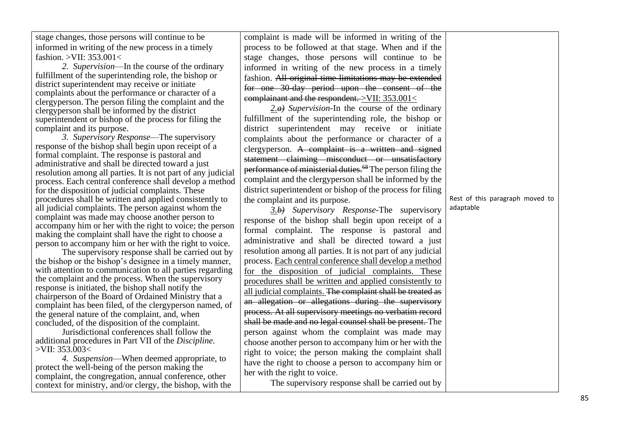stage changes, those persons will continue to be informed in writing of the new process in a timely fashion. >VII: 353.001<

*2. Supervision*—In the course of the ordinary fulfillment of the superintending role, the bishop or district superintendent may receive or initiate complaints about the performance or character of a clergyperson. The person filing the complaint and the clergyperson shall be informed by the district superintendent or bishop of the process for filing the complaint and its purpose.

*3. Supervisory Response*—The supervisory response of the bishop shall begin upon receipt of a formal complaint. The response is pastoral and administrative and shall be directed toward a just resolution among all parties. It is not part of any judicial process. Each central conference shall develop a method for the disposition of judicial complaints. These procedures shall be written and applied consistently to all judicial complaints. The person against whom the complaint was made may choose another person to accompany him or her with the right to voice; the person making the complaint shall have the right to choose a person to accompany him or her with the right to voice.

The supervisory response shall be carried out by the bishop or the bishop's designee in a timely manner, with attention to communication to all parties regarding the complaint and the process. When the supervisory response is initiated, the bishop shall notify the chairperson of the Board of Ordained Ministry that a complaint has been filed, of the clergyperson named, of the general nature of the complaint, and, when concluded, of the disposition of the complaint.

Jurisdictional conferences shall follow the additional procedures in Part VII of the *Discipline.*  $>$ VII: 353.003<

*4. Suspension*—When deemed appropriate, to protect the well-being of the person making the complaint, the congregation, annual conference, other context for ministry, and/or clergy, the bishop, with the complaint is made will be informed in writing of the process to be followed at that stage. When and if the stage changes, those persons will continue to be informed in writing of the new process in a timely fashion. All original time limitations may be extended for one 30-day period upon the consent of the complainant and the respondent. >VII: 353.001<

*2.a) Supervision*-In the course of the ordinary fulfillment of the superintending role, the bishop or district superintendent may receive or initiate complaints about the performance or character of a clergyperson. A complaint is a written and signed statement claiming misconduct or unsatisfactory performance of ministerial duties.<sup>68</sup> The person filing the complaint and the clergyperson shall be informed by the district superintendent or bishop of the process for filing the complaint and its purpose.

*3.b) Supervisory Response*-The supervisory response of the bishop shall begin upon receipt of a formal complaint. The response is pastoral and administrative and shall be directed toward a just resolution among all parties. It is not part of any judicial process. Each central conference shall develop a method for the disposition of judicial complaints. These procedures shall be written and applied consistently to all judicial complaints. The complaint shall be treated as an allegation or allegations during the supervisory process. At all supervisory meetings no verbatim record shall be made and no legal counsel shall be present. The person against whom the complaint was made may choose another person to accompany him or her with the right to voice; the person making the complaint shall have the right to choose a person to accompany him or her with the right to voice.

The supervisory response shall be carried out by

Rest of this paragraph moved to adaptable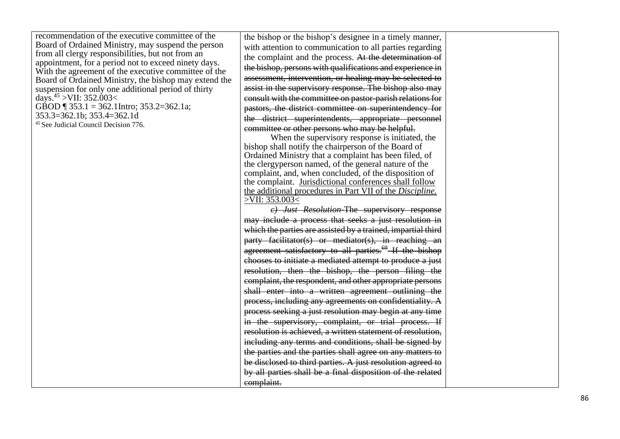recommendation of the executive committee of the Board of Ordained Ministry, may suspend the person from all clergy responsibilities, but not from an appointment, for a period not to exceed ninety days. With the agreement of the executive committee of the Board of Ordained Ministry, the bishop may extend the suspension for only one additional period of thirty days.<sup>45</sup> >VII: 352.003< GBOD | 353.1 = 362.1Intro; 353.2=362.1a; 353.3=362.1b; 353.4=362.1d <sup>45</sup> See Judicial Council Decision 776.

the bishop or the bishop's designee in a timely manner, with attention to communication to all parties regarding the complaint and the process. At the determination of the bishop, persons with qualifications and experience in assessment, intervention, or healing may be selected to assist in the supervisory response. The bishop also may consult with the committee on pastor -parish relations for pastors, the district committee on superintendency for the district superintendents, appropriate personnel committee or other persons who may be helpful.

When the supervisory response is initiated, the bishop shall notify the chairperson of the Board of Ordained Ministry that a complaint has been filed, of the clergyperson named, of the general nature of the complaint, and, when concluded, of the disposition of the complaint. Jurisdictional conferences shall follow the additional procedures in Part VII of the *Discipline.* >VII: 353.00 3 <

*c) Just Resolution* -The supervisory response may include a process that seeks a just resolution in which the parties are assisted by a trained, impartial third party facilitator(s) or mediator(s), in reaching an agreement satisfactory to all parties.<sup>69</sup> If the bishop chooses to initiate a mediated attempt to produce a just resolution, then the bishop, the person filing the complaint, the respondent, and other appropriate persons shall enter into a written agreement outlining the process, including any agreements on confidentiality. A process seeking a just resolution may begin at any time in the supervisory, complaint, or trial process. If resolution is achieved, a written statement of resolution, including any terms and conditions, shall be signed by the parties and the parties shall agree on any matters to be disclosed to third parties. A just resolution agreed to by all parties shall be a final disposition of the related complaint.